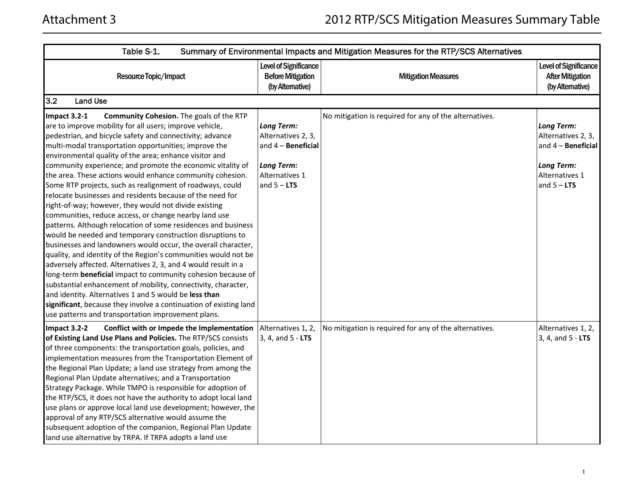| Table S-1.                                                                                                                                                                                                                                                                                                                                                                                                                                                                                                                                                                                                                                                                                                                                                                                                                                                                                                                                                                                                                                                                                                                                                                                                                                                                                                                        |                                                                                                                         | Summary of Environmental Impacts and Mitigation Measures for the RTP/SCS Alternatives |                                                                                                                       |
|-----------------------------------------------------------------------------------------------------------------------------------------------------------------------------------------------------------------------------------------------------------------------------------------------------------------------------------------------------------------------------------------------------------------------------------------------------------------------------------------------------------------------------------------------------------------------------------------------------------------------------------------------------------------------------------------------------------------------------------------------------------------------------------------------------------------------------------------------------------------------------------------------------------------------------------------------------------------------------------------------------------------------------------------------------------------------------------------------------------------------------------------------------------------------------------------------------------------------------------------------------------------------------------------------------------------------------------|-------------------------------------------------------------------------------------------------------------------------|---------------------------------------------------------------------------------------|-----------------------------------------------------------------------------------------------------------------------|
| Resource Topic/Impact                                                                                                                                                                                                                                                                                                                                                                                                                                                                                                                                                                                                                                                                                                                                                                                                                                                                                                                                                                                                                                                                                                                                                                                                                                                                                                             | <b>Level of Significance</b><br><b>Before Mitigation</b><br>(by Alternative)                                            | <b>Mitigation Measures</b>                                                            | Level of Significance<br><b>After Mitigation</b><br>(by Altemative)                                                   |
| 3.2<br><b>Land Use</b>                                                                                                                                                                                                                                                                                                                                                                                                                                                                                                                                                                                                                                                                                                                                                                                                                                                                                                                                                                                                                                                                                                                                                                                                                                                                                                            |                                                                                                                         |                                                                                       |                                                                                                                       |
| Impact 3.2-1<br>Community Cohesion. The goals of the RTP<br>are to improve mobility for all users; improve vehicle,<br>pedestrian, and bicycle safety and connectivity; advance<br>multi-modal transportation opportunities; improve the<br>environmental quality of the area; enhance visitor and<br>community experience; and promote the economic vitality of<br>the area. These actions would enhance community cohesion.<br>Some RTP projects, such as realignment of roadways, could<br>relocate businesses and residents because of the need for<br>right-of-way; however, they would not divide existing<br>communities, reduce access, or change nearby land use<br>patterns. Although relocation of some residences and business<br>would be needed and temporary construction disruptions to<br>businesses and landowners would occur, the overall character,<br>quality, and identity of the Region's communities would not be<br>adversely affected. Alternatives 2, 3, and 4 would result in a<br>long-term beneficial impact to community cohesion because of<br>substantial enhancement of mobility, connectivity, character,<br>and identity. Alternatives 1 and 5 would be less than<br>significant, because they involve a continuation of existing land<br>use patterns and transportation improvement plans. | <b>Long Term:</b><br>Alternatives 2, 3,<br>and $4 -$ Beneficial<br><b>Long Term:</b><br>Alternatives 1<br>and $5 - LTS$ | No mitigation is required for any of the alternatives.                                | <b>Long Term:</b><br>Alternatives 2, 3,<br>and 4 - Beneficial<br><b>Long Term:</b><br>Alternatives 1<br>and $5 - LTS$ |
| Impact 3.2-2<br>Conflict with or Impede the Implementation   Alternatives 1, 2,<br>of Existing Land Use Plans and Policies. The RTP/SCS consists<br>of three components: the transportation goals, policies, and<br>implementation measures from the Transportation Element of<br>the Regional Plan Update; a land use strategy from among the<br>Regional Plan Update alternatives; and a Transportation<br>Strategy Package. While TMPO is responsible for adoption of<br>the RTP/SCS, it does not have the authority to adopt local land<br>use plans or approve local land use development; however, the<br>approval of any RTP/SCS alternative would assume the<br>subsequent adoption of the companion, Regional Plan Update<br>land use alternative by TRPA. If TRPA adopts a land use                                                                                                                                                                                                                                                                                                                                                                                                                                                                                                                                     | 3, 4, and 5 - LTS                                                                                                       | No mitigation is required for any of the alternatives.                                | Alternatives 1, 2,<br>3, 4, and $5 - LTS$                                                                             |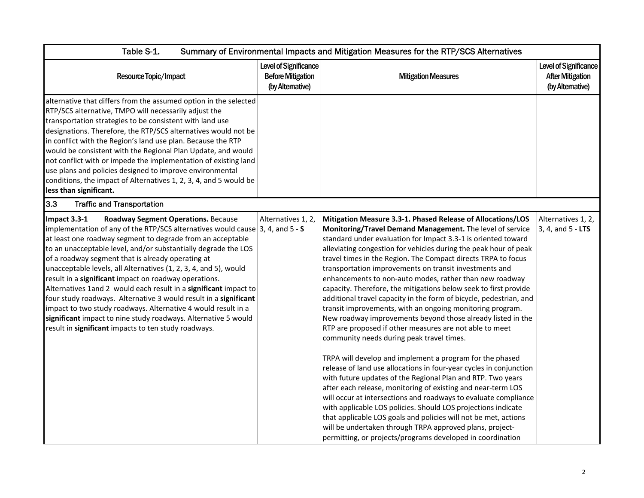| Table S-1.<br>Summary of Environmental Impacts and Mitigation Measures for the RTP/SCS Alternatives                                                                                                                                                                                                                                                                                                                                                                                                                                                                                                                                                                                                                                                                                             |                                                                              |                                                                                                                                                                                                                                                                                                                                                                                                                                                                                                                                                                                                                                                                                                                                                                                                                                                                                                                                                                                                                                                                                                                                                                                                                                                                                                                                                                                                                                     |                                                                      |
|-------------------------------------------------------------------------------------------------------------------------------------------------------------------------------------------------------------------------------------------------------------------------------------------------------------------------------------------------------------------------------------------------------------------------------------------------------------------------------------------------------------------------------------------------------------------------------------------------------------------------------------------------------------------------------------------------------------------------------------------------------------------------------------------------|------------------------------------------------------------------------------|-------------------------------------------------------------------------------------------------------------------------------------------------------------------------------------------------------------------------------------------------------------------------------------------------------------------------------------------------------------------------------------------------------------------------------------------------------------------------------------------------------------------------------------------------------------------------------------------------------------------------------------------------------------------------------------------------------------------------------------------------------------------------------------------------------------------------------------------------------------------------------------------------------------------------------------------------------------------------------------------------------------------------------------------------------------------------------------------------------------------------------------------------------------------------------------------------------------------------------------------------------------------------------------------------------------------------------------------------------------------------------------------------------------------------------------|----------------------------------------------------------------------|
| Resource Topic/Impact                                                                                                                                                                                                                                                                                                                                                                                                                                                                                                                                                                                                                                                                                                                                                                           | <b>Level of Significance</b><br><b>Before Mitigation</b><br>(by Alternative) | <b>Mitigation Measures</b>                                                                                                                                                                                                                                                                                                                                                                                                                                                                                                                                                                                                                                                                                                                                                                                                                                                                                                                                                                                                                                                                                                                                                                                                                                                                                                                                                                                                          | Level of Significance<br><b>After Mitigation</b><br>(by Alternative) |
| alternative that differs from the assumed option in the selected<br>RTP/SCS alternative, TMPO will necessarily adjust the<br>transportation strategies to be consistent with land use<br>designations. Therefore, the RTP/SCS alternatives would not be<br>in conflict with the Region's land use plan. Because the RTP<br>would be consistent with the Regional Plan Update, and would<br>not conflict with or impede the implementation of existing land<br>use plans and policies designed to improve environmental<br>conditions, the impact of Alternatives 1, 2, 3, 4, and 5 would be<br>less than significant.                                                                                                                                                                           |                                                                              |                                                                                                                                                                                                                                                                                                                                                                                                                                                                                                                                                                                                                                                                                                                                                                                                                                                                                                                                                                                                                                                                                                                                                                                                                                                                                                                                                                                                                                     |                                                                      |
| 3.3<br><b>Traffic and Transportation</b>                                                                                                                                                                                                                                                                                                                                                                                                                                                                                                                                                                                                                                                                                                                                                        |                                                                              |                                                                                                                                                                                                                                                                                                                                                                                                                                                                                                                                                                                                                                                                                                                                                                                                                                                                                                                                                                                                                                                                                                                                                                                                                                                                                                                                                                                                                                     |                                                                      |
| Impact 3.3-1<br>Roadway Segment Operations. Because<br>implementation of any of the RTP/SCS alternatives would cause $ 3, 4$ , and $5 - S$<br>at least one roadway segment to degrade from an acceptable<br>to an unacceptable level, and/or substantially degrade the LOS<br>of a roadway segment that is already operating at<br>unacceptable levels, all Alternatives (1, 2, 3, 4, and 5), would<br>result in a significant impact on roadway operations.<br>Alternatives 1and 2 would each result in a significant impact to<br>four study roadways. Alternative 3 would result in a significant<br>impact to two study roadways. Alternative 4 would result in a<br>significant impact to nine study roadways. Alternative 5 would<br>result in significant impacts to ten study roadways. | Alternatives 1, 2,                                                           | Mitigation Measure 3.3-1. Phased Release of Allocations/LOS<br>Monitoring/Travel Demand Management. The level of service<br>standard under evaluation for Impact 3.3-1 is oriented toward<br>alleviating congestion for vehicles during the peak hour of peak<br>travel times in the Region. The Compact directs TRPA to focus<br>transportation improvements on transit investments and<br>enhancements to non-auto modes, rather than new roadway<br>capacity. Therefore, the mitigations below seek to first provide<br>additional travel capacity in the form of bicycle, pedestrian, and<br>transit improvements, with an ongoing monitoring program.<br>New roadway improvements beyond those already listed in the<br>RTP are proposed if other measures are not able to meet<br>community needs during peak travel times.<br>TRPA will develop and implement a program for the phased<br>release of land use allocations in four-year cycles in conjunction<br>with future updates of the Regional Plan and RTP. Two years<br>after each release, monitoring of existing and near-term LOS<br>will occur at intersections and roadways to evaluate compliance<br>with applicable LOS policies. Should LOS projections indicate<br>that applicable LOS goals and policies will not be met, actions<br>will be undertaken through TRPA approved plans, project-<br>permitting, or projects/programs developed in coordination | Alternatives 1, 2,<br>3, 4, and 5 - LTS                              |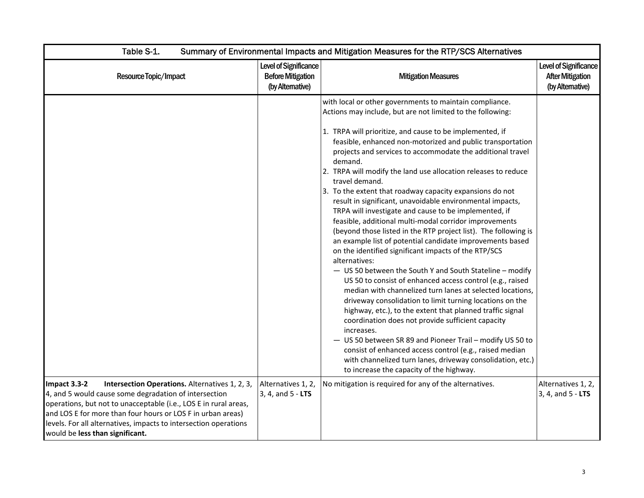| Table S-1.                                                                                                                                                                                                                                                                                                                                                        | Summary of Environmental Impacts and Mitigation Measures for the RTP/SCS Alternatives |                                                                                                                                                                                                                                                                                                                                                                                                                                                                                                                                                                                                                                                                                                                                                                                                                                                                                                                                                                                                                                                                                                                                                                                                                                                                                                                                                                                                                                                                                       |                                                                      |  |
|-------------------------------------------------------------------------------------------------------------------------------------------------------------------------------------------------------------------------------------------------------------------------------------------------------------------------------------------------------------------|---------------------------------------------------------------------------------------|---------------------------------------------------------------------------------------------------------------------------------------------------------------------------------------------------------------------------------------------------------------------------------------------------------------------------------------------------------------------------------------------------------------------------------------------------------------------------------------------------------------------------------------------------------------------------------------------------------------------------------------------------------------------------------------------------------------------------------------------------------------------------------------------------------------------------------------------------------------------------------------------------------------------------------------------------------------------------------------------------------------------------------------------------------------------------------------------------------------------------------------------------------------------------------------------------------------------------------------------------------------------------------------------------------------------------------------------------------------------------------------------------------------------------------------------------------------------------------------|----------------------------------------------------------------------|--|
| Resource Topic/Impact                                                                                                                                                                                                                                                                                                                                             | Level of Significance<br><b>Before Mitigation</b><br>(by Alternative)                 | <b>Mitigation Measures</b>                                                                                                                                                                                                                                                                                                                                                                                                                                                                                                                                                                                                                                                                                                                                                                                                                                                                                                                                                                                                                                                                                                                                                                                                                                                                                                                                                                                                                                                            | Level of Significance<br><b>After Mitigation</b><br>(by Alternative) |  |
|                                                                                                                                                                                                                                                                                                                                                                   |                                                                                       | with local or other governments to maintain compliance.<br>Actions may include, but are not limited to the following:<br>1. TRPA will prioritize, and cause to be implemented, if<br>feasible, enhanced non-motorized and public transportation<br>projects and services to accommodate the additional travel<br>demand.<br>2. TRPA will modify the land use allocation releases to reduce<br>travel demand.<br>3. To the extent that roadway capacity expansions do not<br>result in significant, unavoidable environmental impacts,<br>TRPA will investigate and cause to be implemented, if<br>feasible, additional multi-modal corridor improvements<br>(beyond those listed in the RTP project list). The following is<br>an example list of potential candidate improvements based<br>on the identified significant impacts of the RTP/SCS<br>alternatives:<br>- US 50 between the South Y and South Stateline - modify<br>US 50 to consist of enhanced access control (e.g., raised<br>median with channelized turn lanes at selected locations,<br>driveway consolidation to limit turning locations on the<br>highway, etc.), to the extent that planned traffic signal<br>coordination does not provide sufficient capacity<br>increases.<br>- US 50 between SR 89 and Pioneer Trail - modify US 50 to<br>consist of enhanced access control (e.g., raised median<br>with channelized turn lanes, driveway consolidation, etc.)<br>to increase the capacity of the highway. |                                                                      |  |
| Impact 3.3-2<br>Intersection Operations. Alternatives 1, 2, 3,<br>4, and 5 would cause some degradation of intersection<br>operations, but not to unacceptable (i.e., LOS E in rural areas,<br>and LOS E for more than four hours or LOS F in urban areas)<br>levels. For all alternatives, impacts to intersection operations<br>would be less than significant. | Alternatives 1, 2,<br>3, 4, and 5 - LTS                                               | No mitigation is required for any of the alternatives.                                                                                                                                                                                                                                                                                                                                                                                                                                                                                                                                                                                                                                                                                                                                                                                                                                                                                                                                                                                                                                                                                                                                                                                                                                                                                                                                                                                                                                | Alternatives 1, 2,<br>3, 4, and 5 - LTS                              |  |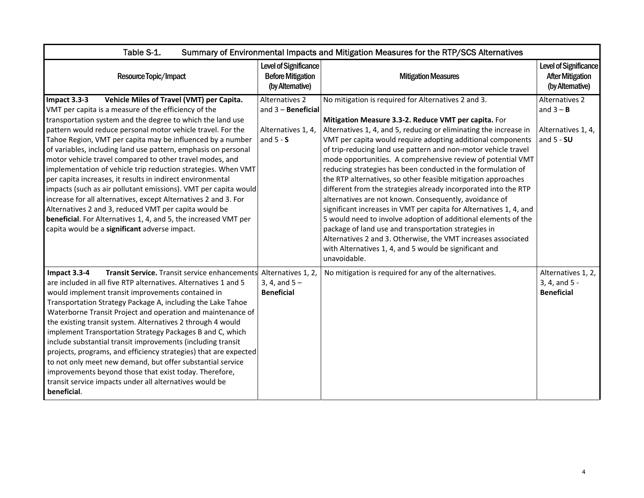| Table S-1.<br>Summary of Environmental Impacts and Mitigation Measures for the RTP/SCS Alternatives                                                                                                                                                                                                                                                                                                                                                                                                                                                                                                                                                                                                                                                                                                                                                                                          |                                                                              |                                                                                                                                                                                                                                                                                                                                                                                                                                                                                                                                                                                                                                                                                                                                                                                                                                                                                                                                                                                           |                                                                      |  |
|----------------------------------------------------------------------------------------------------------------------------------------------------------------------------------------------------------------------------------------------------------------------------------------------------------------------------------------------------------------------------------------------------------------------------------------------------------------------------------------------------------------------------------------------------------------------------------------------------------------------------------------------------------------------------------------------------------------------------------------------------------------------------------------------------------------------------------------------------------------------------------------------|------------------------------------------------------------------------------|-------------------------------------------------------------------------------------------------------------------------------------------------------------------------------------------------------------------------------------------------------------------------------------------------------------------------------------------------------------------------------------------------------------------------------------------------------------------------------------------------------------------------------------------------------------------------------------------------------------------------------------------------------------------------------------------------------------------------------------------------------------------------------------------------------------------------------------------------------------------------------------------------------------------------------------------------------------------------------------------|----------------------------------------------------------------------|--|
| Resource Topic/Impact                                                                                                                                                                                                                                                                                                                                                                                                                                                                                                                                                                                                                                                                                                                                                                                                                                                                        | <b>Level of Significance</b><br><b>Before Mitigation</b><br>(by Alternative) | <b>Mitigation Measures</b>                                                                                                                                                                                                                                                                                                                                                                                                                                                                                                                                                                                                                                                                                                                                                                                                                                                                                                                                                                | Level of Significance<br><b>After Mitigation</b><br>(by Alternative) |  |
| Impact 3.3-3<br>Vehicle Miles of Travel (VMT) per Capita.<br>VMT per capita is a measure of the efficiency of the<br>transportation system and the degree to which the land use<br>pattern would reduce personal motor vehicle travel. For the<br>Tahoe Region, VMT per capita may be influenced by a number<br>of variables, including land use pattern, emphasis on personal<br>motor vehicle travel compared to other travel modes, and<br>implementation of vehicle trip reduction strategies. When VMT<br>per capita increases, it results in indirect environmental<br>impacts (such as air pollutant emissions). VMT per capita would<br>increase for all alternatives, except Alternatives 2 and 3. For<br>Alternatives 2 and 3, reduced VMT per capita would be<br>beneficial. For Alternatives 1, 4, and 5, the increased VMT per<br>capita would be a significant adverse impact. | Alternatives 2<br>and $3 -$ Beneficial<br>Alternatives 1, 4,<br>and $5 - S$  | No mitigation is required for Alternatives 2 and 3.<br>Mitigation Measure 3.3-2. Reduce VMT per capita. For<br>Alternatives 1, 4, and 5, reducing or eliminating the increase in<br>VMT per capita would require adopting additional components<br>of trip-reducing land use pattern and non-motor vehicle travel<br>mode opportunities. A comprehensive review of potential VMT<br>reducing strategies has been conducted in the formulation of<br>the RTP alternatives, so other feasible mitigation approaches<br>different from the strategies already incorporated into the RTP<br>alternatives are not known. Consequently, avoidance of<br>significant increases in VMT per capita for Alternatives 1, 4, and<br>5 would need to involve adoption of additional elements of the<br>package of land use and transportation strategies in<br>Alternatives 2 and 3. Otherwise, the VMT increases associated<br>with Alternatives 1, 4, and 5 would be significant and<br>unavoidable. | Alternatives 2<br>and $3 - B$<br>Alternatives 1, 4,<br>and $5 - SU$  |  |
| Impact 3.3-4<br>Transit Service. Transit service enhancements Alternatives 1, 2,<br>are included in all five RTP alternatives. Alternatives 1 and 5<br>would implement transit improvements contained in<br>Transportation Strategy Package A, including the Lake Tahoe<br>Waterborne Transit Project and operation and maintenance of<br>the existing transit system. Alternatives 2 through 4 would<br>implement Transportation Strategy Packages B and C, which<br>include substantial transit improvements (including transit<br>projects, programs, and efficiency strategies) that are expected<br>to not only meet new demand, but offer substantial service<br>improvements beyond those that exist today. Therefore,<br>transit service impacts under all alternatives would be<br>beneficial.                                                                                      | 3, 4, and $5 -$<br><b>Beneficial</b>                                         | No mitigation is required for any of the alternatives.                                                                                                                                                                                                                                                                                                                                                                                                                                                                                                                                                                                                                                                                                                                                                                                                                                                                                                                                    | Alternatives 1, 2,<br>3, 4, and 5 -<br><b>Beneficial</b>             |  |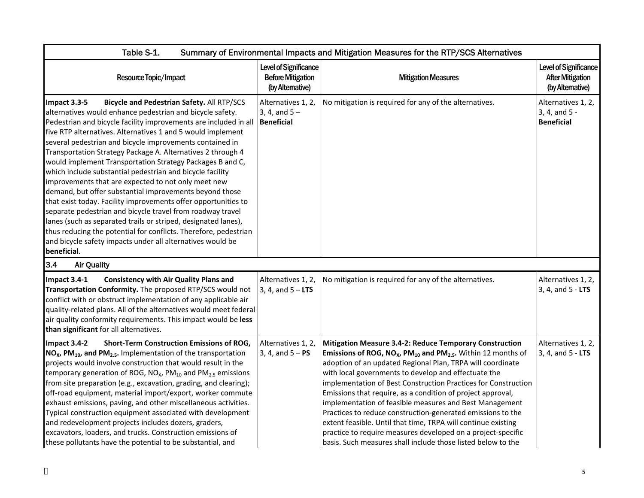| Table S-1.<br>Summary of Environmental Impacts and Mitigation Measures for the RTP/SCS Alternatives                                                                                                                                                                                                                                                                                                                                                                                                                                                                                                                                                                                                                                                                                                                                                                                                                                                                                               |                                                                      |                                                                                                                                                                                                                                                                                                                                                                                                                                                                                                                                                                                                                                                                                                                                            |                                                                      |
|---------------------------------------------------------------------------------------------------------------------------------------------------------------------------------------------------------------------------------------------------------------------------------------------------------------------------------------------------------------------------------------------------------------------------------------------------------------------------------------------------------------------------------------------------------------------------------------------------------------------------------------------------------------------------------------------------------------------------------------------------------------------------------------------------------------------------------------------------------------------------------------------------------------------------------------------------------------------------------------------------|----------------------------------------------------------------------|--------------------------------------------------------------------------------------------------------------------------------------------------------------------------------------------------------------------------------------------------------------------------------------------------------------------------------------------------------------------------------------------------------------------------------------------------------------------------------------------------------------------------------------------------------------------------------------------------------------------------------------------------------------------------------------------------------------------------------------------|----------------------------------------------------------------------|
| Resource Topic/Impact                                                                                                                                                                                                                                                                                                                                                                                                                                                                                                                                                                                                                                                                                                                                                                                                                                                                                                                                                                             | Level of Significance<br><b>Before Mitigation</b><br>(by Altemative) | <b>Mitigation Measures</b>                                                                                                                                                                                                                                                                                                                                                                                                                                                                                                                                                                                                                                                                                                                 | Level of Significance<br><b>After Mitigation</b><br>(by Alternative) |
| Impact 3.3-5<br>Bicycle and Pedestrian Safety. All RTP/SCS<br>alternatives would enhance pedestrian and bicycle safety.<br>Pedestrian and bicycle facility improvements are included in all   Beneficial<br>five RTP alternatives. Alternatives 1 and 5 would implement<br>several pedestrian and bicycle improvements contained in<br>Transportation Strategy Package A. Alternatives 2 through 4<br>would implement Transportation Strategy Packages B and C,<br>which include substantial pedestrian and bicycle facility<br>improvements that are expected to not only meet new<br>demand, but offer substantial improvements beyond those<br>that exist today. Facility improvements offer opportunities to<br>separate pedestrian and bicycle travel from roadway travel<br>lanes (such as separated trails or striped, designated lanes),<br>thus reducing the potential for conflicts. Therefore, pedestrian<br>and bicycle safety impacts under all alternatives would be<br>beneficial. | Alternatives 1, 2,<br>3, 4, and $5 -$                                | No mitigation is required for any of the alternatives.                                                                                                                                                                                                                                                                                                                                                                                                                                                                                                                                                                                                                                                                                     | Alternatives 1, 2,<br>3, 4, and 5 -<br><b>Beneficial</b>             |
| 3.4<br><b>Air Quality</b>                                                                                                                                                                                                                                                                                                                                                                                                                                                                                                                                                                                                                                                                                                                                                                                                                                                                                                                                                                         |                                                                      |                                                                                                                                                                                                                                                                                                                                                                                                                                                                                                                                                                                                                                                                                                                                            |                                                                      |
| <b>Consistency with Air Quality Plans and</b><br>Impact 3.4-1<br>Transportation Conformity. The proposed RTP/SCS would not<br>conflict with or obstruct implementation of any applicable air<br>quality-related plans. All of the alternatives would meet federal<br>air quality conformity requirements. This impact would be less<br>than significant for all alternatives.                                                                                                                                                                                                                                                                                                                                                                                                                                                                                                                                                                                                                     | Alternatives 1, 2,<br>$3, 4,$ and $5 - LTS$                          | No mitigation is required for any of the alternatives.                                                                                                                                                                                                                                                                                                                                                                                                                                                                                                                                                                                                                                                                                     | Alternatives 1, 2,<br>3, 4, and 5 - LTS                              |
| Impact 3.4-2<br><b>Short-Term Construction Emissions of ROG,</b><br>$NOx$ , PM <sub>10</sub> , and PM <sub>2.5</sub> . Implementation of the transportation<br>projects would involve construction that would result in the<br>temporary generation of ROG, $NOx$ , PM <sub>10</sub> and PM <sub>2.5</sub> emissions<br>from site preparation (e.g., excavation, grading, and clearing);<br>off-road equipment, material import/export, worker commute<br>exhaust emissions, paving, and other miscellaneous activities.<br>Typical construction equipment associated with development<br>and redevelopment projects includes dozers, graders,<br>excavators, loaders, and trucks. Construction emissions of<br>these pollutants have the potential to be substantial, and                                                                                                                                                                                                                        | Alternatives 1, 2,<br>3, 4, and $5 - PS$                             | <b>Mitigation Measure 3.4-2: Reduce Temporary Construction</b><br>Emissions of ROG, $NOx$ , PM <sub>10</sub> and PM <sub>2.5</sub> . Within 12 months of<br>adoption of an updated Regional Plan, TRPA will coordinate<br>with local governments to develop and effectuate the<br>implementation of Best Construction Practices for Construction<br>Emissions that require, as a condition of project approval,<br>implementation of feasible measures and Best Management<br>Practices to reduce construction-generated emissions to the<br>extent feasible. Until that time, TRPA will continue existing<br>practice to require measures developed on a project-specific<br>basis. Such measures shall include those listed below to the | Alternatives 1, 2,<br>3, 4, and 5 - LTS                              |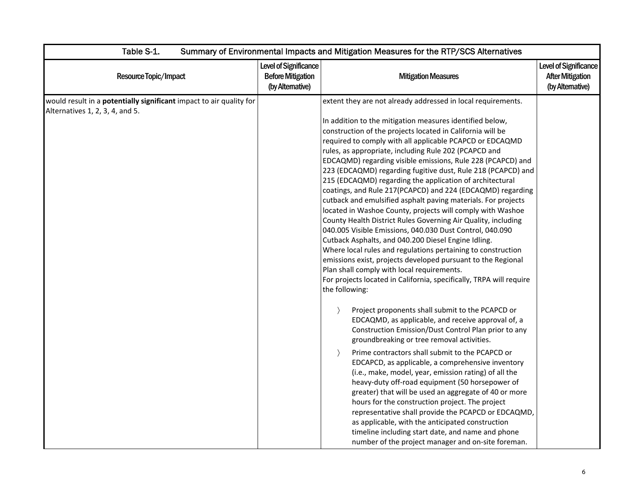| Table S-1.<br>Summary of Environmental Impacts and Mitigation Measures for the RTP/SCS Alternatives           |                                                                       |                                                                                                                                                                                                                                                                                                                                                                                                                                                                                                                                                                                                                                                                                                                                                                                                                                                                                                                                                                                                                                                                                                                                                                                                                                                                                                                                                                                                                                                                                                                                                                                                                                                                                                                                                                                                                                                                                                                                                                        |                                                                      |
|---------------------------------------------------------------------------------------------------------------|-----------------------------------------------------------------------|------------------------------------------------------------------------------------------------------------------------------------------------------------------------------------------------------------------------------------------------------------------------------------------------------------------------------------------------------------------------------------------------------------------------------------------------------------------------------------------------------------------------------------------------------------------------------------------------------------------------------------------------------------------------------------------------------------------------------------------------------------------------------------------------------------------------------------------------------------------------------------------------------------------------------------------------------------------------------------------------------------------------------------------------------------------------------------------------------------------------------------------------------------------------------------------------------------------------------------------------------------------------------------------------------------------------------------------------------------------------------------------------------------------------------------------------------------------------------------------------------------------------------------------------------------------------------------------------------------------------------------------------------------------------------------------------------------------------------------------------------------------------------------------------------------------------------------------------------------------------------------------------------------------------------------------------------------------------|----------------------------------------------------------------------|
| Resource Topic/Impact                                                                                         | Level of Significance<br><b>Before Mitigation</b><br>(by Alternative) | <b>Mitigation Measures</b>                                                                                                                                                                                                                                                                                                                                                                                                                                                                                                                                                                                                                                                                                                                                                                                                                                                                                                                                                                                                                                                                                                                                                                                                                                                                                                                                                                                                                                                                                                                                                                                                                                                                                                                                                                                                                                                                                                                                             | Level of Significance<br><b>After Mitigation</b><br>(by Alternative) |
| would result in a <b>potentially significant</b> impact to air quality for<br>Alternatives 1, 2, 3, 4, and 5. |                                                                       | extent they are not already addressed in local requirements.<br>In addition to the mitigation measures identified below,<br>construction of the projects located in California will be<br>required to comply with all applicable PCAPCD or EDCAQMD<br>rules, as appropriate, including Rule 202 (PCAPCD and<br>EDCAQMD) regarding visible emissions, Rule 228 (PCAPCD) and<br>223 (EDCAQMD) regarding fugitive dust, Rule 218 (PCAPCD) and<br>215 (EDCAQMD) regarding the application of architectural<br>coatings, and Rule 217(PCAPCD) and 224 (EDCAQMD) regarding<br>cutback and emulsified asphalt paving materials. For projects<br>located in Washoe County, projects will comply with Washoe<br>County Health District Rules Governing Air Quality, including<br>040.005 Visible Emissions, 040.030 Dust Control, 040.090<br>Cutback Asphalts, and 040.200 Diesel Engine Idling.<br>Where local rules and regulations pertaining to construction<br>emissions exist, projects developed pursuant to the Regional<br>Plan shall comply with local requirements.<br>For projects located in California, specifically, TRPA will require<br>the following:<br>Project proponents shall submit to the PCAPCD or<br>$\rightarrow$<br>EDCAQMD, as applicable, and receive approval of, a<br>Construction Emission/Dust Control Plan prior to any<br>groundbreaking or tree removal activities.<br>Prime contractors shall submit to the PCAPCD or<br>$\rightarrow$<br>EDCAPCD, as applicable, a comprehensive inventory<br>(i.e., make, model, year, emission rating) of all the<br>heavy-duty off-road equipment (50 horsepower of<br>greater) that will be used an aggregate of 40 or more<br>hours for the construction project. The project<br>representative shall provide the PCAPCD or EDCAQMD,<br>as applicable, with the anticipated construction<br>timeline including start date, and name and phone<br>number of the project manager and on-site foreman. |                                                                      |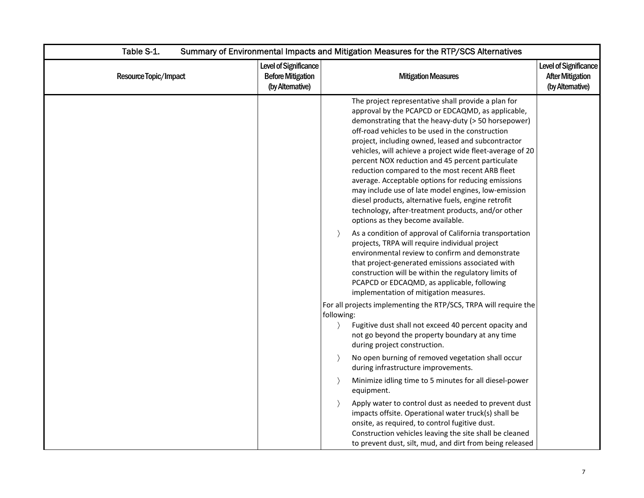| Table S-1.            | Summary of Environmental Impacts and Mitigation Measures for the RTP/SCS Alternatives |                                                                                                                                                                                                                                                                                                                                                                                                                                                                                                                                                                                                                                                                                                              |                                                                            |  |
|-----------------------|---------------------------------------------------------------------------------------|--------------------------------------------------------------------------------------------------------------------------------------------------------------------------------------------------------------------------------------------------------------------------------------------------------------------------------------------------------------------------------------------------------------------------------------------------------------------------------------------------------------------------------------------------------------------------------------------------------------------------------------------------------------------------------------------------------------|----------------------------------------------------------------------------|--|
| Resource Topic/Impact | Level of Significance<br><b>Before Mitigation</b><br>(by Alternative)                 | <b>Mitigation Measures</b>                                                                                                                                                                                                                                                                                                                                                                                                                                                                                                                                                                                                                                                                                   | <b>Level of Significance</b><br><b>After Mitigation</b><br>(by Altemative) |  |
|                       |                                                                                       | The project representative shall provide a plan for<br>approval by the PCAPCD or EDCAQMD, as applicable,<br>demonstrating that the heavy-duty (> 50 horsepower)<br>off-road vehicles to be used in the construction<br>project, including owned, leased and subcontractor<br>vehicles, will achieve a project wide fleet-average of 20<br>percent NOX reduction and 45 percent particulate<br>reduction compared to the most recent ARB fleet<br>average. Acceptable options for reducing emissions<br>may include use of late model engines, low-emission<br>diesel products, alternative fuels, engine retrofit<br>technology, after-treatment products, and/or other<br>options as they become available. |                                                                            |  |
|                       |                                                                                       | As a condition of approval of California transportation<br>$\rightarrow$<br>projects, TRPA will require individual project<br>environmental review to confirm and demonstrate<br>that project-generated emissions associated with<br>construction will be within the regulatory limits of<br>PCAPCD or EDCAQMD, as applicable, following<br>implementation of mitigation measures.                                                                                                                                                                                                                                                                                                                           |                                                                            |  |
|                       |                                                                                       | For all projects implementing the RTP/SCS, TRPA will require the<br>following:<br>Fugitive dust shall not exceed 40 percent opacity and<br>$\left\langle \right\rangle$<br>not go beyond the property boundary at any time<br>during project construction.<br>No open burning of removed vegetation shall occur<br>$\rightarrow$<br>during infrastructure improvements.<br>Minimize idling time to 5 minutes for all diesel-power<br>$\rightarrow$<br>equipment.<br>Apply water to control dust as needed to prevent dust<br>$\left\langle \right\rangle$<br>impacts offsite. Operational water truck(s) shall be                                                                                            |                                                                            |  |
|                       |                                                                                       | onsite, as required, to control fugitive dust.<br>Construction vehicles leaving the site shall be cleaned<br>to prevent dust, silt, mud, and dirt from being released                                                                                                                                                                                                                                                                                                                                                                                                                                                                                                                                        |                                                                            |  |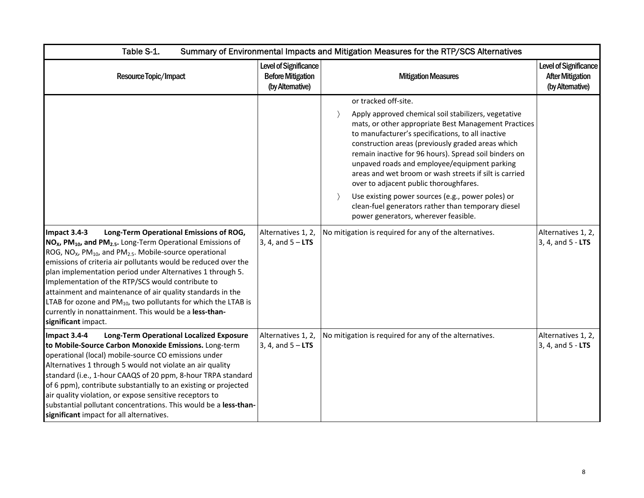| Table S-1.<br>Summary of Environmental Impacts and Mitigation Measures for the RTP/SCS Alternatives                                                                                                                                                                                                                                                                                                                                                                                                                                                         |                                                                              |                                                                                                                                                                                                                                                                                                                                                                                                                                                                                                                                                                                                                                                                                           |                                                                      |
|-------------------------------------------------------------------------------------------------------------------------------------------------------------------------------------------------------------------------------------------------------------------------------------------------------------------------------------------------------------------------------------------------------------------------------------------------------------------------------------------------------------------------------------------------------------|------------------------------------------------------------------------------|-------------------------------------------------------------------------------------------------------------------------------------------------------------------------------------------------------------------------------------------------------------------------------------------------------------------------------------------------------------------------------------------------------------------------------------------------------------------------------------------------------------------------------------------------------------------------------------------------------------------------------------------------------------------------------------------|----------------------------------------------------------------------|
| Resource Topic/Impact                                                                                                                                                                                                                                                                                                                                                                                                                                                                                                                                       | <b>Level of Significance</b><br><b>Before Mitigation</b><br>(by Alternative) | <b>Mitigation Measures</b>                                                                                                                                                                                                                                                                                                                                                                                                                                                                                                                                                                                                                                                                | Level of Significance<br><b>After Mitigation</b><br>(by Alternative) |
| Long-Term Operational Emissions of ROG,<br>Impact 3.4-3<br>NO <sub>x</sub> , PM <sub>10</sub> , and PM <sub>2.5</sub> . Long-Term Operational Emissions of                                                                                                                                                                                                                                                                                                                                                                                                  | Alternatives 1, 2,<br>3, 4, and $5 - LTS$                                    | or tracked off-site.<br>Apply approved chemical soil stabilizers, vegetative<br>$\rightarrow$<br>mats, or other appropriate Best Management Practices<br>to manufacturer's specifications, to all inactive<br>construction areas (previously graded areas which<br>remain inactive for 96 hours). Spread soil binders on<br>unpaved roads and employee/equipment parking<br>areas and wet broom or wash streets if silt is carried<br>over to adjacent public thoroughfares.<br>Use existing power sources (e.g., power poles) or<br>clean-fuel generators rather than temporary diesel<br>power generators, wherever feasible.<br>No mitigation is required for any of the alternatives. | Alternatives 1, 2,<br>$3, 4, and 5 - LTS$                            |
| ROG, NO <sub>x</sub> , PM <sub>10</sub> , and PM <sub>2.5</sub> . Mobile-source operational<br>emissions of criteria air pollutants would be reduced over the<br>plan implementation period under Alternatives 1 through 5.<br>Implementation of the RTP/SCS would contribute to<br>attainment and maintenance of air quality standards in the<br>LTAB for ozone and $PM_{10}$ , two pollutants for which the LTAB is<br>currently in nonattainment. This would be a less-than-<br>significant impact.                                                      |                                                                              |                                                                                                                                                                                                                                                                                                                                                                                                                                                                                                                                                                                                                                                                                           |                                                                      |
| Impact 3.4-4<br><b>Long-Term Operational Localized Exposure</b><br>to Mobile-Source Carbon Monoxide Emissions. Long-term<br>operational (local) mobile-source CO emissions under<br>Alternatives 1 through 5 would not violate an air quality<br>standard (i.e., 1-hour CAAQS of 20 ppm, 8-hour TRPA standard<br>of 6 ppm), contribute substantially to an existing or projected<br>air quality violation, or expose sensitive receptors to<br>substantial pollutant concentrations. This would be a less-than-<br>significant impact for all alternatives. | Alternatives 1, 2,<br>3, 4, and $5 - LTS$                                    | No mitigation is required for any of the alternatives.                                                                                                                                                                                                                                                                                                                                                                                                                                                                                                                                                                                                                                    | Alternatives 1, 2,<br>3, 4, and 5 - LTS                              |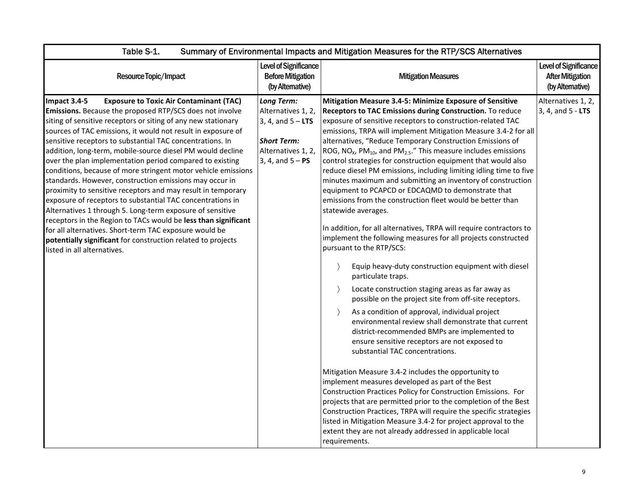| Table S-1.<br>Summary of Environmental Impacts and Mitigation Measures for the RTP/SCS Alternatives                                                                                                                                                                                                                                                                                                                                                                                                                                                                                                                                                                                                                                                                                                                                                                                                                                                                                                  |                                                                                                                                  |                                                                                                                                                                                                                                                                                                                                                                                                                                                                                                                                                                                                                                                                                                                                                                                                                                                                                                                                                                                                                                                                                                                                                                                                                                                                                                                                                                                                                                                                                                                                                                                                                                                                                                                                                                                                                                                                                                          |                                                                            |
|------------------------------------------------------------------------------------------------------------------------------------------------------------------------------------------------------------------------------------------------------------------------------------------------------------------------------------------------------------------------------------------------------------------------------------------------------------------------------------------------------------------------------------------------------------------------------------------------------------------------------------------------------------------------------------------------------------------------------------------------------------------------------------------------------------------------------------------------------------------------------------------------------------------------------------------------------------------------------------------------------|----------------------------------------------------------------------------------------------------------------------------------|----------------------------------------------------------------------------------------------------------------------------------------------------------------------------------------------------------------------------------------------------------------------------------------------------------------------------------------------------------------------------------------------------------------------------------------------------------------------------------------------------------------------------------------------------------------------------------------------------------------------------------------------------------------------------------------------------------------------------------------------------------------------------------------------------------------------------------------------------------------------------------------------------------------------------------------------------------------------------------------------------------------------------------------------------------------------------------------------------------------------------------------------------------------------------------------------------------------------------------------------------------------------------------------------------------------------------------------------------------------------------------------------------------------------------------------------------------------------------------------------------------------------------------------------------------------------------------------------------------------------------------------------------------------------------------------------------------------------------------------------------------------------------------------------------------------------------------------------------------------------------------------------------------|----------------------------------------------------------------------------|
| Resource Topic/Impact                                                                                                                                                                                                                                                                                                                                                                                                                                                                                                                                                                                                                                                                                                                                                                                                                                                                                                                                                                                | Level of Significance<br><b>Before Mitigation</b><br>(by Altemative)                                                             | <b>Mitigation Measures</b>                                                                                                                                                                                                                                                                                                                                                                                                                                                                                                                                                                                                                                                                                                                                                                                                                                                                                                                                                                                                                                                                                                                                                                                                                                                                                                                                                                                                                                                                                                                                                                                                                                                                                                                                                                                                                                                                               | <b>Level of Significance</b><br><b>After Mitigation</b><br>(by Altemative) |
| Impact 3.4-5<br><b>Exposure to Toxic Air Contaminant (TAC)</b><br>Emissions. Because the proposed RTP/SCS does not involve<br>siting of sensitive receptors or siting of any new stationary<br>sources of TAC emissions, it would not result in exposure of<br>sensitive receptors to substantial TAC concentrations. In<br>addition, long-term, mobile-source diesel PM would decline<br>over the plan implementation period compared to existing<br>conditions, because of more stringent motor vehicle emissions<br>standards. However, construction emissions may occur in<br>proximity to sensitive receptors and may result in temporary<br>exposure of receptors to substantial TAC concentrations in<br>Alternatives 1 through 5. Long-term exposure of sensitive<br>receptors in the Region to TACs would be less than significant<br>for all alternatives. Short-term TAC exposure would be<br>potentially significant for construction related to projects<br>listed in all alternatives. | <b>Long Term:</b><br>Alternatives 1, 2,<br>3, 4, and $5 - LTS$<br><b>Short Term:</b><br>Alternatives 1, 2,<br>3, 4, and $5 - PS$ | Mitigation Measure 3.4-5: Minimize Exposure of Sensitive<br>Receptors to TAC Emissions during Construction. To reduce<br>exposure of sensitive receptors to construction-related TAC<br>emissions, TRPA will implement Mitigation Measure 3.4-2 for all<br>alternatives, "Reduce Temporary Construction Emissions of<br>ROG, $NO_{X}$ , $PM_{10}$ , and $PM_{2.5}$ ." This measure includes emissions<br>control strategies for construction equipment that would also<br>reduce diesel PM emissions, including limiting idling time to five<br>minutes maximum and submitting an inventory of construction<br>equipment to PCAPCD or EDCAQMD to demonstrate that<br>emissions from the construction fleet would be better than<br>statewide averages.<br>In addition, for all alternatives, TRPA will require contractors to<br>implement the following measures for all projects constructed<br>pursuant to the RTP/SCS:<br>Equip heavy-duty construction equipment with diesel<br>$\left\langle \right\rangle$<br>particulate traps.<br>Locate construction staging areas as far away as<br>$\rightarrow$<br>possible on the project site from off-site receptors.<br>As a condition of approval, individual project<br>$\rightarrow$<br>environmental review shall demonstrate that current<br>district-recommended BMPs are implemented to<br>ensure sensitive receptors are not exposed to<br>substantial TAC concentrations.<br>Mitigation Measure 3.4-2 includes the opportunity to<br>implement measures developed as part of the Best<br>Construction Practices Policy for Construction Emissions. For<br>projects that are permitted prior to the completion of the Best<br>Construction Practices, TRPA will require the specific strategies<br>listed in Mitigation Measure 3.4-2 for project approval to the<br>extent they are not already addressed in applicable local<br>requirements. | Alternatives 1, 2,<br>3, 4, and 5 - LTS                                    |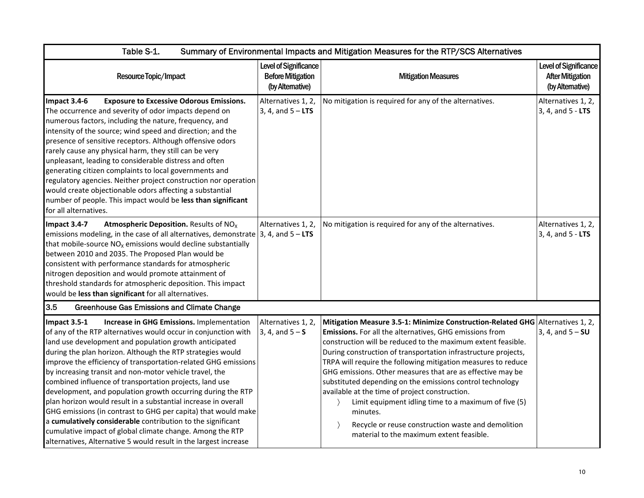| Table S-1.<br>Summary of Environmental Impacts and Mitigation Measures for the RTP/SCS Alternatives                                                                                                                                                                                                                                                                                                                                                                                                                                                                                                                                                                                                                                                                                                                                           |                                                                       |                                                                                                                                                                                                                                                                                                                                                                                                                                                                                                                                                                                                                                                                                                                  |                                                                      |
|-----------------------------------------------------------------------------------------------------------------------------------------------------------------------------------------------------------------------------------------------------------------------------------------------------------------------------------------------------------------------------------------------------------------------------------------------------------------------------------------------------------------------------------------------------------------------------------------------------------------------------------------------------------------------------------------------------------------------------------------------------------------------------------------------------------------------------------------------|-----------------------------------------------------------------------|------------------------------------------------------------------------------------------------------------------------------------------------------------------------------------------------------------------------------------------------------------------------------------------------------------------------------------------------------------------------------------------------------------------------------------------------------------------------------------------------------------------------------------------------------------------------------------------------------------------------------------------------------------------------------------------------------------------|----------------------------------------------------------------------|
| Resource Topic/Impact                                                                                                                                                                                                                                                                                                                                                                                                                                                                                                                                                                                                                                                                                                                                                                                                                         | Level of Significance<br><b>Before Mitigation</b><br>(by Alternative) | <b>Mitigation Measures</b>                                                                                                                                                                                                                                                                                                                                                                                                                                                                                                                                                                                                                                                                                       | Level of Significance<br><b>After Mitigation</b><br>(by Alternative) |
| Impact 3.4-6<br><b>Exposure to Excessive Odorous Emissions.</b><br>The occurrence and severity of odor impacts depend on<br>numerous factors, including the nature, frequency, and<br>intensity of the source; wind speed and direction; and the<br>presence of sensitive receptors. Although offensive odors<br>rarely cause any physical harm, they still can be very<br>unpleasant, leading to considerable distress and often<br>generating citizen complaints to local governments and<br>regulatory agencies. Neither project construction nor operation<br>would create objectionable odors affecting a substantial<br>number of people. This impact would be less than significant<br>for all alternatives.                                                                                                                           | Alternatives 1, 2,<br>3, 4, and $5 - LTS$                             | No mitigation is required for any of the alternatives.                                                                                                                                                                                                                                                                                                                                                                                                                                                                                                                                                                                                                                                           | Alternatives 1, 2,<br>3, 4, and 5 - LTS                              |
| Impact 3.4-7<br><b>Atmospheric Deposition.</b> Results of NO <sub>x</sub><br>emissions modeling, in the case of all alternatives, demonstrate 3, 4, and $5 - LTS$<br>that mobile-source $NOx$ emissions would decline substantially<br>between 2010 and 2035. The Proposed Plan would be<br>consistent with performance standards for atmospheric<br>nitrogen deposition and would promote attainment of<br>threshold standards for atmospheric deposition. This impact<br>would be less than significant for all alternatives.                                                                                                                                                                                                                                                                                                               | Alternatives 1, 2,                                                    | No mitigation is required for any of the alternatives.                                                                                                                                                                                                                                                                                                                                                                                                                                                                                                                                                                                                                                                           | Alternatives 1, 2,<br>3, 4, and 5 - LTS                              |
| 3.5<br><b>Greenhouse Gas Emissions and Climate Change</b>                                                                                                                                                                                                                                                                                                                                                                                                                                                                                                                                                                                                                                                                                                                                                                                     |                                                                       |                                                                                                                                                                                                                                                                                                                                                                                                                                                                                                                                                                                                                                                                                                                  |                                                                      |
| Increase in GHG Emissions. Implementation<br>Impact 3.5-1<br>of any of the RTP alternatives would occur in conjunction with<br>land use development and population growth anticipated<br>during the plan horizon. Although the RTP strategies would<br>improve the efficiency of transportation-related GHG emissions<br>by increasing transit and non-motor vehicle travel, the<br>combined influence of transportation projects, land use<br>development, and population growth occurring during the RTP<br>plan horizon would result in a substantial increase in overall<br>GHG emissions (in contrast to GHG per capita) that would make<br>a cumulatively considerable contribution to the significant<br>cumulative impact of global climate change. Among the RTP<br>alternatives, Alternative 5 would result in the largest increase | Alternatives 1, 2,<br>3, 4, and $5 - S$                               | Mitigation Measure 3.5-1: Minimize Construction-Related GHG Alternatives 1, 2,<br>Emissions. For all the alternatives, GHG emissions from<br>construction will be reduced to the maximum extent feasible.<br>During construction of transportation infrastructure projects,<br>TRPA will require the following mitigation measures to reduce<br>GHG emissions. Other measures that are as effective may be<br>substituted depending on the emissions control technology<br>available at the time of project construction.<br>Limit equipment idling time to a maximum of five (5)<br>minutes.<br>Recycle or reuse construction waste and demolition<br>$\rightarrow$<br>material to the maximum extent feasible. | 3, 4, and $5 - SU$                                                   |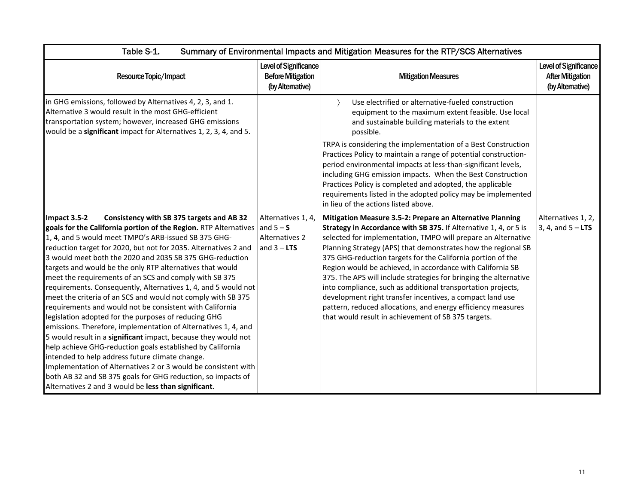| Table S-1.<br>Summary of Environmental Impacts and Mitigation Measures for the RTP/SCS Alternatives                                                                                                                                                                                                                                                                                                                                                                                                                                                                                                                                                                                                                                                                                                                                                                                                                                                                                                                                                                                                                                              |                                                                             |                                                                                                                                                                                                                                                                                                                                                                                                                                                                                                                                                                                                                                                                                                                       |                                                                      |
|--------------------------------------------------------------------------------------------------------------------------------------------------------------------------------------------------------------------------------------------------------------------------------------------------------------------------------------------------------------------------------------------------------------------------------------------------------------------------------------------------------------------------------------------------------------------------------------------------------------------------------------------------------------------------------------------------------------------------------------------------------------------------------------------------------------------------------------------------------------------------------------------------------------------------------------------------------------------------------------------------------------------------------------------------------------------------------------------------------------------------------------------------|-----------------------------------------------------------------------------|-----------------------------------------------------------------------------------------------------------------------------------------------------------------------------------------------------------------------------------------------------------------------------------------------------------------------------------------------------------------------------------------------------------------------------------------------------------------------------------------------------------------------------------------------------------------------------------------------------------------------------------------------------------------------------------------------------------------------|----------------------------------------------------------------------|
| Resource Topic/Impact                                                                                                                                                                                                                                                                                                                                                                                                                                                                                                                                                                                                                                                                                                                                                                                                                                                                                                                                                                                                                                                                                                                            | Level of Significance<br><b>Before Mitigation</b><br>(by Altemative)        | <b>Mitigation Measures</b>                                                                                                                                                                                                                                                                                                                                                                                                                                                                                                                                                                                                                                                                                            | Level of Significance<br><b>After Mitigation</b><br>(by Alternative) |
| in GHG emissions, followed by Alternatives 4, 2, 3, and 1.<br>Alternative 3 would result in the most GHG-efficient<br>transportation system; however, increased GHG emissions<br>would be a significant impact for Alternatives 1, 2, 3, 4, and 5.                                                                                                                                                                                                                                                                                                                                                                                                                                                                                                                                                                                                                                                                                                                                                                                                                                                                                               |                                                                             | Use electrified or alternative-fueled construction<br>equipment to the maximum extent feasible. Use local<br>and sustainable building materials to the extent<br>possible.<br>TRPA is considering the implementation of a Best Construction<br>Practices Policy to maintain a range of potential construction-<br>period environmental impacts at less-than-significant levels,<br>including GHG emission impacts. When the Best Construction<br>Practices Policy is completed and adopted, the applicable<br>requirements listed in the adopted policy may be implemented<br>in lieu of the actions listed above.                                                                                                    |                                                                      |
| Impact 3.5-2<br>Consistency with SB 375 targets and AB 32<br>goals for the California portion of the Region. RTP Alternatives<br>1, 4, and 5 would meet TMPO's ARB-issued SB 375 GHG-<br>reduction target for 2020, but not for 2035. Alternatives 2 and<br>3 would meet both the 2020 and 2035 SB 375 GHG-reduction<br>targets and would be the only RTP alternatives that would<br>meet the requirements of an SCS and comply with SB 375<br>requirements. Consequently, Alternatives 1, 4, and 5 would not<br>meet the criteria of an SCS and would not comply with SB 375<br>requirements and would not be consistent with California<br>legislation adopted for the purposes of reducing GHG<br>emissions. Therefore, implementation of Alternatives 1, 4, and<br>5 would result in a significant impact, because they would not<br>help achieve GHG-reduction goals established by California<br>intended to help address future climate change.<br>Implementation of Alternatives 2 or 3 would be consistent with<br>both AB 32 and SB 375 goals for GHG reduction, so impacts of<br>Alternatives 2 and 3 would be less than significant. | Alternatives 1, 4,<br>and $5 - S$<br><b>Alternatives 2</b><br>and $3 - LTS$ | Mitigation Measure 3.5-2: Prepare an Alternative Planning<br>Strategy in Accordance with SB 375. If Alternative 1, 4, or 5 is<br>selected for implementation, TMPO will prepare an Alternative<br>Planning Strategy (APS) that demonstrates how the regional SB<br>375 GHG-reduction targets for the California portion of the<br>Region would be achieved, in accordance with California SB<br>375. The APS will include strategies for bringing the alternative<br>into compliance, such as additional transportation projects,<br>development right transfer incentives, a compact land use<br>pattern, reduced allocations, and energy efficiency measures<br>that would result in achievement of SB 375 targets. | Alternatives 1, 2,<br>3, 4, and $5 - LTS$                            |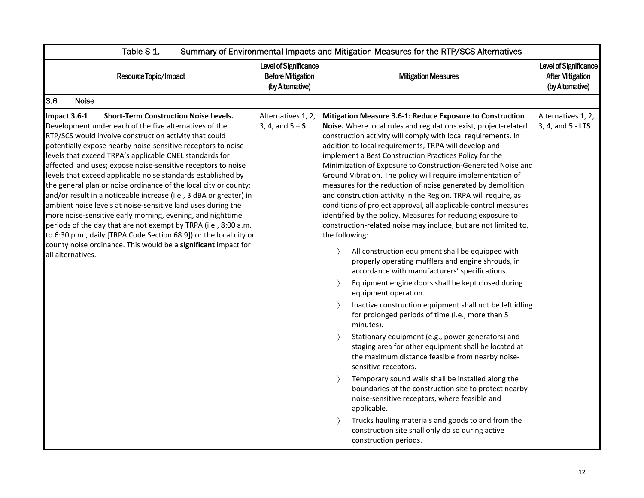| Table S-1.<br>Summary of Environmental Impacts and Mitigation Measures for the RTP/SCS Alternatives                                                                                                                                                                                                                                                                                                                                                                                                                                                                                                                                                                                                                                                                                                                                                                                                                                                  |                                                                       |                                                                                                                                                                                                                                                                                                                                                                                                                                                                                                                                                                                                                                                                                                                                                                                                                                                                                                                                                                                                                                                                                                                                                                                                                                                                                                                                                                                                                                                                                                                                                                                                                                                                                                                                                                               |                                                                      |  |
|------------------------------------------------------------------------------------------------------------------------------------------------------------------------------------------------------------------------------------------------------------------------------------------------------------------------------------------------------------------------------------------------------------------------------------------------------------------------------------------------------------------------------------------------------------------------------------------------------------------------------------------------------------------------------------------------------------------------------------------------------------------------------------------------------------------------------------------------------------------------------------------------------------------------------------------------------|-----------------------------------------------------------------------|-------------------------------------------------------------------------------------------------------------------------------------------------------------------------------------------------------------------------------------------------------------------------------------------------------------------------------------------------------------------------------------------------------------------------------------------------------------------------------------------------------------------------------------------------------------------------------------------------------------------------------------------------------------------------------------------------------------------------------------------------------------------------------------------------------------------------------------------------------------------------------------------------------------------------------------------------------------------------------------------------------------------------------------------------------------------------------------------------------------------------------------------------------------------------------------------------------------------------------------------------------------------------------------------------------------------------------------------------------------------------------------------------------------------------------------------------------------------------------------------------------------------------------------------------------------------------------------------------------------------------------------------------------------------------------------------------------------------------------------------------------------------------------|----------------------------------------------------------------------|--|
| Resource Topic/Impact                                                                                                                                                                                                                                                                                                                                                                                                                                                                                                                                                                                                                                                                                                                                                                                                                                                                                                                                | Level of Significance<br><b>Before Mitigation</b><br>(by Alternative) | <b>Mitigation Measures</b>                                                                                                                                                                                                                                                                                                                                                                                                                                                                                                                                                                                                                                                                                                                                                                                                                                                                                                                                                                                                                                                                                                                                                                                                                                                                                                                                                                                                                                                                                                                                                                                                                                                                                                                                                    | Level of Significance<br><b>After Mitigation</b><br>(by Alternative) |  |
| 3.6<br><b>Noise</b>                                                                                                                                                                                                                                                                                                                                                                                                                                                                                                                                                                                                                                                                                                                                                                                                                                                                                                                                  |                                                                       |                                                                                                                                                                                                                                                                                                                                                                                                                                                                                                                                                                                                                                                                                                                                                                                                                                                                                                                                                                                                                                                                                                                                                                                                                                                                                                                                                                                                                                                                                                                                                                                                                                                                                                                                                                               |                                                                      |  |
| Impact 3.6-1<br><b>Short-Term Construction Noise Levels.</b><br>Development under each of the five alternatives of the<br>RTP/SCS would involve construction activity that could<br>potentially expose nearby noise-sensitive receptors to noise<br>levels that exceed TRPA's applicable CNEL standards for<br>affected land uses; expose noise-sensitive receptors to noise<br>levels that exceed applicable noise standards established by<br>the general plan or noise ordinance of the local city or county;<br>and/or result in a noticeable increase (i.e., 3 dBA or greater) in<br>ambient noise levels at noise-sensitive land uses during the<br>more noise-sensitive early morning, evening, and nighttime<br>periods of the day that are not exempt by TRPA (i.e., 8:00 a.m.<br>to 6:30 p.m., daily [TRPA Code Section 68.9]) or the local city or<br>county noise ordinance. This would be a significant impact for<br>all alternatives. | Alternatives 1, 2,<br>3, 4, and $5 - S$                               | Mitigation Measure 3.6-1: Reduce Exposure to Construction<br>Noise. Where local rules and regulations exist, project-related<br>construction activity will comply with local requirements. In<br>addition to local requirements, TRPA will develop and<br>implement a Best Construction Practices Policy for the<br>Minimization of Exposure to Construction-Generated Noise and<br>Ground Vibration. The policy will require implementation of<br>measures for the reduction of noise generated by demolition<br>and construction activity in the Region. TRPA will require, as<br>conditions of project approval, all applicable control measures<br>identified by the policy. Measures for reducing exposure to<br>construction-related noise may include, but are not limited to,<br>the following:<br>All construction equipment shall be equipped with<br>properly operating mufflers and engine shrouds, in<br>accordance with manufacturers' specifications.<br>Equipment engine doors shall be kept closed during<br>$\left\langle \right\rangle$<br>equipment operation.<br>$\rightarrow$<br>Inactive construction equipment shall not be left idling<br>for prolonged periods of time (i.e., more than 5<br>minutes).<br>Stationary equipment (e.g., power generators) and<br>$\rightarrow$<br>staging area for other equipment shall be located at<br>the maximum distance feasible from nearby noise-<br>sensitive receptors.<br>Temporary sound walls shall be installed along the<br>$\rightarrow$<br>boundaries of the construction site to protect nearby<br>noise-sensitive receptors, where feasible and<br>applicable.<br>Trucks hauling materials and goods to and from the<br>construction site shall only do so during active<br>construction periods. | Alternatives 1, 2,<br>3, 4, and 5 - LTS                              |  |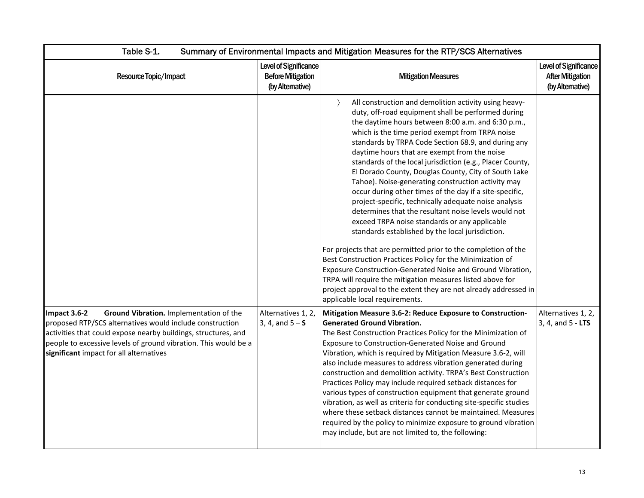| Table S-1.                                                                                                                                                                                                                                                                                          | Summary of Environmental Impacts and Mitigation Measures for the RTP/SCS Alternatives |                                                                                                                                                                                                                                                                                                                                                                                                                                                                                                                                                                                                                                                                                                                                                                                                                                                                                                                                                                                                                                                                                                                                                                             |                                                                      |  |
|-----------------------------------------------------------------------------------------------------------------------------------------------------------------------------------------------------------------------------------------------------------------------------------------------------|---------------------------------------------------------------------------------------|-----------------------------------------------------------------------------------------------------------------------------------------------------------------------------------------------------------------------------------------------------------------------------------------------------------------------------------------------------------------------------------------------------------------------------------------------------------------------------------------------------------------------------------------------------------------------------------------------------------------------------------------------------------------------------------------------------------------------------------------------------------------------------------------------------------------------------------------------------------------------------------------------------------------------------------------------------------------------------------------------------------------------------------------------------------------------------------------------------------------------------------------------------------------------------|----------------------------------------------------------------------|--|
| Resource Topic/Impact                                                                                                                                                                                                                                                                               | Level of Significance<br><b>Before Mitigation</b><br>(by Alternative)                 | <b>Mitigation Measures</b>                                                                                                                                                                                                                                                                                                                                                                                                                                                                                                                                                                                                                                                                                                                                                                                                                                                                                                                                                                                                                                                                                                                                                  | Level of Significance<br><b>After Mitigation</b><br>(by Alternative) |  |
|                                                                                                                                                                                                                                                                                                     |                                                                                       | $\rightarrow$<br>All construction and demolition activity using heavy-<br>duty, off-road equipment shall be performed during<br>the daytime hours between 8:00 a.m. and 6:30 p.m.,<br>which is the time period exempt from TRPA noise<br>standards by TRPA Code Section 68.9, and during any<br>daytime hours that are exempt from the noise<br>standards of the local jurisdiction (e.g., Placer County,<br>El Dorado County, Douglas County, City of South Lake<br>Tahoe). Noise-generating construction activity may<br>occur during other times of the day if a site-specific,<br>project-specific, technically adequate noise analysis<br>determines that the resultant noise levels would not<br>exceed TRPA noise standards or any applicable<br>standards established by the local jurisdiction.<br>For projects that are permitted prior to the completion of the<br>Best Construction Practices Policy for the Minimization of<br>Exposure Construction-Generated Noise and Ground Vibration,<br>TRPA will require the mitigation measures listed above for<br>project approval to the extent they are not already addressed in<br>applicable local requirements. |                                                                      |  |
| Ground Vibration. Implementation of the<br>Impact 3.6-2<br>proposed RTP/SCS alternatives would include construction<br>activities that could expose nearby buildings, structures, and<br>people to excessive levels of ground vibration. This would be a<br>significant impact for all alternatives | Alternatives 1, 2,<br>$3, 4, and 5 - S$                                               | Mitigation Measure 3.6-2: Reduce Exposure to Construction-<br><b>Generated Ground Vibration.</b><br>The Best Construction Practices Policy for the Minimization of<br>Exposure to Construction-Generated Noise and Ground<br>Vibration, which is required by Mitigation Measure 3.6-2, will<br>also include measures to address vibration generated during<br>construction and demolition activity. TRPA's Best Construction<br>Practices Policy may include required setback distances for<br>various types of construction equipment that generate ground<br>vibration, as well as criteria for conducting site-specific studies<br>where these setback distances cannot be maintained. Measures<br>required by the policy to minimize exposure to ground vibration<br>may include, but are not limited to, the following:                                                                                                                                                                                                                                                                                                                                                | Alternatives 1, 2,<br>3, 4, and 5 - LTS                              |  |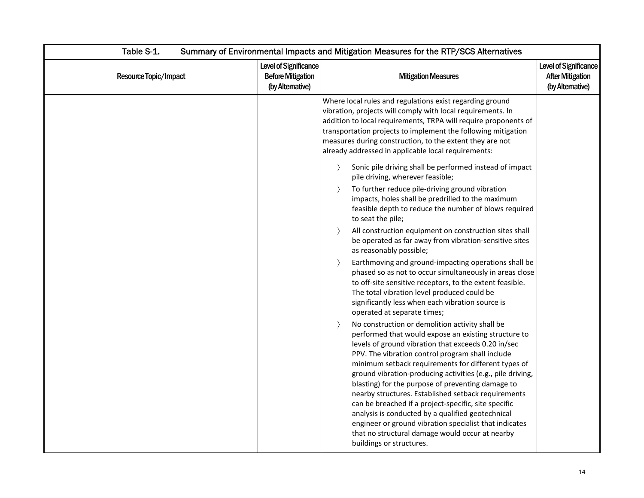| Table S-1.<br>Summary of Environmental Impacts and Mitigation Measures for the RTP/SCS Alternatives |                                                                       |                                                                                                                                                                                                                                                                                                                                                                                                                                                                                                                                                                                                                                                                                                                                                                                                                                                                                                                                                                                                                                                                                                                                                                                                                                                                                                                                                                                                                                                                                                                                                                                                                                                                                                                                                                                                                                                                                                                                       |                                                                      |
|-----------------------------------------------------------------------------------------------------|-----------------------------------------------------------------------|---------------------------------------------------------------------------------------------------------------------------------------------------------------------------------------------------------------------------------------------------------------------------------------------------------------------------------------------------------------------------------------------------------------------------------------------------------------------------------------------------------------------------------------------------------------------------------------------------------------------------------------------------------------------------------------------------------------------------------------------------------------------------------------------------------------------------------------------------------------------------------------------------------------------------------------------------------------------------------------------------------------------------------------------------------------------------------------------------------------------------------------------------------------------------------------------------------------------------------------------------------------------------------------------------------------------------------------------------------------------------------------------------------------------------------------------------------------------------------------------------------------------------------------------------------------------------------------------------------------------------------------------------------------------------------------------------------------------------------------------------------------------------------------------------------------------------------------------------------------------------------------------------------------------------------------|----------------------------------------------------------------------|
| Resource Topic/Impact                                                                               | Level of Significance<br><b>Before Mitigation</b><br>(by Alternative) | <b>Mitigation Measures</b>                                                                                                                                                                                                                                                                                                                                                                                                                                                                                                                                                                                                                                                                                                                                                                                                                                                                                                                                                                                                                                                                                                                                                                                                                                                                                                                                                                                                                                                                                                                                                                                                                                                                                                                                                                                                                                                                                                            | Level of Significance<br><b>After Mitigation</b><br>(by Alternative) |
|                                                                                                     |                                                                       | Where local rules and regulations exist regarding ground<br>vibration, projects will comply with local requirements. In<br>addition to local requirements, TRPA will require proponents of<br>transportation projects to implement the following mitigation<br>measures during construction, to the extent they are not<br>already addressed in applicable local requirements:<br>Sonic pile driving shall be performed instead of impact<br>$\rightarrow$<br>pile driving, wherever feasible;<br>To further reduce pile-driving ground vibration<br>$\rightarrow$<br>impacts, holes shall be predrilled to the maximum<br>feasible depth to reduce the number of blows required<br>to seat the pile;<br>All construction equipment on construction sites shall<br>$\rightarrow$<br>be operated as far away from vibration-sensitive sites<br>as reasonably possible;<br>Earthmoving and ground-impacting operations shall be<br>$\rightarrow$<br>phased so as not to occur simultaneously in areas close<br>to off-site sensitive receptors, to the extent feasible.<br>The total vibration level produced could be<br>significantly less when each vibration source is<br>operated at separate times;<br>No construction or demolition activity shall be<br>$\rightarrow$<br>performed that would expose an existing structure to<br>levels of ground vibration that exceeds 0.20 in/sec<br>PPV. The vibration control program shall include<br>minimum setback requirements for different types of<br>ground vibration-producing activities (e.g., pile driving,<br>blasting) for the purpose of preventing damage to<br>nearby structures. Established setback requirements<br>can be breached if a project-specific, site specific<br>analysis is conducted by a qualified geotechnical<br>engineer or ground vibration specialist that indicates<br>that no structural damage would occur at nearby<br>buildings or structures. |                                                                      |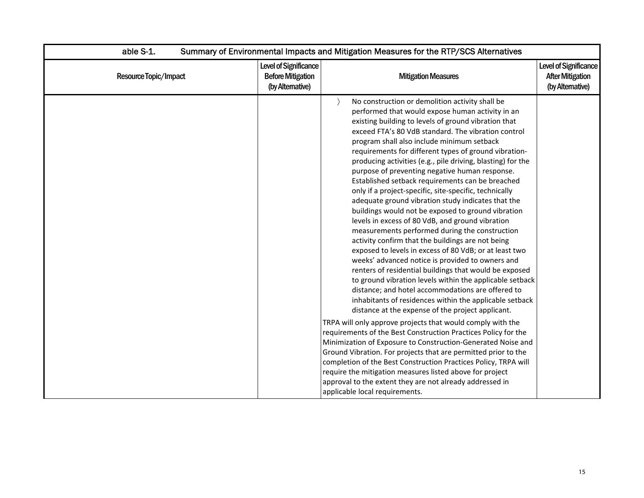| able S-1.             | Summary of Environmental Impacts and Mitigation Measures for the RTP/SCS Alternatives |                                                                                                                                                                                                                                                                                                                                                                                                                                                                                                                                                                                                                                                                                                                                                                                                                                                                                                                                                                                                                                                                                                                                                                                                                                                                                                                                                                                                                                                                                                                                                                                                                                                                                                                                         |                                                                      |  |
|-----------------------|---------------------------------------------------------------------------------------|-----------------------------------------------------------------------------------------------------------------------------------------------------------------------------------------------------------------------------------------------------------------------------------------------------------------------------------------------------------------------------------------------------------------------------------------------------------------------------------------------------------------------------------------------------------------------------------------------------------------------------------------------------------------------------------------------------------------------------------------------------------------------------------------------------------------------------------------------------------------------------------------------------------------------------------------------------------------------------------------------------------------------------------------------------------------------------------------------------------------------------------------------------------------------------------------------------------------------------------------------------------------------------------------------------------------------------------------------------------------------------------------------------------------------------------------------------------------------------------------------------------------------------------------------------------------------------------------------------------------------------------------------------------------------------------------------------------------------------------------|----------------------------------------------------------------------|--|
| Resource Topic/Impact | Level of Significance<br><b>Before Mitigation</b><br>(by Altemative)                  | <b>Mitigation Measures</b>                                                                                                                                                                                                                                                                                                                                                                                                                                                                                                                                                                                                                                                                                                                                                                                                                                                                                                                                                                                                                                                                                                                                                                                                                                                                                                                                                                                                                                                                                                                                                                                                                                                                                                              | Level of Significance<br><b>After Mitigation</b><br>(by Alternative) |  |
|                       |                                                                                       | No construction or demolition activity shall be<br>performed that would expose human activity in an<br>existing building to levels of ground vibration that<br>exceed FTA's 80 VdB standard. The vibration control<br>program shall also include minimum setback<br>requirements for different types of ground vibration-<br>producing activities (e.g., pile driving, blasting) for the<br>purpose of preventing negative human response.<br>Established setback requirements can be breached<br>only if a project-specific, site-specific, technically<br>adequate ground vibration study indicates that the<br>buildings would not be exposed to ground vibration<br>levels in excess of 80 VdB, and ground vibration<br>measurements performed during the construction<br>activity confirm that the buildings are not being<br>exposed to levels in excess of 80 VdB; or at least two<br>weeks' advanced notice is provided to owners and<br>renters of residential buildings that would be exposed<br>to ground vibration levels within the applicable setback<br>distance; and hotel accommodations are offered to<br>inhabitants of residences within the applicable setback<br>distance at the expense of the project applicant.<br>TRPA will only approve projects that would comply with the<br>requirements of the Best Construction Practices Policy for the<br>Minimization of Exposure to Construction-Generated Noise and<br>Ground Vibration. For projects that are permitted prior to the<br>completion of the Best Construction Practices Policy, TRPA will<br>require the mitigation measures listed above for project<br>approval to the extent they are not already addressed in<br>applicable local requirements. |                                                                      |  |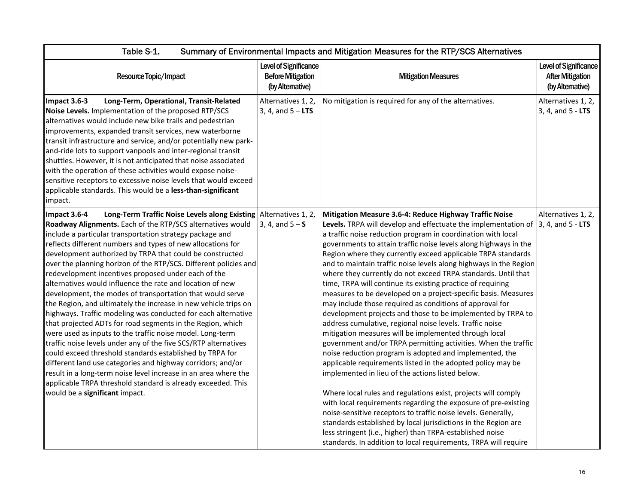| Table S-1.<br>Summary of Environmental Impacts and Mitigation Measures for the RTP/SCS Alternatives                                                                                                                                                                                                                                                                                                                                                                                                                                                                                                                                                                                                                                                                                                                                                                                                                                                                                                                                                                                                                                                                                                                            |                                                                       |                                                                                                                                                                                                                                                                                                                                                                                                                                                                                                                                                                                                                                                                                                                                                                                                                                                                                                                                                                                                                                                                                                                                                                                                                                                                                                                                                                                                                                                                                                           |                                                                     |  |
|--------------------------------------------------------------------------------------------------------------------------------------------------------------------------------------------------------------------------------------------------------------------------------------------------------------------------------------------------------------------------------------------------------------------------------------------------------------------------------------------------------------------------------------------------------------------------------------------------------------------------------------------------------------------------------------------------------------------------------------------------------------------------------------------------------------------------------------------------------------------------------------------------------------------------------------------------------------------------------------------------------------------------------------------------------------------------------------------------------------------------------------------------------------------------------------------------------------------------------|-----------------------------------------------------------------------|-----------------------------------------------------------------------------------------------------------------------------------------------------------------------------------------------------------------------------------------------------------------------------------------------------------------------------------------------------------------------------------------------------------------------------------------------------------------------------------------------------------------------------------------------------------------------------------------------------------------------------------------------------------------------------------------------------------------------------------------------------------------------------------------------------------------------------------------------------------------------------------------------------------------------------------------------------------------------------------------------------------------------------------------------------------------------------------------------------------------------------------------------------------------------------------------------------------------------------------------------------------------------------------------------------------------------------------------------------------------------------------------------------------------------------------------------------------------------------------------------------------|---------------------------------------------------------------------|--|
| Resource Topic/Impact                                                                                                                                                                                                                                                                                                                                                                                                                                                                                                                                                                                                                                                                                                                                                                                                                                                                                                                                                                                                                                                                                                                                                                                                          | Level of Significance<br><b>Before Mitigation</b><br>(by Alternative) | <b>Mitigation Measures</b>                                                                                                                                                                                                                                                                                                                                                                                                                                                                                                                                                                                                                                                                                                                                                                                                                                                                                                                                                                                                                                                                                                                                                                                                                                                                                                                                                                                                                                                                                | Level of Significance<br><b>After Mitigation</b><br>(by Altemative) |  |
| Impact 3.6-3<br>Long-Term, Operational, Transit-Related<br>Noise Levels. Implementation of the proposed RTP/SCS<br>alternatives would include new bike trails and pedestrian<br>improvements, expanded transit services, new waterborne<br>transit infrastructure and service, and/or potentially new park-<br>and-ride lots to support vanpools and inter-regional transit<br>shuttles. However, it is not anticipated that noise associated<br>with the operation of these activities would expose noise-<br>sensitive receptors to excessive noise levels that would exceed<br>applicable standards. This would be a less-than-significant<br>impact.                                                                                                                                                                                                                                                                                                                                                                                                                                                                                                                                                                       | Alternatives 1, 2,<br>3, 4, and $5 - LTS$                             | No mitigation is required for any of the alternatives.                                                                                                                                                                                                                                                                                                                                                                                                                                                                                                                                                                                                                                                                                                                                                                                                                                                                                                                                                                                                                                                                                                                                                                                                                                                                                                                                                                                                                                                    | Alternatives 1, 2,<br>3, 4, and 5 - LTS                             |  |
| Long-Term Traffic Noise Levels along Existing Alternatives 1, 2,<br>Impact $3.6-4$<br>Roadway Alignments. Each of the RTP/SCS alternatives would<br>include a particular transportation strategy package and<br>reflects different numbers and types of new allocations for<br>development authorized by TRPA that could be constructed<br>over the planning horizon of the RTP/SCS. Different policies and<br>redevelopment incentives proposed under each of the<br>alternatives would influence the rate and location of new<br>development, the modes of transportation that would serve<br>the Region, and ultimately the increase in new vehicle trips on<br>highways. Traffic modeling was conducted for each alternative<br>that projected ADTs for road segments in the Region, which<br>were used as inputs to the traffic noise model. Long-term<br>traffic noise levels under any of the five SCS/RTP alternatives<br>could exceed threshold standards established by TRPA for<br>different land use categories and highway corridors; and/or<br>result in a long-term noise level increase in an area where the<br>applicable TRPA threshold standard is already exceeded. This<br>would be a significant impact. | $3, 4, and 5 - S$                                                     | Mitigation Measure 3.6-4: Reduce Highway Traffic Noise<br>Levels. TRPA will develop and effectuate the implementation of<br>a traffic noise reduction program in coordination with local<br>governments to attain traffic noise levels along highways in the<br>Region where they currently exceed applicable TRPA standards<br>and to maintain traffic noise levels along highways in the Region<br>where they currently do not exceed TRPA standards. Until that<br>time, TRPA will continue its existing practice of requiring<br>measures to be developed on a project-specific basis. Measures<br>may include those required as conditions of approval for<br>development projects and those to be implemented by TRPA to<br>address cumulative, regional noise levels. Traffic noise<br>mitigation measures will be implemented through local<br>government and/or TRPA permitting activities. When the traffic<br>noise reduction program is adopted and implemented, the<br>applicable requirements listed in the adopted policy may be<br>implemented in lieu of the actions listed below.<br>Where local rules and regulations exist, projects will comply<br>with local requirements regarding the exposure of pre-existing<br>noise-sensitive receptors to traffic noise levels. Generally,<br>standards established by local jurisdictions in the Region are<br>less stringent (i.e., higher) than TRPA-established noise<br>standards. In addition to local requirements, TRPA will require | Alternatives 1, 2,<br>$3, 4,$ and $5 - LTS$                         |  |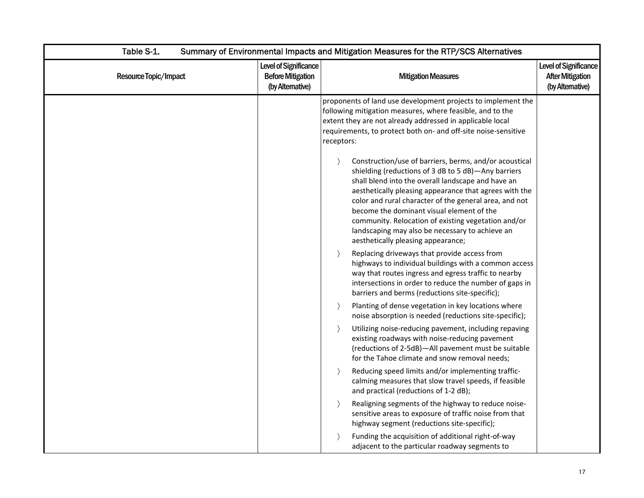| Table S-1.<br>Summary of Environmental Impacts and Mitigation Measures for the RTP/SCS Alternatives |                                                                       |                                                                                                                                                                                                                                                                                                                                                                                                                                                                                                       |                                                                             |
|-----------------------------------------------------------------------------------------------------|-----------------------------------------------------------------------|-------------------------------------------------------------------------------------------------------------------------------------------------------------------------------------------------------------------------------------------------------------------------------------------------------------------------------------------------------------------------------------------------------------------------------------------------------------------------------------------------------|-----------------------------------------------------------------------------|
| Resource Topic/Impact                                                                               | Level of Significance<br><b>Before Mitigation</b><br>(by Alternative) | <b>Mitigation Measures</b>                                                                                                                                                                                                                                                                                                                                                                                                                                                                            | <b>Level of Significance</b><br><b>After Mitigation</b><br>(by Alternative) |
|                                                                                                     |                                                                       | proponents of land use development projects to implement the<br>following mitigation measures, where feasible, and to the<br>extent they are not already addressed in applicable local<br>requirements, to protect both on- and off-site noise-sensitive<br>receptors:                                                                                                                                                                                                                                |                                                                             |
|                                                                                                     |                                                                       | Construction/use of barriers, berms, and/or acoustical<br>$\rightarrow$<br>shielding (reductions of 3 dB to 5 dB)-Any barriers<br>shall blend into the overall landscape and have an<br>aesthetically pleasing appearance that agrees with the<br>color and rural character of the general area, and not<br>become the dominant visual element of the<br>community. Relocation of existing vegetation and/or<br>landscaping may also be necessary to achieve an<br>aesthetically pleasing appearance; |                                                                             |
|                                                                                                     |                                                                       | Replacing driveways that provide access from<br>$\rightarrow$<br>highways to individual buildings with a common access<br>way that routes ingress and egress traffic to nearby<br>intersections in order to reduce the number of gaps in<br>barriers and berms (reductions site-specific);                                                                                                                                                                                                            |                                                                             |
|                                                                                                     |                                                                       | Planting of dense vegetation in key locations where<br>$\rightarrow$<br>noise absorption is needed (reductions site-specific);                                                                                                                                                                                                                                                                                                                                                                        |                                                                             |
|                                                                                                     |                                                                       | $\rightarrow$<br>Utilizing noise-reducing pavement, including repaving<br>existing roadways with noise-reducing pavement<br>(reductions of 2-5dB)-All pavement must be suitable<br>for the Tahoe climate and snow removal needs;                                                                                                                                                                                                                                                                      |                                                                             |
|                                                                                                     |                                                                       | Reducing speed limits and/or implementing traffic-<br>$\rightarrow$<br>calming measures that slow travel speeds, if feasible<br>and practical (reductions of 1-2 dB);                                                                                                                                                                                                                                                                                                                                 |                                                                             |
|                                                                                                     |                                                                       | $\rightarrow$<br>Realigning segments of the highway to reduce noise-<br>sensitive areas to exposure of traffic noise from that<br>highway segment (reductions site-specific);                                                                                                                                                                                                                                                                                                                         |                                                                             |
|                                                                                                     |                                                                       | Funding the acquisition of additional right-of-way<br>$\rightarrow$<br>adjacent to the particular roadway segments to                                                                                                                                                                                                                                                                                                                                                                                 |                                                                             |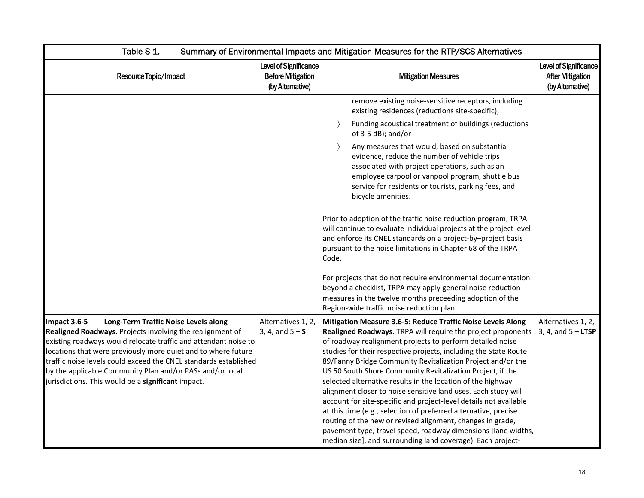| Table S-1.                                                                                                                                                                                                                                                                                                                                                                                                                                   | Summary of Environmental Impacts and Mitigation Measures for the RTP/SCS Alternatives |                                                                                                                                                                                                                                                                                                                                                                                                                                                                                                                                                                                                                                                                                                                                                                                                                                                                  |                                                                     |  |
|----------------------------------------------------------------------------------------------------------------------------------------------------------------------------------------------------------------------------------------------------------------------------------------------------------------------------------------------------------------------------------------------------------------------------------------------|---------------------------------------------------------------------------------------|------------------------------------------------------------------------------------------------------------------------------------------------------------------------------------------------------------------------------------------------------------------------------------------------------------------------------------------------------------------------------------------------------------------------------------------------------------------------------------------------------------------------------------------------------------------------------------------------------------------------------------------------------------------------------------------------------------------------------------------------------------------------------------------------------------------------------------------------------------------|---------------------------------------------------------------------|--|
| Resource Topic/Impact                                                                                                                                                                                                                                                                                                                                                                                                                        | Level of Significance<br><b>Before Mitigation</b><br>(by Alternative)                 | <b>Mitigation Measures</b>                                                                                                                                                                                                                                                                                                                                                                                                                                                                                                                                                                                                                                                                                                                                                                                                                                       | Level of Significance<br><b>After Mitigation</b><br>(by Altemative) |  |
|                                                                                                                                                                                                                                                                                                                                                                                                                                              |                                                                                       | remove existing noise-sensitive receptors, including<br>existing residences (reductions site-specific);<br>Funding acoustical treatment of buildings (reductions<br>$\rightarrow$<br>of 3-5 dB); and/or                                                                                                                                                                                                                                                                                                                                                                                                                                                                                                                                                                                                                                                          |                                                                     |  |
|                                                                                                                                                                                                                                                                                                                                                                                                                                              |                                                                                       | Any measures that would, based on substantial<br>$\rightarrow$<br>evidence, reduce the number of vehicle trips<br>associated with project operations, such as an<br>employee carpool or vanpool program, shuttle bus<br>service for residents or tourists, parking fees, and<br>bicycle amenities.                                                                                                                                                                                                                                                                                                                                                                                                                                                                                                                                                               |                                                                     |  |
|                                                                                                                                                                                                                                                                                                                                                                                                                                              |                                                                                       | Prior to adoption of the traffic noise reduction program, TRPA<br>will continue to evaluate individual projects at the project level<br>and enforce its CNEL standards on a project-by-project basis<br>pursuant to the noise limitations in Chapter 68 of the TRPA<br>Code.                                                                                                                                                                                                                                                                                                                                                                                                                                                                                                                                                                                     |                                                                     |  |
|                                                                                                                                                                                                                                                                                                                                                                                                                                              |                                                                                       | For projects that do not require environmental documentation<br>beyond a checklist, TRPA may apply general noise reduction<br>measures in the twelve months preceeding adoption of the<br>Region-wide traffic noise reduction plan.                                                                                                                                                                                                                                                                                                                                                                                                                                                                                                                                                                                                                              |                                                                     |  |
| Long-Term Traffic Noise Levels along<br>Impact 3.6-5<br>Realigned Roadways. Projects involving the realignment of<br>existing roadways would relocate traffic and attendant noise to<br>locations that were previously more quiet and to where future<br>traffic noise levels could exceed the CNEL standards established<br>by the applicable Community Plan and/or PASs and/or local<br>jurisdictions. This would be a significant impact. | Alternatives 1, 2,<br>$3, 4, and 5 - S$                                               | Mitigation Measure 3.6-5: Reduce Traffic Noise Levels Along<br>Realigned Roadways. TRPA will require the project proponents<br>of roadway realignment projects to perform detailed noise<br>studies for their respective projects, including the State Route<br>89/Fanny Bridge Community Revitalization Project and/or the<br>US 50 South Shore Community Revitalization Project, if the<br>selected alternative results in the location of the highway<br>alignment closer to noise sensitive land uses. Each study will<br>account for site-specific and project-level details not available<br>at this time (e.g., selection of preferred alternative, precise<br>routing of the new or revised alignment, changes in grade,<br>pavement type, travel speed, roadway dimensions [lane widths,<br>median size], and surrounding land coverage). Each project- | Alternatives 1, 2,<br>$3, 4,$ and $5 -$ LTSP                        |  |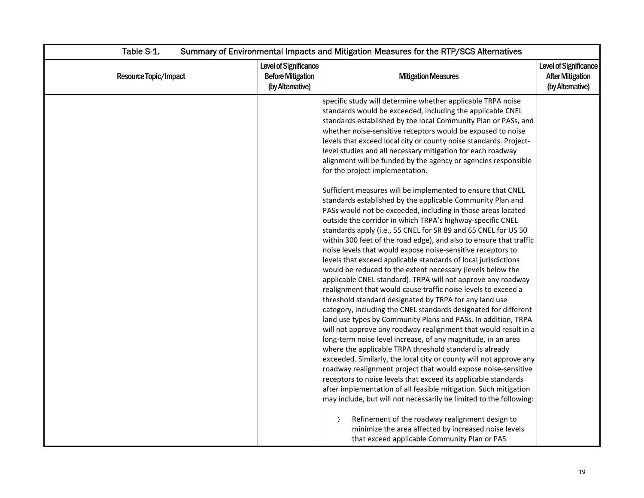| Table S-1.<br>Summary of Environmental Impacts and Mitigation Measures for the RTP/SCS Alternatives |                                                                              |                                                                                                                                                                                                                                                                                                                                                                                                                                                                                                                                                                                                                                                                                                                                                                                                                                                                                                                                                                                                                                                                                                                                                                                                                                                                                                                                                                                                                                                                                                                                                                                                                                                                                                                                                                                                                                                                                                                                                                                                                                                                                                                                                                   |                                                                     |
|-----------------------------------------------------------------------------------------------------|------------------------------------------------------------------------------|-------------------------------------------------------------------------------------------------------------------------------------------------------------------------------------------------------------------------------------------------------------------------------------------------------------------------------------------------------------------------------------------------------------------------------------------------------------------------------------------------------------------------------------------------------------------------------------------------------------------------------------------------------------------------------------------------------------------------------------------------------------------------------------------------------------------------------------------------------------------------------------------------------------------------------------------------------------------------------------------------------------------------------------------------------------------------------------------------------------------------------------------------------------------------------------------------------------------------------------------------------------------------------------------------------------------------------------------------------------------------------------------------------------------------------------------------------------------------------------------------------------------------------------------------------------------------------------------------------------------------------------------------------------------------------------------------------------------------------------------------------------------------------------------------------------------------------------------------------------------------------------------------------------------------------------------------------------------------------------------------------------------------------------------------------------------------------------------------------------------------------------------------------------------|---------------------------------------------------------------------|
| Resource Topic/Impact                                                                               | <b>Level of Significance</b><br><b>Before Mitigation</b><br>(by Alternative) | <b>Mitigation Measures</b>                                                                                                                                                                                                                                                                                                                                                                                                                                                                                                                                                                                                                                                                                                                                                                                                                                                                                                                                                                                                                                                                                                                                                                                                                                                                                                                                                                                                                                                                                                                                                                                                                                                                                                                                                                                                                                                                                                                                                                                                                                                                                                                                        | Level of Significance<br><b>After Mitigation</b><br>(by Altemative) |
|                                                                                                     |                                                                              | specific study will determine whether applicable TRPA noise<br>standards would be exceeded, including the applicable CNEL<br>standards established by the local Community Plan or PASs, and<br>whether noise-sensitive receptors would be exposed to noise<br>levels that exceed local city or county noise standards. Project-<br>level studies and all necessary mitigation for each roadway<br>alignment will be funded by the agency or agencies responsible<br>for the project implementation.<br>Sufficient measures will be implemented to ensure that CNEL<br>standards established by the applicable Community Plan and<br>PASs would not be exceeded, including in those areas located<br>outside the corridor in which TRPA's highway-specific CNEL<br>standards apply (i.e., 55 CNEL for SR 89 and 65 CNEL for US 50<br>within 300 feet of the road edge), and also to ensure that traffic<br>noise levels that would expose noise-sensitive receptors to<br>levels that exceed applicable standards of local jurisdictions<br>would be reduced to the extent necessary (levels below the<br>applicable CNEL standard). TRPA will not approve any roadway<br>realignment that would cause traffic noise levels to exceed a<br>threshold standard designated by TRPA for any land use<br>category, including the CNEL standards designated for different<br>land use types by Community Plans and PASs. In addition, TRPA<br>will not approve any roadway realignment that would result in a<br>long-term noise level increase, of any magnitude, in an area<br>where the applicable TRPA threshold standard is already<br>exceeded. Similarly, the local city or county will not approve any<br>roadway realignment project that would expose noise-sensitive<br>receptors to noise levels that exceed its applicable standards<br>after implementation of all feasible mitigation. Such mitigation<br>may include, but will not necessarily be limited to the following:<br>Refinement of the roadway realignment design to<br>$\rightarrow$<br>minimize the area affected by increased noise levels<br>that exceed applicable Community Plan or PAS |                                                                     |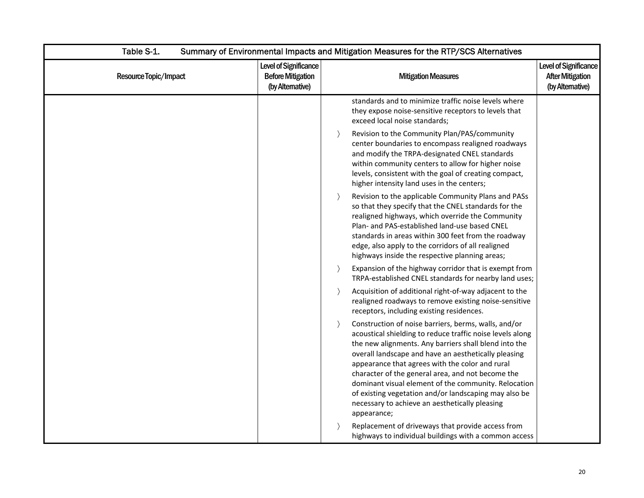| Table S-1.<br>Summary of Environmental Impacts and Mitigation Measures for the RTP/SCS Alternatives |                                                                       |                                                                                                                                                                                                                                                                                                                                                                                                                                                                                                                                               |                                                                     |
|-----------------------------------------------------------------------------------------------------|-----------------------------------------------------------------------|-----------------------------------------------------------------------------------------------------------------------------------------------------------------------------------------------------------------------------------------------------------------------------------------------------------------------------------------------------------------------------------------------------------------------------------------------------------------------------------------------------------------------------------------------|---------------------------------------------------------------------|
| Resource Topic/Impact                                                                               | Level of Significance<br><b>Before Mitigation</b><br>(by Alternative) | <b>Mitigation Measures</b>                                                                                                                                                                                                                                                                                                                                                                                                                                                                                                                    | Level of Significance<br><b>After Mitigation</b><br>(by Altemative) |
|                                                                                                     |                                                                       | standards and to minimize traffic noise levels where<br>they expose noise-sensitive receptors to levels that<br>exceed local noise standards;                                                                                                                                                                                                                                                                                                                                                                                                 |                                                                     |
|                                                                                                     |                                                                       | Revision to the Community Plan/PAS/community<br>$\rightarrow$<br>center boundaries to encompass realigned roadways<br>and modify the TRPA-designated CNEL standards<br>within community centers to allow for higher noise<br>levels, consistent with the goal of creating compact,<br>higher intensity land uses in the centers;                                                                                                                                                                                                              |                                                                     |
|                                                                                                     |                                                                       | Revision to the applicable Community Plans and PASs<br>$\rightarrow$<br>so that they specify that the CNEL standards for the<br>realigned highways, which override the Community<br>Plan- and PAS-established land-use based CNEL<br>standards in areas within 300 feet from the roadway<br>edge, also apply to the corridors of all realigned<br>highways inside the respective planning areas;                                                                                                                                              |                                                                     |
|                                                                                                     |                                                                       | Expansion of the highway corridor that is exempt from<br>$\rightarrow$<br>TRPA-established CNEL standards for nearby land uses;                                                                                                                                                                                                                                                                                                                                                                                                               |                                                                     |
|                                                                                                     |                                                                       | Acquisition of additional right-of-way adjacent to the<br>$\rightarrow$<br>realigned roadways to remove existing noise-sensitive<br>receptors, including existing residences.                                                                                                                                                                                                                                                                                                                                                                 |                                                                     |
|                                                                                                     |                                                                       | Construction of noise barriers, berms, walls, and/or<br>$\rightarrow$<br>acoustical shielding to reduce traffic noise levels along<br>the new alignments. Any barriers shall blend into the<br>overall landscape and have an aesthetically pleasing<br>appearance that agrees with the color and rural<br>character of the general area, and not become the<br>dominant visual element of the community. Relocation<br>of existing vegetation and/or landscaping may also be<br>necessary to achieve an aesthetically pleasing<br>appearance; |                                                                     |
|                                                                                                     |                                                                       | Replacement of driveways that provide access from<br>highways to individual buildings with a common access                                                                                                                                                                                                                                                                                                                                                                                                                                    |                                                                     |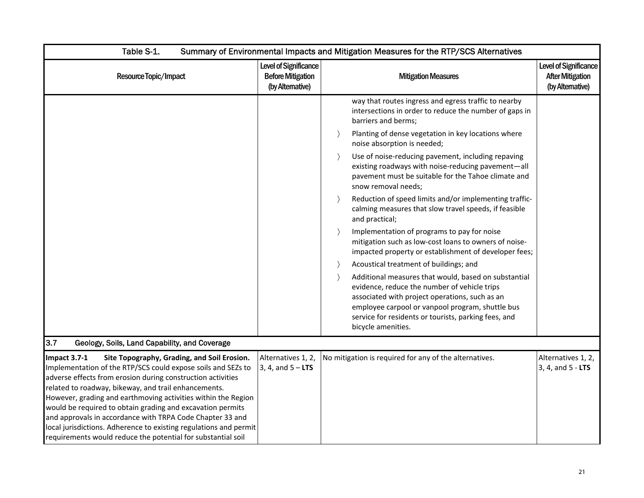| Table S-1.                                                                                                                                                                                                                                                                                                                                                                                                                                                                                                                                                                          | Summary of Environmental Impacts and Mitigation Measures for the RTP/SCS Alternatives |                                                                                                                                                                                                                                                                                          |                                                                      |  |
|-------------------------------------------------------------------------------------------------------------------------------------------------------------------------------------------------------------------------------------------------------------------------------------------------------------------------------------------------------------------------------------------------------------------------------------------------------------------------------------------------------------------------------------------------------------------------------------|---------------------------------------------------------------------------------------|------------------------------------------------------------------------------------------------------------------------------------------------------------------------------------------------------------------------------------------------------------------------------------------|----------------------------------------------------------------------|--|
| Resource Topic/Impact                                                                                                                                                                                                                                                                                                                                                                                                                                                                                                                                                               | Level of Significance<br><b>Before Mitigation</b><br>(by Alternative)                 | <b>Mitigation Measures</b>                                                                                                                                                                                                                                                               | Level of Significance<br><b>After Mitigation</b><br>(by Alternative) |  |
|                                                                                                                                                                                                                                                                                                                                                                                                                                                                                                                                                                                     |                                                                                       | way that routes ingress and egress traffic to nearby<br>intersections in order to reduce the number of gaps in<br>barriers and berms;                                                                                                                                                    |                                                                      |  |
|                                                                                                                                                                                                                                                                                                                                                                                                                                                                                                                                                                                     |                                                                                       | Planting of dense vegetation in key locations where<br>noise absorption is needed;                                                                                                                                                                                                       |                                                                      |  |
|                                                                                                                                                                                                                                                                                                                                                                                                                                                                                                                                                                                     |                                                                                       | Use of noise-reducing pavement, including repaving<br>$\rightarrow$<br>existing roadways with noise-reducing pavement-all<br>pavement must be suitable for the Tahoe climate and<br>snow removal needs;                                                                                  |                                                                      |  |
|                                                                                                                                                                                                                                                                                                                                                                                                                                                                                                                                                                                     |                                                                                       | Reduction of speed limits and/or implementing traffic-<br>calming measures that slow travel speeds, if feasible<br>and practical;                                                                                                                                                        |                                                                      |  |
|                                                                                                                                                                                                                                                                                                                                                                                                                                                                                                                                                                                     |                                                                                       | Implementation of programs to pay for noise<br>mitigation such as low-cost loans to owners of noise-<br>impacted property or establishment of developer fees;                                                                                                                            |                                                                      |  |
|                                                                                                                                                                                                                                                                                                                                                                                                                                                                                                                                                                                     |                                                                                       | Acoustical treatment of buildings; and                                                                                                                                                                                                                                                   |                                                                      |  |
|                                                                                                                                                                                                                                                                                                                                                                                                                                                                                                                                                                                     |                                                                                       | Additional measures that would, based on substantial<br>evidence, reduce the number of vehicle trips<br>associated with project operations, such as an<br>employee carpool or vanpool program, shuttle bus<br>service for residents or tourists, parking fees, and<br>bicycle amenities. |                                                                      |  |
| 3.7<br>Geology, Soils, Land Capability, and Coverage                                                                                                                                                                                                                                                                                                                                                                                                                                                                                                                                |                                                                                       |                                                                                                                                                                                                                                                                                          |                                                                      |  |
| Impact 3.7-1<br>Site Topography, Grading, and Soil Erosion.<br>Implementation of the RTP/SCS could expose soils and SEZs to<br>adverse effects from erosion during construction activities<br>related to roadway, bikeway, and trail enhancements.<br>However, grading and earthmoving activities within the Region<br>would be required to obtain grading and excavation permits<br>and approvals in accordance with TRPA Code Chapter 33 and<br>local jurisdictions. Adherence to existing regulations and permit<br>requirements would reduce the potential for substantial soil | Alternatives 1, 2,<br>$3, 4, and 5 - LTS$                                             | No mitigation is required for any of the alternatives.                                                                                                                                                                                                                                   | Alternatives 1, 2,<br>3, 4, and 5 - LTS                              |  |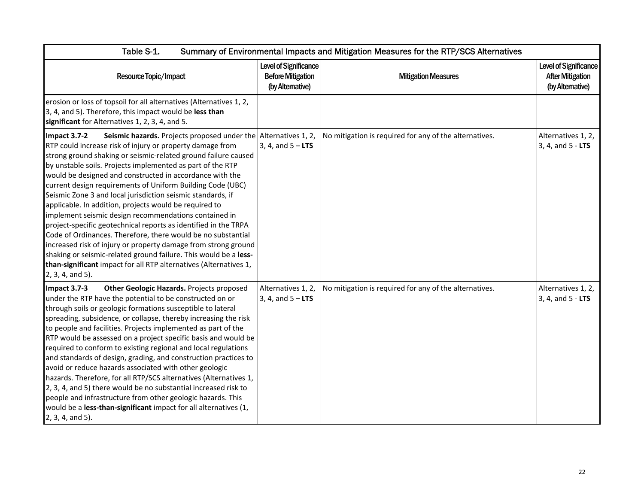| Table S-1.<br>Summary of Environmental Impacts and Mitigation Measures for the RTP/SCS Alternatives                                                                                                                                                                                                                                                                                                                                                                                                                                                                                                                                                                                                                                                                                                                                                                                                                                                        |                                                                       |                                                        |                                                                            |
|------------------------------------------------------------------------------------------------------------------------------------------------------------------------------------------------------------------------------------------------------------------------------------------------------------------------------------------------------------------------------------------------------------------------------------------------------------------------------------------------------------------------------------------------------------------------------------------------------------------------------------------------------------------------------------------------------------------------------------------------------------------------------------------------------------------------------------------------------------------------------------------------------------------------------------------------------------|-----------------------------------------------------------------------|--------------------------------------------------------|----------------------------------------------------------------------------|
| Resource Topic/Impact                                                                                                                                                                                                                                                                                                                                                                                                                                                                                                                                                                                                                                                                                                                                                                                                                                                                                                                                      | Level of Significance<br><b>Before Mitigation</b><br>(by Alternative) | <b>Mitigation Measures</b>                             | <b>Level of Significance</b><br><b>After Mitigation</b><br>(by Altemative) |
| erosion or loss of topsoil for all alternatives (Alternatives 1, 2,<br>3, 4, and 5). Therefore, this impact would be less than<br>significant for Alternatives 1, 2, 3, 4, and 5.                                                                                                                                                                                                                                                                                                                                                                                                                                                                                                                                                                                                                                                                                                                                                                          |                                                                       |                                                        |                                                                            |
| Seismic hazards. Projects proposed under the Alternatives 1, 2,<br>Impact 3.7-2<br>RTP could increase risk of injury or property damage from<br>strong ground shaking or seismic-related ground failure caused<br>by unstable soils. Projects implemented as part of the RTP<br>would be designed and constructed in accordance with the<br>current design requirements of Uniform Building Code (UBC)<br>Seismic Zone 3 and local jurisdiction seismic standards, if<br>applicable. In addition, projects would be required to<br>implement seismic design recommendations contained in<br>project-specific geotechnical reports as identified in the TRPA<br>Code of Ordinances. Therefore, there would be no substantial<br>increased risk of injury or property damage from strong ground<br>shaking or seismic-related ground failure. This would be a less-<br>than-significant impact for all RTP alternatives (Alternatives 1,<br>2, 3, 4, and 5). | 3, 4, and $5 - LTS$                                                   | No mitigation is required for any of the alternatives. | Alternatives 1, 2,<br>3, 4, and 5 - LTS                                    |
| Impact 3.7-3<br>Other Geologic Hazards. Projects proposed<br>under the RTP have the potential to be constructed on or<br>through soils or geologic formations susceptible to lateral<br>spreading, subsidence, or collapse, thereby increasing the risk<br>to people and facilities. Projects implemented as part of the<br>RTP would be assessed on a project specific basis and would be<br>required to conform to existing regional and local regulations<br>and standards of design, grading, and construction practices to<br>avoid or reduce hazards associated with other geologic<br>hazards. Therefore, for all RTP/SCS alternatives (Alternatives 1,<br>2, 3, 4, and 5) there would be no substantial increased risk to<br>people and infrastructure from other geologic hazards. This<br>would be a less-than-significant impact for all alternatives (1,<br>2, 3, 4, and 5).                                                                   | Alternatives 1, 2,<br>3, 4, and $5 - LTS$                             | No mitigation is required for any of the alternatives. | Alternatives 1, 2,<br>3, 4, and 5 - LTS                                    |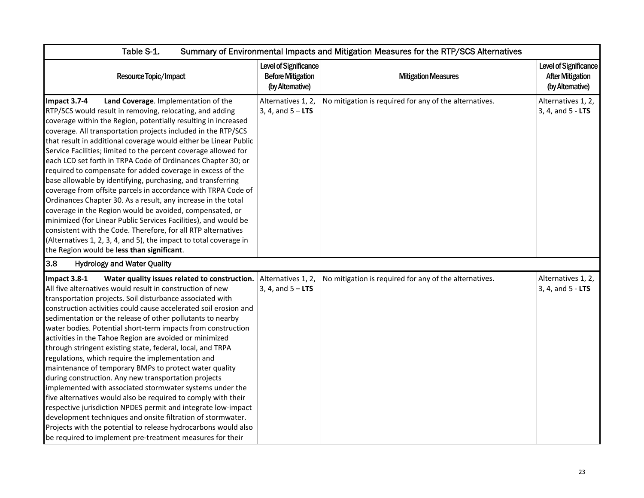| Table S-1.                                                                                                                                                                                                                                                                                                                                                                                                                                                                                                                                                                                                                                                                                                                                                                                                                                                                                                                                                                                                                                                                            | Summary of Environmental Impacts and Mitigation Measures for the RTP/SCS Alternatives |                                                        |                                                                      |  |
|---------------------------------------------------------------------------------------------------------------------------------------------------------------------------------------------------------------------------------------------------------------------------------------------------------------------------------------------------------------------------------------------------------------------------------------------------------------------------------------------------------------------------------------------------------------------------------------------------------------------------------------------------------------------------------------------------------------------------------------------------------------------------------------------------------------------------------------------------------------------------------------------------------------------------------------------------------------------------------------------------------------------------------------------------------------------------------------|---------------------------------------------------------------------------------------|--------------------------------------------------------|----------------------------------------------------------------------|--|
| Resource Topic/Impact                                                                                                                                                                                                                                                                                                                                                                                                                                                                                                                                                                                                                                                                                                                                                                                                                                                                                                                                                                                                                                                                 | Level of Significance<br><b>Before Mitigation</b><br>(by Altemative)                  | <b>Mitigation Measures</b>                             | Level of Significance<br><b>After Mitigation</b><br>(by Alternative) |  |
| Impact 3.7-4<br>Land Coverage. Implementation of the<br>RTP/SCS would result in removing, relocating, and adding<br>coverage within the Region, potentially resulting in increased<br>coverage. All transportation projects included in the RTP/SCS<br>that result in additional coverage would either be Linear Public<br>Service Facilities; limited to the percent coverage allowed for<br>each LCD set forth in TRPA Code of Ordinances Chapter 30; or<br>required to compensate for added coverage in excess of the<br>base allowable by identifying, purchasing, and transferring<br>coverage from offsite parcels in accordance with TRPA Code of<br>Ordinances Chapter 30. As a result, any increase in the total<br>coverage in the Region would be avoided, compensated, or<br>minimized (for Linear Public Services Facilities), and would be<br>consistent with the Code. Therefore, for all RTP alternatives<br>(Alternatives 1, 2, 3, 4, and 5), the impact to total coverage in<br>the Region would be less than significant.                                          | Alternatives 1, 2,<br>3, 4, and $5 - LTS$                                             | No mitigation is required for any of the alternatives. | Alternatives 1, 2,<br>3, 4, and 5 - LTS                              |  |
| 3.8<br><b>Hydrology and Water Quality</b>                                                                                                                                                                                                                                                                                                                                                                                                                                                                                                                                                                                                                                                                                                                                                                                                                                                                                                                                                                                                                                             |                                                                                       |                                                        |                                                                      |  |
| Water quality issues related to construction.<br>Impact 3.8-1<br>All five alternatives would result in construction of new<br>transportation projects. Soil disturbance associated with<br>construction activities could cause accelerated soil erosion and<br>sedimentation or the release of other pollutants to nearby<br>water bodies. Potential short-term impacts from construction<br>activities in the Tahoe Region are avoided or minimized<br>through stringent existing state, federal, local, and TRPA<br>regulations, which require the implementation and<br>maintenance of temporary BMPs to protect water quality<br>during construction. Any new transportation projects<br>implemented with associated stormwater systems under the<br>five alternatives would also be required to comply with their<br>respective jurisdiction NPDES permit and integrate low-impact<br>development techniques and onsite filtration of stormwater.<br>Projects with the potential to release hydrocarbons would also<br>be required to implement pre-treatment measures for their | Alternatives 1, 2,<br>3, 4, and $5 - LTS$                                             | No mitigation is required for any of the alternatives. | Alternatives 1, 2,<br>$3, 4,$ and $5 -$ LTS                          |  |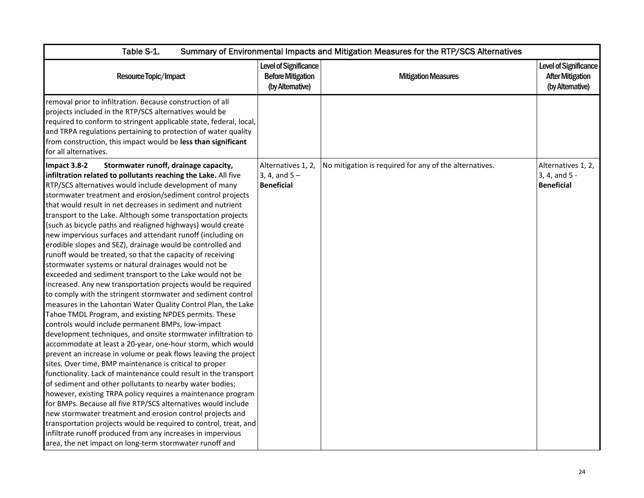| Table S-1.                                                                                                                                                                                                                                                                                                                                                                                                                                                                                                                                                                                                                                                                                                                                                                                                                                                                                                                                                                                                                                                                                                                                                                                                                                                                                                                                                                                                                                                                                                                                                                                                                                                                                                                                                                                                                                                           | Summary of Environmental Impacts and Mitigation Measures for the RTP/SCS Alternatives |                                                        |                                                                      |  |
|----------------------------------------------------------------------------------------------------------------------------------------------------------------------------------------------------------------------------------------------------------------------------------------------------------------------------------------------------------------------------------------------------------------------------------------------------------------------------------------------------------------------------------------------------------------------------------------------------------------------------------------------------------------------------------------------------------------------------------------------------------------------------------------------------------------------------------------------------------------------------------------------------------------------------------------------------------------------------------------------------------------------------------------------------------------------------------------------------------------------------------------------------------------------------------------------------------------------------------------------------------------------------------------------------------------------------------------------------------------------------------------------------------------------------------------------------------------------------------------------------------------------------------------------------------------------------------------------------------------------------------------------------------------------------------------------------------------------------------------------------------------------------------------------------------------------------------------------------------------------|---------------------------------------------------------------------------------------|--------------------------------------------------------|----------------------------------------------------------------------|--|
| Resource Topic/Impact                                                                                                                                                                                                                                                                                                                                                                                                                                                                                                                                                                                                                                                                                                                                                                                                                                                                                                                                                                                                                                                                                                                                                                                                                                                                                                                                                                                                                                                                                                                                                                                                                                                                                                                                                                                                                                                | Level of Significance<br><b>Before Mitigation</b><br>(by Alternative)                 | <b>Mitigation Measures</b>                             | Level of Significance<br><b>After Mitigation</b><br>(by Alternative) |  |
| removal prior to infiltration. Because construction of all<br>projects included in the RTP/SCS alternatives would be<br>required to conform to stringent applicable state, federal, local,<br>and TRPA regulations pertaining to protection of water quality<br>from construction, this impact would be less than significant<br>for all alternatives.                                                                                                                                                                                                                                                                                                                                                                                                                                                                                                                                                                                                                                                                                                                                                                                                                                                                                                                                                                                                                                                                                                                                                                                                                                                                                                                                                                                                                                                                                                               |                                                                                       |                                                        |                                                                      |  |
| Impact 3.8-2<br>Stormwater runoff, drainage capacity,<br>infiltration related to pollutants reaching the Lake. All five<br>RTP/SCS alternatives would include development of many<br>stormwater treatment and erosion/sediment control projects<br>that would result in net decreases in sediment and nutrient<br>transport to the Lake. Although some transportation projects<br>(such as bicycle paths and realigned highways) would create<br>new impervious surfaces and attendant runoff (including on<br>erodible slopes and SEZ), drainage would be controlled and<br>runoff would be treated, so that the capacity of receiving<br>stormwater systems or natural drainages would not be<br>exceeded and sediment transport to the Lake would not be<br>increased. Any new transportation projects would be required<br>to comply with the stringent stormwater and sediment control<br>measures in the Lahontan Water Quality Control Plan, the Lake<br>Tahoe TMDL Program, and existing NPDES permits. These<br>controls would include permanent BMPs, low-impact<br>development techniques, and onsite stormwater infiltration to<br>accommodate at least a 20-year, one-hour storm, which would<br>prevent an increase in volume or peak flows leaving the project<br>sites. Over time, BMP maintenance is critical to proper<br>functionality. Lack of maintenance could result in the transport<br>of sediment and other pollutants to nearby water bodies;<br>however, existing TRPA policy requires a maintenance program<br>for BMPs. Because all five RTP/SCS alternatives would include<br>new stormwater treatment and erosion control projects and<br>transportation projects would be required to control, treat, and<br>infiltrate runoff produced from any increases in impervious<br>area, the net impact on long-term stormwater runoff and | Alternatives 1, 2,<br>3, 4, and $5 -$<br><b>Beneficial</b>                            | No mitigation is required for any of the alternatives. | Alternatives 1, 2,<br>3, 4, and 5 -<br><b>Beneficial</b>             |  |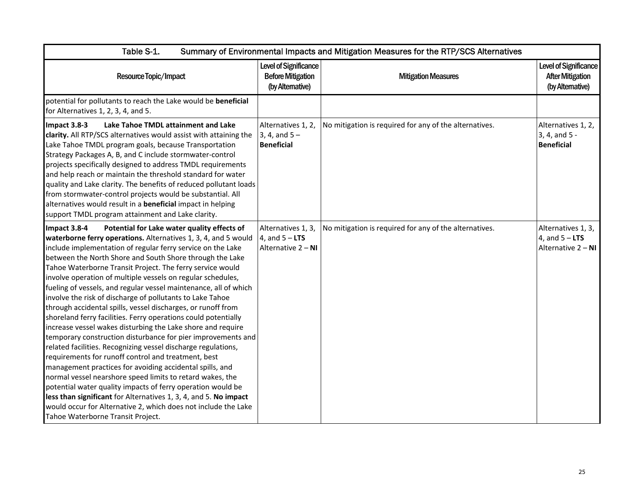| Table S-1.<br>Summary of Environmental Impacts and Mitigation Measures for the RTP/SCS Alternatives                                                                                                                                                                                                                                                                                                                                                                                                                                                                                                                                                                                                                                                                                                                                                                                                                                                                                                                                                                                                                                                                                                                                                                               |                                                                       |                                                        |                                                                             |
|-----------------------------------------------------------------------------------------------------------------------------------------------------------------------------------------------------------------------------------------------------------------------------------------------------------------------------------------------------------------------------------------------------------------------------------------------------------------------------------------------------------------------------------------------------------------------------------------------------------------------------------------------------------------------------------------------------------------------------------------------------------------------------------------------------------------------------------------------------------------------------------------------------------------------------------------------------------------------------------------------------------------------------------------------------------------------------------------------------------------------------------------------------------------------------------------------------------------------------------------------------------------------------------|-----------------------------------------------------------------------|--------------------------------------------------------|-----------------------------------------------------------------------------|
| Resource Topic/Impact                                                                                                                                                                                                                                                                                                                                                                                                                                                                                                                                                                                                                                                                                                                                                                                                                                                                                                                                                                                                                                                                                                                                                                                                                                                             | Level of Significance<br><b>Before Mitigation</b><br>(by Alternative) | <b>Mitigation Measures</b>                             | <b>Level of Significance</b><br><b>After Mitigation</b><br>(by Alternative) |
| potential for pollutants to reach the Lake would be beneficial<br>for Alternatives 1, 2, 3, 4, and 5.                                                                                                                                                                                                                                                                                                                                                                                                                                                                                                                                                                                                                                                                                                                                                                                                                                                                                                                                                                                                                                                                                                                                                                             |                                                                       |                                                        |                                                                             |
| Lake Tahoe TMDL attainment and Lake<br>Impact 3.8-3<br>clarity. All RTP/SCS alternatives would assist with attaining the<br>Lake Tahoe TMDL program goals, because Transportation<br>Strategy Packages A, B, and C include stormwater-control<br>projects specifically designed to address TMDL requirements<br>and help reach or maintain the threshold standard for water<br>quality and Lake clarity. The benefits of reduced pollutant loads<br>from stormwater-control projects would be substantial. All<br>alternatives would result in a beneficial impact in helping<br>support TMDL program attainment and Lake clarity.                                                                                                                                                                                                                                                                                                                                                                                                                                                                                                                                                                                                                                                | Alternatives 1, 2,<br>3, 4, and $5 -$<br><b>Beneficial</b>            | No mitigation is required for any of the alternatives. | Alternatives 1, 2,<br>3, 4, and 5 -<br><b>Beneficial</b>                    |
| Impact 3.8-4<br>Potential for Lake water quality effects of<br>waterborne ferry operations. Alternatives 1, 3, 4, and 5 would<br>include implementation of regular ferry service on the Lake<br>between the North Shore and South Shore through the Lake<br>Tahoe Waterborne Transit Project. The ferry service would<br>involve operation of multiple vessels on regular schedules,<br>fueling of vessels, and regular vessel maintenance, all of which<br>involve the risk of discharge of pollutants to Lake Tahoe<br>through accidental spills, vessel discharges, or runoff from<br>shoreland ferry facilities. Ferry operations could potentially<br>increase vessel wakes disturbing the Lake shore and require<br>temporary construction disturbance for pier improvements and<br>related facilities. Recognizing vessel discharge regulations,<br>requirements for runoff control and treatment, best<br>management practices for avoiding accidental spills, and<br>normal vessel nearshore speed limits to retard wakes, the<br>potential water quality impacts of ferry operation would be<br>less than significant for Alternatives 1, 3, 4, and 5. No impact<br>would occur for Alternative 2, which does not include the Lake<br>Tahoe Waterborne Transit Project. | Alternatives 1, 3,<br>4, and $5 - LTS$<br>Alternative 2 - NI          | No mitigation is required for any of the alternatives. | Alternatives 1, 3,<br>4, and $5 - LTS$<br>Alternative 2 - NI                |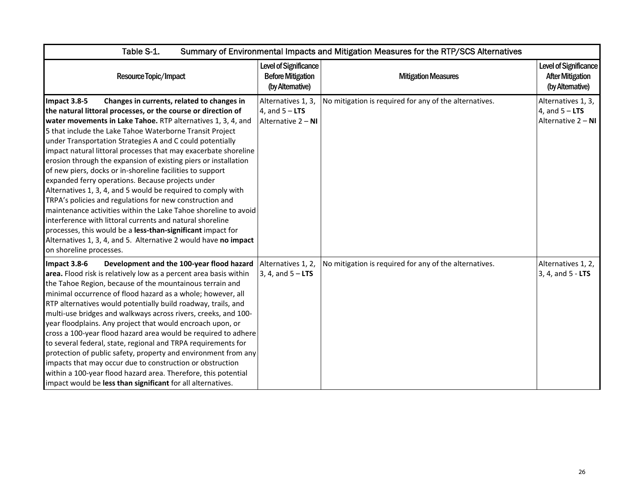| Table S-1.<br>Summary of Environmental Impacts and Mitigation Measures for the RTP/SCS Alternatives                                                                                                                                                                                                                                                                                                                                                                                                                                                                                                                                                                                                                                                                                                                                                                                                                                                                                                   |                                                                       |                                                        |                                                                      |
|-------------------------------------------------------------------------------------------------------------------------------------------------------------------------------------------------------------------------------------------------------------------------------------------------------------------------------------------------------------------------------------------------------------------------------------------------------------------------------------------------------------------------------------------------------------------------------------------------------------------------------------------------------------------------------------------------------------------------------------------------------------------------------------------------------------------------------------------------------------------------------------------------------------------------------------------------------------------------------------------------------|-----------------------------------------------------------------------|--------------------------------------------------------|----------------------------------------------------------------------|
| Resource Topic/Impact                                                                                                                                                                                                                                                                                                                                                                                                                                                                                                                                                                                                                                                                                                                                                                                                                                                                                                                                                                                 | Level of Significance<br><b>Before Mitigation</b><br>(by Alternative) | <b>Mitigation Measures</b>                             | Level of Significance<br><b>After Mitigation</b><br>(by Alternative) |
| Changes in currents, related to changes in<br>Impact 3.8-5<br>the natural littoral processes, or the course or direction of<br>water movements in Lake Tahoe. RTP alternatives 1, 3, 4, and<br>5 that include the Lake Tahoe Waterborne Transit Project<br>under Transportation Strategies A and C could potentially<br>impact natural littoral processes that may exacerbate shoreline<br>erosion through the expansion of existing piers or installation<br>of new piers, docks or in-shoreline facilities to support<br>expanded ferry operations. Because projects under<br>Alternatives 1, 3, 4, and 5 would be required to comply with<br>TRPA's policies and regulations for new construction and<br>maintenance activities within the Lake Tahoe shoreline to avoid<br>interference with littoral currents and natural shoreline<br>processes, this would be a less-than-significant impact for<br>Alternatives 1, 3, 4, and 5. Alternative 2 would have no impact<br>on shoreline processes. | Alternatives 1, 3,<br>4, and $5 - LTS$<br>Alternative 2 - NI          | No mitigation is required for any of the alternatives. | Alternatives 1, 3,<br>4, and $5 - LTS$<br>Alternative 2 - NI         |
| Development and the 100-year flood hazard<br>Impact 3.8-6<br>area. Flood risk is relatively low as a percent area basis within<br>the Tahoe Region, because of the mountainous terrain and<br>minimal occurrence of flood hazard as a whole; however, all<br>RTP alternatives would potentially build roadway, trails, and<br>multi-use bridges and walkways across rivers, creeks, and 100-<br>year floodplains. Any project that would encroach upon, or<br>cross a 100-year flood hazard area would be required to adhere<br>to several federal, state, regional and TRPA requirements for<br>protection of public safety, property and environment from any<br>impacts that may occur due to construction or obstruction<br>within a 100-year flood hazard area. Therefore, this potential<br>impact would be less than significant for all alternatives.                                                                                                                                         | Alternatives 1, 2,<br>3, 4, and $5 - LTS$                             | No mitigation is required for any of the alternatives. | Alternatives 1, 2,<br>3, 4, and 5 - LTS                              |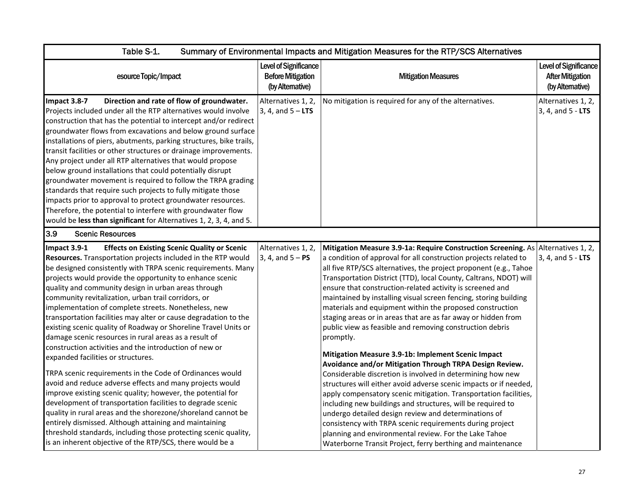| Table S-1.                                                                                                                                                                                                                                                                                                                                                                                                                                                                                                                                                                                                                                                                                                                                                                                                                                                                                                                                                                                                                                                                                                                                                                                                                                          | Summary of Environmental Impacts and Mitigation Measures for the RTP/SCS Alternatives |                                                                                                                                                                                                                                                                                                                                                                                                                                                                                                                                                                                                                                                                                                                                                                                                                                                                                                                                                                                                                                                                                                                                                                                                                                                                         |                                                                     |  |
|-----------------------------------------------------------------------------------------------------------------------------------------------------------------------------------------------------------------------------------------------------------------------------------------------------------------------------------------------------------------------------------------------------------------------------------------------------------------------------------------------------------------------------------------------------------------------------------------------------------------------------------------------------------------------------------------------------------------------------------------------------------------------------------------------------------------------------------------------------------------------------------------------------------------------------------------------------------------------------------------------------------------------------------------------------------------------------------------------------------------------------------------------------------------------------------------------------------------------------------------------------|---------------------------------------------------------------------------------------|-------------------------------------------------------------------------------------------------------------------------------------------------------------------------------------------------------------------------------------------------------------------------------------------------------------------------------------------------------------------------------------------------------------------------------------------------------------------------------------------------------------------------------------------------------------------------------------------------------------------------------------------------------------------------------------------------------------------------------------------------------------------------------------------------------------------------------------------------------------------------------------------------------------------------------------------------------------------------------------------------------------------------------------------------------------------------------------------------------------------------------------------------------------------------------------------------------------------------------------------------------------------------|---------------------------------------------------------------------|--|
| esource Topic/Impact                                                                                                                                                                                                                                                                                                                                                                                                                                                                                                                                                                                                                                                                                                                                                                                                                                                                                                                                                                                                                                                                                                                                                                                                                                | <b>Level of Significance</b><br><b>Before Mitigation</b><br>(by Alternative)          | <b>Mitigation Measures</b>                                                                                                                                                                                                                                                                                                                                                                                                                                                                                                                                                                                                                                                                                                                                                                                                                                                                                                                                                                                                                                                                                                                                                                                                                                              | Level of Significance<br><b>After Mitigation</b><br>(by Altemative) |  |
| Impact 3.8-7<br>Direction and rate of flow of groundwater.<br>Projects included under all the RTP alternatives would involve<br>construction that has the potential to intercept and/or redirect<br>groundwater flows from excavations and below ground surface<br>installations of piers, abutments, parking structures, bike trails,<br>transit facilities or other structures or drainage improvements.<br>Any project under all RTP alternatives that would propose<br>below ground installations that could potentially disrupt<br>groundwater movement is required to follow the TRPA grading<br>standards that require such projects to fully mitigate those<br>impacts prior to approval to protect groundwater resources.<br>Therefore, the potential to interfere with groundwater flow<br>would be less than significant for Alternatives 1, 2, 3, 4, and 5.                                                                                                                                                                                                                                                                                                                                                                             | Alternatives 1, 2,<br>3, 4, and $5 - LTS$                                             | No mitigation is required for any of the alternatives.                                                                                                                                                                                                                                                                                                                                                                                                                                                                                                                                                                                                                                                                                                                                                                                                                                                                                                                                                                                                                                                                                                                                                                                                                  | Alternatives 1, 2,<br>3, 4, and 5 - LTS                             |  |
| 3.9<br><b>Scenic Resources</b>                                                                                                                                                                                                                                                                                                                                                                                                                                                                                                                                                                                                                                                                                                                                                                                                                                                                                                                                                                                                                                                                                                                                                                                                                      |                                                                                       |                                                                                                                                                                                                                                                                                                                                                                                                                                                                                                                                                                                                                                                                                                                                                                                                                                                                                                                                                                                                                                                                                                                                                                                                                                                                         |                                                                     |  |
| <b>Effects on Existing Scenic Quality or Scenic</b><br>Impact 3.9-1<br>Resources. Transportation projects included in the RTP would<br>be designed consistently with TRPA scenic requirements. Many<br>projects would provide the opportunity to enhance scenic<br>quality and community design in urban areas through<br>community revitalization, urban trail corridors, or<br>implementation of complete streets. Nonetheless, new<br>transportation facilities may alter or cause degradation to the<br>existing scenic quality of Roadway or Shoreline Travel Units or<br>damage scenic resources in rural areas as a result of<br>construction activities and the introduction of new or<br>expanded facilities or structures.<br>TRPA scenic requirements in the Code of Ordinances would<br>avoid and reduce adverse effects and many projects would<br>improve existing scenic quality; however, the potential for<br>development of transportation facilities to degrade scenic<br>quality in rural areas and the shorezone/shoreland cannot be<br>entirely dismissed. Although attaining and maintaining<br>threshold standards, including those protecting scenic quality,<br>is an inherent objective of the RTP/SCS, there would be a | Alternatives 1, 2,<br>3, 4, and $5 - PS$                                              | Mitigation Measure 3.9-1a: Require Construction Screening. As Alternatives 1, 2,<br>a condition of approval for all construction projects related to<br>all five RTP/SCS alternatives, the project proponent (e.g., Tahoe<br>Transportation District (TTD), local County, Caltrans, NDOT) will<br>ensure that construction-related activity is screened and<br>maintained by installing visual screen fencing, storing building<br>materials and equipment within the proposed construction<br>staging areas or in areas that are as far away or hidden from<br>public view as feasible and removing construction debris<br>promptly.<br>Mitigation Measure 3.9-1b: Implement Scenic Impact<br>Avoidance and/or Mitigation Through TRPA Design Review.<br>Considerable discretion is involved in determining how new<br>structures will either avoid adverse scenic impacts or if needed,<br>apply compensatory scenic mitigation. Transportation facilities,<br>including new buildings and structures, will be required to<br>undergo detailed design review and determinations of<br>consistency with TRPA scenic requirements during project<br>planning and environmental review. For the Lake Tahoe<br>Waterborne Transit Project, ferry berthing and maintenance | $3, 4,$ and $5 -$ LTS                                               |  |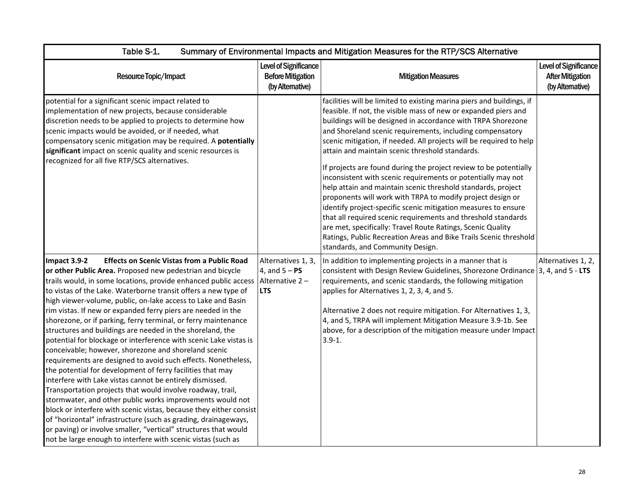| Table S-1.                                                                                                                                                                                                                                                                                                                                                                                                                                                                                                                                                                                                                                                                                                                                                                                                                                                                                                                                                                                                                                                                                                                                                                                                                                                        | Summary of Environmental Impacts and Mitigation Measures for the RTP/SCS Alternative |                                                                                                                                                                                                                                                                                                                                                                                                                                                                                                                                                                                                                                                                                                                                                                                                                                                                                                                                                                               |                                                                      |  |
|-------------------------------------------------------------------------------------------------------------------------------------------------------------------------------------------------------------------------------------------------------------------------------------------------------------------------------------------------------------------------------------------------------------------------------------------------------------------------------------------------------------------------------------------------------------------------------------------------------------------------------------------------------------------------------------------------------------------------------------------------------------------------------------------------------------------------------------------------------------------------------------------------------------------------------------------------------------------------------------------------------------------------------------------------------------------------------------------------------------------------------------------------------------------------------------------------------------------------------------------------------------------|--------------------------------------------------------------------------------------|-------------------------------------------------------------------------------------------------------------------------------------------------------------------------------------------------------------------------------------------------------------------------------------------------------------------------------------------------------------------------------------------------------------------------------------------------------------------------------------------------------------------------------------------------------------------------------------------------------------------------------------------------------------------------------------------------------------------------------------------------------------------------------------------------------------------------------------------------------------------------------------------------------------------------------------------------------------------------------|----------------------------------------------------------------------|--|
| Resource Topic/Impact                                                                                                                                                                                                                                                                                                                                                                                                                                                                                                                                                                                                                                                                                                                                                                                                                                                                                                                                                                                                                                                                                                                                                                                                                                             | Level of Significance<br><b>Before Mitigation</b><br>(by Alternative)                | <b>Mitigation Measures</b>                                                                                                                                                                                                                                                                                                                                                                                                                                                                                                                                                                                                                                                                                                                                                                                                                                                                                                                                                    | Level of Significance<br><b>After Mitigation</b><br>(by Alternative) |  |
| potential for a significant scenic impact related to<br>implementation of new projects, because considerable<br>discretion needs to be applied to projects to determine how<br>scenic impacts would be avoided, or if needed, what<br>compensatory scenic mitigation may be required. A potentially<br>significant impact on scenic quality and scenic resources is<br>recognized for all five RTP/SCS alternatives.                                                                                                                                                                                                                                                                                                                                                                                                                                                                                                                                                                                                                                                                                                                                                                                                                                              |                                                                                      | facilities will be limited to existing marina piers and buildings, if<br>feasible. If not, the visible mass of new or expanded piers and<br>buildings will be designed in accordance with TRPA Shorezone<br>and Shoreland scenic requirements, including compensatory<br>scenic mitigation, if needed. All projects will be required to help<br>attain and maintain scenic threshold standards.<br>If projects are found during the project review to be potentially<br>inconsistent with scenic requirements or potentially may not<br>help attain and maintain scenic threshold standards, project<br>proponents will work with TRPA to modify project design or<br>identify project-specific scenic mitigation measures to ensure<br>that all required scenic requirements and threshold standards<br>are met, specifically: Travel Route Ratings, Scenic Quality<br>Ratings, Public Recreation Areas and Bike Trails Scenic threshold<br>standards, and Community Design. |                                                                      |  |
| Impact 3.9-2<br><b>Effects on Scenic Vistas from a Public Road</b><br>or other Public Area. Proposed new pedestrian and bicycle<br>trails would, in some locations, provide enhanced public access<br>to vistas of the Lake. Waterborne transit offers a new type of<br>high viewer-volume, public, on-lake access to Lake and Basin<br>rim vistas. If new or expanded ferry piers are needed in the<br>shorezone, or if parking, ferry terminal, or ferry maintenance<br>structures and buildings are needed in the shoreland, the<br>potential for blockage or interference with scenic Lake vistas is<br>conceivable; however, shorezone and shoreland scenic<br>requirements are designed to avoid such effects. Nonetheless,<br>the potential for development of ferry facilities that may<br>interfere with Lake vistas cannot be entirely dismissed.<br>Transportation projects that would involve roadway, trail,<br>stormwater, and other public works improvements would not<br>block or interfere with scenic vistas, because they either consist<br>of "horizontal" infrastructure (such as grading, drainageways,<br>or paving) or involve smaller, "vertical" structures that would<br>not be large enough to interfere with scenic vistas (such as | Alternatives 1, 3,<br>4, and $5 - PS$<br>Alternative 2-<br><b>LTS</b>                | In addition to implementing projects in a manner that is<br>consistent with Design Review Guidelines, Shorezone Ordinance $ 3, 4$ , and $5 - LTS$<br>requirements, and scenic standards, the following mitigation<br>applies for Alternatives 1, 2, 3, 4, and 5.<br>Alternative 2 does not require mitigation. For Alternatives 1, 3,<br>4, and 5, TRPA will implement Mitigation Measure 3.9-1b. See<br>above, for a description of the mitigation measure under Impact<br>$3.9 - 1.$                                                                                                                                                                                                                                                                                                                                                                                                                                                                                        | Alternatives 1, 2,                                                   |  |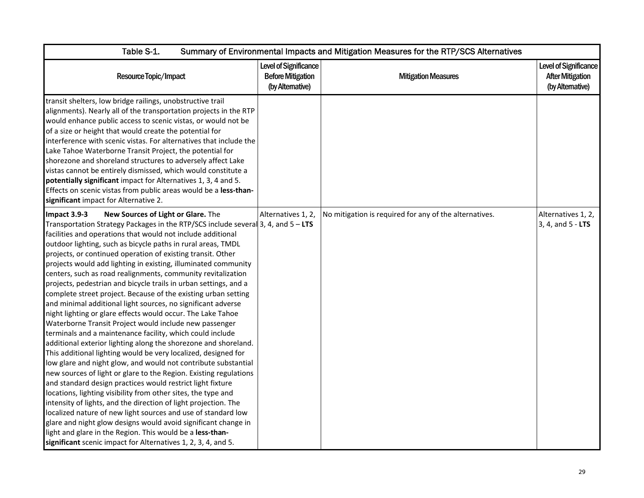| Table S-1.<br>Summary of Environmental Impacts and Mitigation Measures for the RTP/SCS Alternatives                                                                                                                                                                                                                                                                                                                                                                                                                                                                                                                                                                                                                                                                                                                                                                                                                                                                                                                                                                                                                                                                                                                                                                                                                                                                                                                                                                                                                                                                                                                  |                                                                       |                                                        |                                                                      |
|----------------------------------------------------------------------------------------------------------------------------------------------------------------------------------------------------------------------------------------------------------------------------------------------------------------------------------------------------------------------------------------------------------------------------------------------------------------------------------------------------------------------------------------------------------------------------------------------------------------------------------------------------------------------------------------------------------------------------------------------------------------------------------------------------------------------------------------------------------------------------------------------------------------------------------------------------------------------------------------------------------------------------------------------------------------------------------------------------------------------------------------------------------------------------------------------------------------------------------------------------------------------------------------------------------------------------------------------------------------------------------------------------------------------------------------------------------------------------------------------------------------------------------------------------------------------------------------------------------------------|-----------------------------------------------------------------------|--------------------------------------------------------|----------------------------------------------------------------------|
| Resource Topic/Impact                                                                                                                                                                                                                                                                                                                                                                                                                                                                                                                                                                                                                                                                                                                                                                                                                                                                                                                                                                                                                                                                                                                                                                                                                                                                                                                                                                                                                                                                                                                                                                                                | Level of Significance<br><b>Before Mitigation</b><br>(by Alternative) | <b>Mitigation Measures</b>                             | Level of Significance<br><b>After Mitigation</b><br>(by Alternative) |
| transit shelters, low bridge railings, unobstructive trail<br>alignments). Nearly all of the transportation projects in the RTP<br>would enhance public access to scenic vistas, or would not be<br>of a size or height that would create the potential for<br>interference with scenic vistas. For alternatives that include the<br>Lake Tahoe Waterborne Transit Project, the potential for<br>shorezone and shoreland structures to adversely affect Lake<br>vistas cannot be entirely dismissed, which would constitute a<br>potentially significant impact for Alternatives 1, 3, 4 and 5.<br>Effects on scenic vistas from public areas would be a less-than-<br>significant impact for Alternative 2.                                                                                                                                                                                                                                                                                                                                                                                                                                                                                                                                                                                                                                                                                                                                                                                                                                                                                                         |                                                                       |                                                        |                                                                      |
| New Sources of Light or Glare. The<br>Impact 3.9-3<br>Transportation Strategy Packages in the RTP/SCS include several 3, 4, and $5 - LTS$<br>facilities and operations that would not include additional<br>outdoor lighting, such as bicycle paths in rural areas, TMDL<br>projects, or continued operation of existing transit. Other<br>projects would add lighting in existing, illuminated community<br>centers, such as road realignments, community revitalization<br>projects, pedestrian and bicycle trails in urban settings, and a<br>complete street project. Because of the existing urban setting<br>and minimal additional light sources, no significant adverse<br>night lighting or glare effects would occur. The Lake Tahoe<br>Waterborne Transit Project would include new passenger<br>terminals and a maintenance facility, which could include<br>additional exterior lighting along the shorezone and shoreland.<br>This additional lighting would be very localized, designed for<br>low glare and night glow, and would not contribute substantial<br>new sources of light or glare to the Region. Existing regulations<br>and standard design practices would restrict light fixture<br>locations, lighting visibility from other sites, the type and<br>intensity of lights, and the direction of light projection. The<br>localized nature of new light sources and use of standard low<br>glare and night glow designs would avoid significant change in<br>light and glare in the Region. This would be a less-than-<br>significant scenic impact for Alternatives 1, 2, 3, 4, and 5. | Alternatives 1, 2,                                                    | No mitigation is required for any of the alternatives. | Alternatives 1, 2,<br>3, 4, and 5 - LTS                              |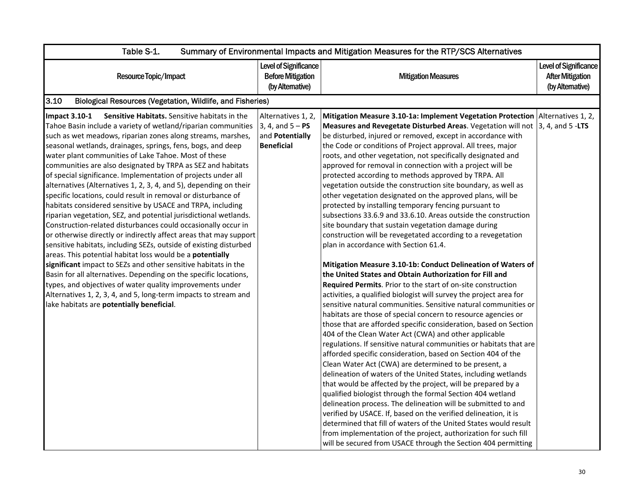| Table S-1.<br>Summary of Environmental Impacts and Mitigation Measures for the RTP/SCS Alternatives                                                                                                                                                                                                                                                                                                                                                                                                                                                                                                                                                                                                                                                                                                                                                                                                                                                                                                                                                                                                                                                                                                                                                                                                                             |                                                                                  |                                                                                                                                                                                                                                                                                                                                                                                                                                                                                                                                                                                                                                                                                                                                                                                                                                                                                                                                                                                                                                                                                                                                                                                                                                                                                                                                                                                                                                                                                                                                                                                                                                                                                                                                                                                                                                                                                                                                                                                                                                                                                                                                                                                                    |                                                                      |
|---------------------------------------------------------------------------------------------------------------------------------------------------------------------------------------------------------------------------------------------------------------------------------------------------------------------------------------------------------------------------------------------------------------------------------------------------------------------------------------------------------------------------------------------------------------------------------------------------------------------------------------------------------------------------------------------------------------------------------------------------------------------------------------------------------------------------------------------------------------------------------------------------------------------------------------------------------------------------------------------------------------------------------------------------------------------------------------------------------------------------------------------------------------------------------------------------------------------------------------------------------------------------------------------------------------------------------|----------------------------------------------------------------------------------|----------------------------------------------------------------------------------------------------------------------------------------------------------------------------------------------------------------------------------------------------------------------------------------------------------------------------------------------------------------------------------------------------------------------------------------------------------------------------------------------------------------------------------------------------------------------------------------------------------------------------------------------------------------------------------------------------------------------------------------------------------------------------------------------------------------------------------------------------------------------------------------------------------------------------------------------------------------------------------------------------------------------------------------------------------------------------------------------------------------------------------------------------------------------------------------------------------------------------------------------------------------------------------------------------------------------------------------------------------------------------------------------------------------------------------------------------------------------------------------------------------------------------------------------------------------------------------------------------------------------------------------------------------------------------------------------------------------------------------------------------------------------------------------------------------------------------------------------------------------------------------------------------------------------------------------------------------------------------------------------------------------------------------------------------------------------------------------------------------------------------------------------------------------------------------------------------|----------------------------------------------------------------------|
| Resource Topic/Impact                                                                                                                                                                                                                                                                                                                                                                                                                                                                                                                                                                                                                                                                                                                                                                                                                                                                                                                                                                                                                                                                                                                                                                                                                                                                                                           | Level of Significance<br><b>Before Mitigation</b><br>(by Alternative)            | <b>Mitigation Measures</b>                                                                                                                                                                                                                                                                                                                                                                                                                                                                                                                                                                                                                                                                                                                                                                                                                                                                                                                                                                                                                                                                                                                                                                                                                                                                                                                                                                                                                                                                                                                                                                                                                                                                                                                                                                                                                                                                                                                                                                                                                                                                                                                                                                         | Level of Significance<br><b>After Mitigation</b><br>(by Alternative) |
| 3.10<br>Biological Resources (Vegetation, Wildlife, and Fisheries)                                                                                                                                                                                                                                                                                                                                                                                                                                                                                                                                                                                                                                                                                                                                                                                                                                                                                                                                                                                                                                                                                                                                                                                                                                                              |                                                                                  |                                                                                                                                                                                                                                                                                                                                                                                                                                                                                                                                                                                                                                                                                                                                                                                                                                                                                                                                                                                                                                                                                                                                                                                                                                                                                                                                                                                                                                                                                                                                                                                                                                                                                                                                                                                                                                                                                                                                                                                                                                                                                                                                                                                                    |                                                                      |
| <b>Impact 3.10-1</b><br>Sensitive Habitats. Sensitive habitats in the<br>Tahoe Basin include a variety of wetland/riparian communities<br>such as wet meadows, riparian zones along streams, marshes,<br>seasonal wetlands, drainages, springs, fens, bogs, and deep<br>water plant communities of Lake Tahoe. Most of these<br>communities are also designated by TRPA as SEZ and habitats<br>of special significance. Implementation of projects under all<br>alternatives (Alternatives 1, 2, 3, 4, and 5), depending on their<br>specific locations, could result in removal or disturbance of<br>habitats considered sensitive by USACE and TRPA, including<br>riparian vegetation, SEZ, and potential jurisdictional wetlands.<br>Construction-related disturbances could occasionally occur in<br>or otherwise directly or indirectly affect areas that may support<br>sensitive habitats, including SEZs, outside of existing disturbed<br>areas. This potential habitat loss would be a potentially<br>significant impact to SEZs and other sensitive habitats in the<br>Basin for all alternatives. Depending on the specific locations,<br>types, and objectives of water quality improvements under<br>Alternatives 1, 2, 3, 4, and 5, long-term impacts to stream and<br>lake habitats are potentially beneficial. | Alternatives 1, 2,<br>$3, 4, and 5 - PS$<br>and Potentially<br><b>Beneficial</b> | Mitigation Measure 3.10-1a: Implement Vegetation Protection Alternatives 1, 2,<br>Measures and Revegetate Disturbed Areas. Vegetation will not $\vert$ 3, 4, and 5 -LTS<br>be disturbed, injured or removed, except in accordance with<br>the Code or conditions of Project approval. All trees, major<br>roots, and other vegetation, not specifically designated and<br>approved for removal in connection with a project will be<br>protected according to methods approved by TRPA. All<br>vegetation outside the construction site boundary, as well as<br>other vegetation designated on the approved plans, will be<br>protected by installing temporary fencing pursuant to<br>subsections 33.6.9 and 33.6.10. Areas outside the construction<br>site boundary that sustain vegetation damage during<br>construction will be revegetated according to a revegetation<br>plan in accordance with Section 61.4.<br>Mitigation Measure 3.10-1b: Conduct Delineation of Waters of<br>the United States and Obtain Authorization for Fill and<br>Required Permits. Prior to the start of on-site construction<br>activities, a qualified biologist will survey the project area for<br>sensitive natural communities. Sensitive natural communities or<br>habitats are those of special concern to resource agencies or<br>those that are afforded specific consideration, based on Section<br>404 of the Clean Water Act (CWA) and other applicable<br>regulations. If sensitive natural communities or habitats that are<br>afforded specific consideration, based on Section 404 of the<br>Clean Water Act (CWA) are determined to be present, a<br>delineation of waters of the United States, including wetlands<br>that would be affected by the project, will be prepared by a<br>qualified biologist through the formal Section 404 wetland<br>delineation process. The delineation will be submitted to and<br>verified by USACE. If, based on the verified delineation, it is<br>determined that fill of waters of the United States would result<br>from implementation of the project, authorization for such fill<br>will be secured from USACE through the Section 404 permitting |                                                                      |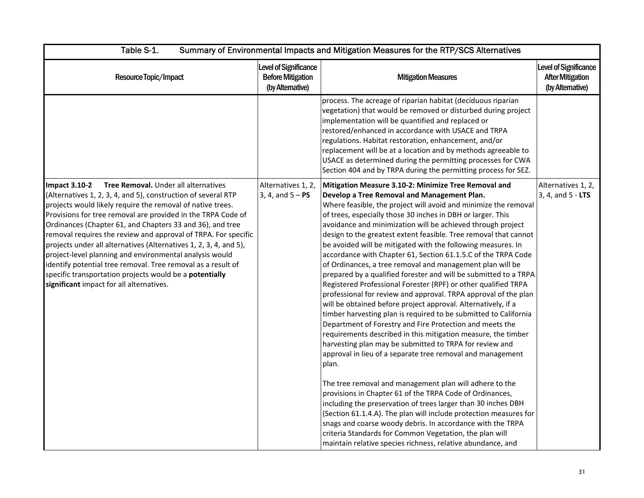| Table S-1.<br>Summary of Environmental Impacts and Mitigation Measures for the RTP/SCS Alternatives                                                                                                                                                                                                                                                                                                                                                                                                                                                                                                                                                                                               |                                                                              |                                                                                                                                                                                                                                                                                                                                                                                                                                                                                                                                                                                                                                                                                                                                                                                                                                                                                                                                                                                                                                                                                                                                                                                                                                                                                                                                                                                                                                                                                                                                                                                                                                          |                                                                      |
|---------------------------------------------------------------------------------------------------------------------------------------------------------------------------------------------------------------------------------------------------------------------------------------------------------------------------------------------------------------------------------------------------------------------------------------------------------------------------------------------------------------------------------------------------------------------------------------------------------------------------------------------------------------------------------------------------|------------------------------------------------------------------------------|------------------------------------------------------------------------------------------------------------------------------------------------------------------------------------------------------------------------------------------------------------------------------------------------------------------------------------------------------------------------------------------------------------------------------------------------------------------------------------------------------------------------------------------------------------------------------------------------------------------------------------------------------------------------------------------------------------------------------------------------------------------------------------------------------------------------------------------------------------------------------------------------------------------------------------------------------------------------------------------------------------------------------------------------------------------------------------------------------------------------------------------------------------------------------------------------------------------------------------------------------------------------------------------------------------------------------------------------------------------------------------------------------------------------------------------------------------------------------------------------------------------------------------------------------------------------------------------------------------------------------------------|----------------------------------------------------------------------|
| Resource Topic/Impact                                                                                                                                                                                                                                                                                                                                                                                                                                                                                                                                                                                                                                                                             | <b>Level of Significance</b><br><b>Before Mitigation</b><br>(by Alternative) | <b>Mitigation Measures</b>                                                                                                                                                                                                                                                                                                                                                                                                                                                                                                                                                                                                                                                                                                                                                                                                                                                                                                                                                                                                                                                                                                                                                                                                                                                                                                                                                                                                                                                                                                                                                                                                               | Level of Significance<br><b>After Mitigation</b><br>(by Alternative) |
|                                                                                                                                                                                                                                                                                                                                                                                                                                                                                                                                                                                                                                                                                                   |                                                                              | process. The acreage of riparian habitat (deciduous riparian<br>vegetation) that would be removed or disturbed during project<br>implementation will be quantified and replaced or<br>restored/enhanced in accordance with USACE and TRPA<br>regulations. Habitat restoration, enhancement, and/or<br>replacement will be at a location and by methods agreeable to<br>USACE as determined during the permitting processes for CWA<br>Section 404 and by TRPA during the permitting process for SEZ.                                                                                                                                                                                                                                                                                                                                                                                                                                                                                                                                                                                                                                                                                                                                                                                                                                                                                                                                                                                                                                                                                                                                     |                                                                      |
| Tree Removal. Under all alternatives<br><b>Impact 3.10-2</b><br>(Alternatives 1, 2, 3, 4, and 5), construction of several RTP<br>projects would likely require the removal of native trees.<br>Provisions for tree removal are provided in the TRPA Code of<br>Ordinances (Chapter 61, and Chapters 33 and 36), and tree<br>removal requires the review and approval of TRPA. For specific<br>projects under all alternatives (Alternatives 1, 2, 3, 4, and 5),<br>project-level planning and environmental analysis would<br>identify potential tree removal. Tree removal as a result of<br>specific transportation projects would be a potentially<br>significant impact for all alternatives. | Alternatives 1, 2,<br>3, 4, and $5 - PS$                                     | Mitigation Measure 3.10-2: Minimize Tree Removal and<br>Develop a Tree Removal and Management Plan.<br>Where feasible, the project will avoid and minimize the removal<br>of trees, especially those 30 inches in DBH or larger. This<br>avoidance and minimization will be achieved through project<br>design to the greatest extent feasible. Tree removal that cannot<br>be avoided will be mitigated with the following measures. In<br>accordance with Chapter 61, Section 61.1.5.C of the TRPA Code<br>of Ordinances, a tree removal and management plan will be<br>prepared by a qualified forester and will be submitted to a TRPA<br>Registered Professional Forester (RPF) or other qualified TRPA<br>professional for review and approval. TRPA approval of the plan<br>will be obtained before project approval. Alternatively, if a<br>timber harvesting plan is required to be submitted to California<br>Department of Forestry and Fire Protection and meets the<br>requirements described in this mitigation measure, the timber<br>harvesting plan may be submitted to TRPA for review and<br>approval in lieu of a separate tree removal and management<br>plan.<br>The tree removal and management plan will adhere to the<br>provisions in Chapter 61 of the TRPA Code of Ordinances,<br>including the preservation of trees larger than 30 inches DBH<br>(Section 61.1.4.A). The plan will include protection measures for<br>snags and coarse woody debris. In accordance with the TRPA<br>criteria Standards for Common Vegetation, the plan will<br>maintain relative species richness, relative abundance, and | Alternatives 1, 2,<br>3, 4, and 5 - LTS                              |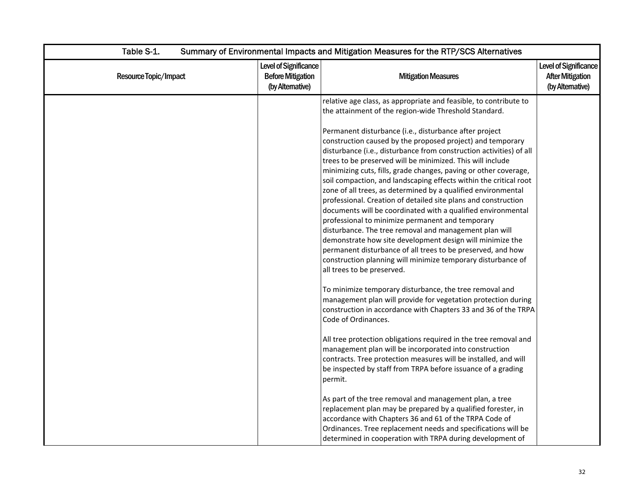| Table S-1.            | Summary of Environmental Impacts and Mitigation Measures for the RTP/SCS Alternatives |                                                                                                                                                                                                                                                                                                                                                                                                                                                                                                                                                                                                                                                                                                                                                                                                                                                                                                                                                                                                                                                                                                                                                                                                                                                                                                                                                                                                                                                                                                                                                                                                                                         |                                                                      |  |
|-----------------------|---------------------------------------------------------------------------------------|-----------------------------------------------------------------------------------------------------------------------------------------------------------------------------------------------------------------------------------------------------------------------------------------------------------------------------------------------------------------------------------------------------------------------------------------------------------------------------------------------------------------------------------------------------------------------------------------------------------------------------------------------------------------------------------------------------------------------------------------------------------------------------------------------------------------------------------------------------------------------------------------------------------------------------------------------------------------------------------------------------------------------------------------------------------------------------------------------------------------------------------------------------------------------------------------------------------------------------------------------------------------------------------------------------------------------------------------------------------------------------------------------------------------------------------------------------------------------------------------------------------------------------------------------------------------------------------------------------------------------------------------|----------------------------------------------------------------------|--|
| Resource Topic/Impact | Level of Significance<br><b>Before Mitigation</b><br>(by Alternative)                 | <b>Mitigation Measures</b>                                                                                                                                                                                                                                                                                                                                                                                                                                                                                                                                                                                                                                                                                                                                                                                                                                                                                                                                                                                                                                                                                                                                                                                                                                                                                                                                                                                                                                                                                                                                                                                                              | Level of Significance<br><b>After Mitigation</b><br>(by Alternative) |  |
|                       |                                                                                       | relative age class, as appropriate and feasible, to contribute to<br>the attainment of the region-wide Threshold Standard.<br>Permanent disturbance (i.e., disturbance after project<br>construction caused by the proposed project) and temporary<br>disturbance (i.e., disturbance from construction activities) of all<br>trees to be preserved will be minimized. This will include<br>minimizing cuts, fills, grade changes, paving or other coverage,<br>soil compaction, and landscaping effects within the critical root<br>zone of all trees, as determined by a qualified environmental<br>professional. Creation of detailed site plans and construction<br>documents will be coordinated with a qualified environmental<br>professional to minimize permanent and temporary<br>disturbance. The tree removal and management plan will<br>demonstrate how site development design will minimize the<br>permanent disturbance of all trees to be preserved, and how<br>construction planning will minimize temporary disturbance of<br>all trees to be preserved.<br>To minimize temporary disturbance, the tree removal and<br>management plan will provide for vegetation protection during<br>construction in accordance with Chapters 33 and 36 of the TRPA<br>Code of Ordinances.<br>All tree protection obligations required in the tree removal and<br>management plan will be incorporated into construction<br>contracts. Tree protection measures will be installed, and will<br>be inspected by staff from TRPA before issuance of a grading<br>permit.<br>As part of the tree removal and management plan, a tree |                                                                      |  |
|                       |                                                                                       | replacement plan may be prepared by a qualified forester, in<br>accordance with Chapters 36 and 61 of the TRPA Code of<br>Ordinances. Tree replacement needs and specifications will be<br>determined in cooperation with TRPA during development of                                                                                                                                                                                                                                                                                                                                                                                                                                                                                                                                                                                                                                                                                                                                                                                                                                                                                                                                                                                                                                                                                                                                                                                                                                                                                                                                                                                    |                                                                      |  |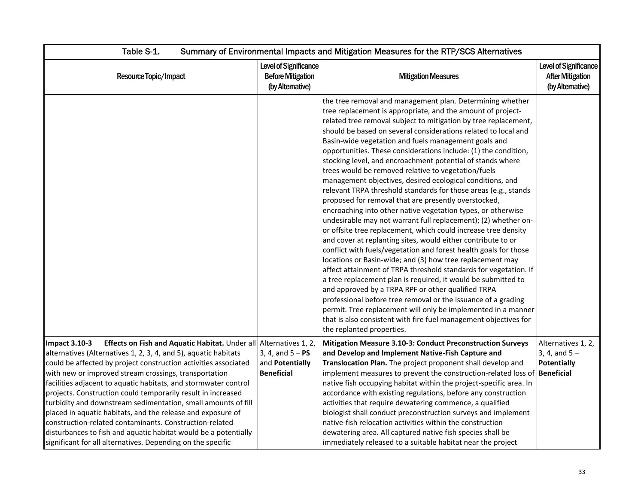| Table S-1.                                                                                                                                                                                                                                                                                                                                                                                                                                                                                                                                                                                                                                                                                                                                               | Summary of Environmental Impacts and Mitigation Measures for the RTP/SCS Alternatives |                                                                                                                                                                                                                                                                                                                                                                                                                                                                                                                                                                                                                                                                                                                                                                                                                                                                                                                                                                                                                                                                                                                                                                                                                                                                                                                                                                                                                                                                                                                                          |                                                                     |  |
|----------------------------------------------------------------------------------------------------------------------------------------------------------------------------------------------------------------------------------------------------------------------------------------------------------------------------------------------------------------------------------------------------------------------------------------------------------------------------------------------------------------------------------------------------------------------------------------------------------------------------------------------------------------------------------------------------------------------------------------------------------|---------------------------------------------------------------------------------------|------------------------------------------------------------------------------------------------------------------------------------------------------------------------------------------------------------------------------------------------------------------------------------------------------------------------------------------------------------------------------------------------------------------------------------------------------------------------------------------------------------------------------------------------------------------------------------------------------------------------------------------------------------------------------------------------------------------------------------------------------------------------------------------------------------------------------------------------------------------------------------------------------------------------------------------------------------------------------------------------------------------------------------------------------------------------------------------------------------------------------------------------------------------------------------------------------------------------------------------------------------------------------------------------------------------------------------------------------------------------------------------------------------------------------------------------------------------------------------------------------------------------------------------|---------------------------------------------------------------------|--|
| Resource Topic/Impact                                                                                                                                                                                                                                                                                                                                                                                                                                                                                                                                                                                                                                                                                                                                    | Level of Significance<br><b>Before Mitigation</b><br>(by Altemative)                  | <b>Mitigation Measures</b>                                                                                                                                                                                                                                                                                                                                                                                                                                                                                                                                                                                                                                                                                                                                                                                                                                                                                                                                                                                                                                                                                                                                                                                                                                                                                                                                                                                                                                                                                                               | Level of Significance<br><b>After Mitigation</b><br>(by Altemative) |  |
|                                                                                                                                                                                                                                                                                                                                                                                                                                                                                                                                                                                                                                                                                                                                                          |                                                                                       | the tree removal and management plan. Determining whether<br>tree replacement is appropriate, and the amount of project-<br>related tree removal subject to mitigation by tree replacement,<br>should be based on several considerations related to local and<br>Basin-wide vegetation and fuels management goals and<br>opportunities. These considerations include: (1) the condition,<br>stocking level, and encroachment potential of stands where<br>trees would be removed relative to vegetation/fuels<br>management objectives, desired ecological conditions, and<br>relevant TRPA threshold standards for those areas (e.g., stands<br>proposed for removal that are presently overstocked,<br>encroaching into other native vegetation types, or otherwise<br>undesirable may not warrant full replacement); (2) whether on-<br>or offsite tree replacement, which could increase tree density<br>and cover at replanting sites, would either contribute to or<br>conflict with fuels/vegetation and forest health goals for those<br>locations or Basin-wide; and (3) how tree replacement may<br>affect attainment of TRPA threshold standards for vegetation. If<br>a tree replacement plan is required, it would be submitted to<br>and approved by a TRPA RPF or other qualified TRPA<br>professional before tree removal or the issuance of a grading<br>permit. Tree replacement will only be implemented in a manner<br>that is also consistent with fire fuel management objectives for<br>the replanted properties. |                                                                     |  |
| Effects on Fish and Aquatic Habitat. Under all Alternatives 1, 2,<br><b>Impact 3.10-3</b><br>alternatives (Alternatives 1, 2, 3, 4, and 5), aquatic habitats<br>could be affected by project construction activities associated<br>with new or improved stream crossings, transportation<br>facilities adjacent to aquatic habitats, and stormwater control<br>projects. Construction could temporarily result in increased<br>turbidity and downstream sedimentation, small amounts of fill<br>placed in aquatic habitats, and the release and exposure of<br>construction-related contaminants. Construction-related<br>disturbances to fish and aquatic habitat would be a potentially<br>significant for all alternatives. Depending on the specific | 3, 4, and $5 - PS$<br>and Potentially<br><b>Beneficial</b>                            | Mitigation Measure 3.10-3: Conduct Preconstruction Surveys<br>and Develop and Implement Native-Fish Capture and<br>Translocation Plan. The project proponent shall develop and<br>implement measures to prevent the construction-related loss of <b>Beneficial</b><br>native fish occupying habitat within the project-specific area. In<br>accordance with existing regulations, before any construction<br>activities that require dewatering commence, a qualified<br>biologist shall conduct preconstruction surveys and implement<br>native-fish relocation activities within the construction<br>dewatering area. All captured native fish species shall be<br>immediately released to a suitable habitat near the project                                                                                                                                                                                                                                                                                                                                                                                                                                                                                                                                                                                                                                                                                                                                                                                                         | Alternatives 1, 2,<br>3, 4, and $5 -$<br>Potentially                |  |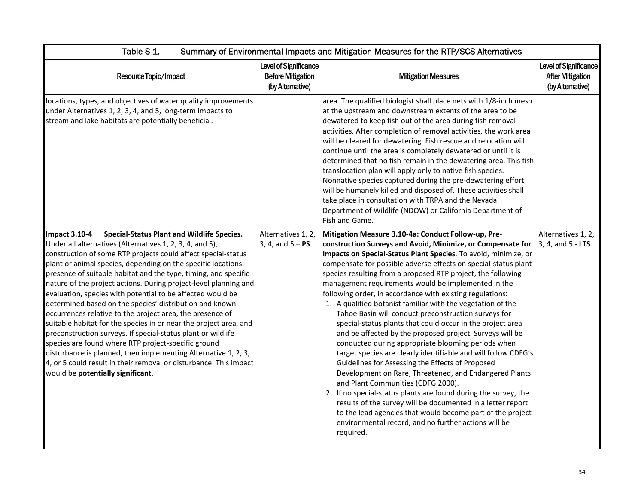| Table S-1.<br>Summary of Environmental Impacts and Mitigation Measures for the RTP/SCS Alternatives                                                                                                                                                                                                                                                                                                                                                                                                                                                                                                                                                                                                                                                                                                                                                                                                                                                                          |                                                                       |                                                                                                                                                                                                                                                                                                                                                                                                                                                                                                                                                                                                                                                                                                                                                                                                                                                                                                                                                                                                                                                                                                                                                                                                                                                |                                                                             |
|------------------------------------------------------------------------------------------------------------------------------------------------------------------------------------------------------------------------------------------------------------------------------------------------------------------------------------------------------------------------------------------------------------------------------------------------------------------------------------------------------------------------------------------------------------------------------------------------------------------------------------------------------------------------------------------------------------------------------------------------------------------------------------------------------------------------------------------------------------------------------------------------------------------------------------------------------------------------------|-----------------------------------------------------------------------|------------------------------------------------------------------------------------------------------------------------------------------------------------------------------------------------------------------------------------------------------------------------------------------------------------------------------------------------------------------------------------------------------------------------------------------------------------------------------------------------------------------------------------------------------------------------------------------------------------------------------------------------------------------------------------------------------------------------------------------------------------------------------------------------------------------------------------------------------------------------------------------------------------------------------------------------------------------------------------------------------------------------------------------------------------------------------------------------------------------------------------------------------------------------------------------------------------------------------------------------|-----------------------------------------------------------------------------|
| Resource Topic/Impact                                                                                                                                                                                                                                                                                                                                                                                                                                                                                                                                                                                                                                                                                                                                                                                                                                                                                                                                                        | Level of Significance<br><b>Before Mitigation</b><br>(by Alternative) | <b>Mitigation Measures</b>                                                                                                                                                                                                                                                                                                                                                                                                                                                                                                                                                                                                                                                                                                                                                                                                                                                                                                                                                                                                                                                                                                                                                                                                                     | <b>Level of Significance</b><br><b>After Mitigation</b><br>(by Alternative) |
| locations, types, and objectives of water quality improvements<br>under Alternatives 1, 2, 3, 4, and 5, long-term impacts to<br>stream and lake habitats are potentially beneficial.                                                                                                                                                                                                                                                                                                                                                                                                                                                                                                                                                                                                                                                                                                                                                                                         |                                                                       | area. The qualified biologist shall place nets with 1/8-inch mesh<br>at the upstream and downstream extents of the area to be<br>dewatered to keep fish out of the area during fish removal<br>activities. After completion of removal activities, the work area<br>will be cleared for dewatering. Fish rescue and relocation will<br>continue until the area is completely dewatered or until it is<br>determined that no fish remain in the dewatering area. This fish<br>translocation plan will apply only to native fish species.<br>Nonnative species captured during the pre-dewatering effort<br>will be humanely killed and disposed of. These activities shall<br>take place in consultation with TRPA and the Nevada<br>Department of Wildlife (NDOW) or California Department of<br>Fish and Game.                                                                                                                                                                                                                                                                                                                                                                                                                                |                                                                             |
| <b>Impact 3.10-4</b><br><b>Special-Status Plant and Wildlife Species.</b><br>Under all alternatives (Alternatives 1, 2, 3, 4, and 5),<br>construction of some RTP projects could affect special-status<br>plant or animal species, depending on the specific locations,<br>presence of suitable habitat and the type, timing, and specific<br>nature of the project actions. During project-level planning and<br>evaluation, species with potential to be affected would be<br>determined based on the species' distribution and known<br>occurrences relative to the project area, the presence of<br>suitable habitat for the species in or near the project area, and<br>preconstruction surveys. If special-status plant or wildlife<br>species are found where RTP project-specific ground<br>disturbance is planned, then implementing Alternative 1, 2, 3,<br>4, or 5 could result in their removal or disturbance. This impact<br>would be potentially significant. | Alternatives 1, 2,<br>3, 4, and $5 - PS$                              | Mitigation Measure 3.10-4a: Conduct Follow-up, Pre-<br>construction Surveys and Avoid, Minimize, or Compensate for<br>Impacts on Special-Status Plant Species. To avoid, minimize, or<br>compensate for possible adverse effects on special-status plant<br>species resulting from a proposed RTP project, the following<br>management requirements would be implemented in the<br>following order, in accordance with existing regulations:<br>1. A qualified botanist familiar with the vegetation of the<br>Tahoe Basin will conduct preconstruction surveys for<br>special-status plants that could occur in the project area<br>and be affected by the proposed project. Surveys will be<br>conducted during appropriate blooming periods when<br>target species are clearly identifiable and will follow CDFG's<br>Guidelines for Assessing the Effects of Proposed<br>Development on Rare, Threatened, and Endangered Plants<br>and Plant Communities (CDFG 2000).<br>2. If no special-status plants are found during the survey, the<br>results of the survey will be documented in a letter report<br>to the lead agencies that would become part of the project<br>environmental record, and no further actions will be<br>required. | Alternatives 1, 2,<br>3, 4, and 5 - LTS                                     |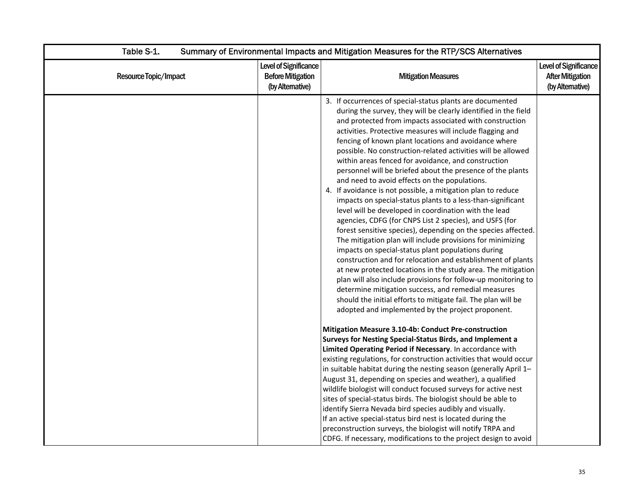| Table S-1.            |                                                                      | Summary of Environmental Impacts and Mitigation Measures for the RTP/SCS Alternatives                                                                                                                                                                                                                                                                                                                                                                                                                                                                                                                                                                                                                                                                                                                                                                                                                                                                                                                                                                                                                                                                                                                                                                                                                                                                                                                                                                                                                                                                            |                                                                      |  |  |
|-----------------------|----------------------------------------------------------------------|------------------------------------------------------------------------------------------------------------------------------------------------------------------------------------------------------------------------------------------------------------------------------------------------------------------------------------------------------------------------------------------------------------------------------------------------------------------------------------------------------------------------------------------------------------------------------------------------------------------------------------------------------------------------------------------------------------------------------------------------------------------------------------------------------------------------------------------------------------------------------------------------------------------------------------------------------------------------------------------------------------------------------------------------------------------------------------------------------------------------------------------------------------------------------------------------------------------------------------------------------------------------------------------------------------------------------------------------------------------------------------------------------------------------------------------------------------------------------------------------------------------------------------------------------------------|----------------------------------------------------------------------|--|--|
| Resource Topic/Impact | Level of Significance<br><b>Before Mitigation</b><br>(by Altemative) | <b>Mitigation Measures</b>                                                                                                                                                                                                                                                                                                                                                                                                                                                                                                                                                                                                                                                                                                                                                                                                                                                                                                                                                                                                                                                                                                                                                                                                                                                                                                                                                                                                                                                                                                                                       | Level of Significance<br><b>After Mitigation</b><br>(by Alternative) |  |  |
|                       |                                                                      | 3. If occurrences of special-status plants are documented<br>during the survey, they will be clearly identified in the field<br>and protected from impacts associated with construction<br>activities. Protective measures will include flagging and<br>fencing of known plant locations and avoidance where<br>possible. No construction-related activities will be allowed<br>within areas fenced for avoidance, and construction<br>personnel will be briefed about the presence of the plants<br>and need to avoid effects on the populations.<br>4. If avoidance is not possible, a mitigation plan to reduce<br>impacts on special-status plants to a less-than-significant<br>level will be developed in coordination with the lead<br>agencies, CDFG (for CNPS List 2 species), and USFS (for<br>forest sensitive species), depending on the species affected.<br>The mitigation plan will include provisions for minimizing<br>impacts on special-status plant populations during<br>construction and for relocation and establishment of plants<br>at new protected locations in the study area. The mitigation<br>plan will also include provisions for follow-up monitoring to<br>determine mitigation success, and remedial measures<br>should the initial efforts to mitigate fail. The plan will be<br>adopted and implemented by the project proponent.<br>Mitigation Measure 3.10-4b: Conduct Pre-construction<br><b>Surveys for Nesting Special-Status Birds, and Implement a</b><br>Limited Operating Period if Necessary. In accordance with |                                                                      |  |  |
|                       |                                                                      | existing regulations, for construction activities that would occur<br>in suitable habitat during the nesting season (generally April 1-<br>August 31, depending on species and weather), a qualified<br>wildlife biologist will conduct focused surveys for active nest<br>sites of special-status birds. The biologist should be able to<br>identify Sierra Nevada bird species audibly and visually.<br>If an active special-status bird nest is located during the                                                                                                                                                                                                                                                                                                                                                                                                                                                                                                                                                                                                                                                                                                                                                                                                                                                                                                                                                                                                                                                                                            |                                                                      |  |  |
|                       |                                                                      | preconstruction surveys, the biologist will notify TRPA and<br>CDFG. If necessary, modifications to the project design to avoid                                                                                                                                                                                                                                                                                                                                                                                                                                                                                                                                                                                                                                                                                                                                                                                                                                                                                                                                                                                                                                                                                                                                                                                                                                                                                                                                                                                                                                  |                                                                      |  |  |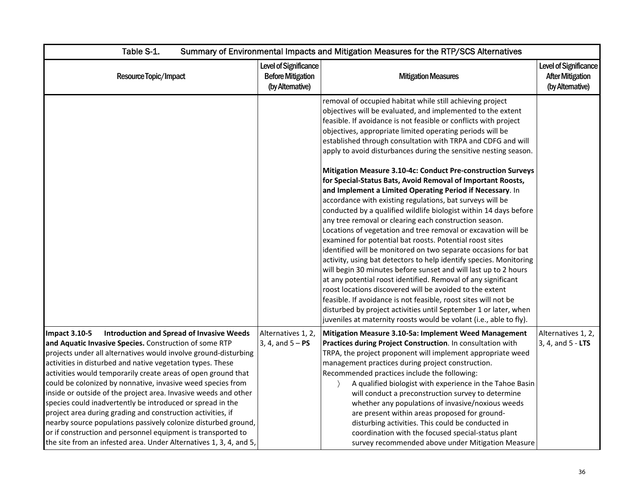| Table S-1.                                                                                                                                                                                                                                                                                                                                                                                                                                                                                                                                                                                                                                                                                                                                                                                                  |                                                                       | Summary of Environmental Impacts and Mitigation Measures for the RTP/SCS Alternatives                                                                                                                                                                                                                                                                                                                                                                                                                                                                                                                                                                                                                                                                                                                                                                                                                                                                                                                                                                                                                                                                                                                                                                                                                                                                                                                                                                                    |                                                                            |
|-------------------------------------------------------------------------------------------------------------------------------------------------------------------------------------------------------------------------------------------------------------------------------------------------------------------------------------------------------------------------------------------------------------------------------------------------------------------------------------------------------------------------------------------------------------------------------------------------------------------------------------------------------------------------------------------------------------------------------------------------------------------------------------------------------------|-----------------------------------------------------------------------|--------------------------------------------------------------------------------------------------------------------------------------------------------------------------------------------------------------------------------------------------------------------------------------------------------------------------------------------------------------------------------------------------------------------------------------------------------------------------------------------------------------------------------------------------------------------------------------------------------------------------------------------------------------------------------------------------------------------------------------------------------------------------------------------------------------------------------------------------------------------------------------------------------------------------------------------------------------------------------------------------------------------------------------------------------------------------------------------------------------------------------------------------------------------------------------------------------------------------------------------------------------------------------------------------------------------------------------------------------------------------------------------------------------------------------------------------------------------------|----------------------------------------------------------------------------|
| Resource Topic/Impact                                                                                                                                                                                                                                                                                                                                                                                                                                                                                                                                                                                                                                                                                                                                                                                       | Level of Significance<br><b>Before Mitigation</b><br>(by Alternative) | <b>Mitigation Measures</b>                                                                                                                                                                                                                                                                                                                                                                                                                                                                                                                                                                                                                                                                                                                                                                                                                                                                                                                                                                                                                                                                                                                                                                                                                                                                                                                                                                                                                                               | <b>Level of Significance</b><br><b>After Mitigation</b><br>(by Altemative) |
|                                                                                                                                                                                                                                                                                                                                                                                                                                                                                                                                                                                                                                                                                                                                                                                                             |                                                                       | removal of occupied habitat while still achieving project<br>objectives will be evaluated, and implemented to the extent<br>feasible. If avoidance is not feasible or conflicts with project<br>objectives, appropriate limited operating periods will be<br>established through consultation with TRPA and CDFG and will<br>apply to avoid disturbances during the sensitive nesting season.<br>Mitigation Measure 3.10-4c: Conduct Pre-construction Surveys<br>for Special-Status Bats, Avoid Removal of Important Roosts,<br>and Implement a Limited Operating Period if Necessary. In<br>accordance with existing regulations, bat surveys will be<br>conducted by a qualified wildlife biologist within 14 days before<br>any tree removal or clearing each construction season.<br>Locations of vegetation and tree removal or excavation will be<br>examined for potential bat roosts. Potential roost sites<br>identified will be monitored on two separate occasions for bat<br>activity, using bat detectors to help identify species. Monitoring<br>will begin 30 minutes before sunset and will last up to 2 hours<br>at any potential roost identified. Removal of any significant<br>roost locations discovered will be avoided to the extent<br>feasible. If avoidance is not feasible, roost sites will not be<br>disturbed by project activities until September 1 or later, when<br>juveniles at maternity roosts would be volant (i.e., able to fly). |                                                                            |
| <b>Introduction and Spread of Invasive Weeds</b><br><b>Impact 3.10-5</b><br>and Aquatic Invasive Species. Construction of some RTP<br>projects under all alternatives would involve ground-disturbing<br>activities in disturbed and native vegetation types. These<br>activities would temporarily create areas of open ground that<br>could be colonized by nonnative, invasive weed species from<br>inside or outside of the project area. Invasive weeds and other<br>species could inadvertently be introduced or spread in the<br>project area during grading and construction activities, if<br>nearby source populations passively colonize disturbed ground,<br>or if construction and personnel equipment is transported to<br>the site from an infested area. Under Alternatives 1, 3, 4, and 5, | Alternatives 1, 2,<br>$3, 4, and 5 - PS$                              | Mitigation Measure 3.10-5a: Implement Weed Management<br>Practices during Project Construction. In consultation with<br>TRPA, the project proponent will implement appropriate weed<br>management practices during project construction.<br>Recommended practices include the following:<br>A qualified biologist with experience in the Tahoe Basin<br>will conduct a preconstruction survey to determine<br>whether any populations of invasive/noxious weeds<br>are present within areas proposed for ground-<br>disturbing activities. This could be conducted in<br>coordination with the focused special-status plant<br>survey recommended above under Mitigation Measure                                                                                                                                                                                                                                                                                                                                                                                                                                                                                                                                                                                                                                                                                                                                                                                         | Alternatives 1, 2,<br>3, 4, and 5 - <b>LTS</b>                             |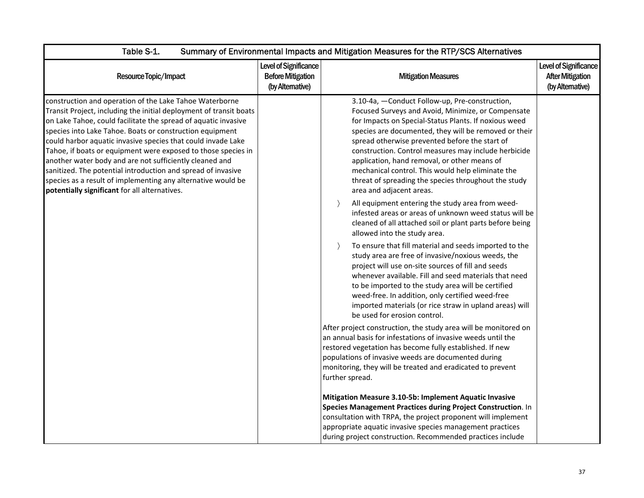| Table S-1.<br>Summary of Environmental Impacts and Mitigation Measures for the RTP/SCS Alternatives                                                                                                                                                                                                                                                                                                                                                                                                                                                                                                                                      |                                                                       |                                                                                                                                                                                                                                                                                                                                                                                                                                                                                                                               |                                                                     |
|------------------------------------------------------------------------------------------------------------------------------------------------------------------------------------------------------------------------------------------------------------------------------------------------------------------------------------------------------------------------------------------------------------------------------------------------------------------------------------------------------------------------------------------------------------------------------------------------------------------------------------------|-----------------------------------------------------------------------|-------------------------------------------------------------------------------------------------------------------------------------------------------------------------------------------------------------------------------------------------------------------------------------------------------------------------------------------------------------------------------------------------------------------------------------------------------------------------------------------------------------------------------|---------------------------------------------------------------------|
| Resource Topic/Impact                                                                                                                                                                                                                                                                                                                                                                                                                                                                                                                                                                                                                    | Level of Significance<br><b>Before Mitigation</b><br>(by Alternative) | <b>Mitigation Measures</b>                                                                                                                                                                                                                                                                                                                                                                                                                                                                                                    | Level of Significance<br><b>After Mitigation</b><br>(by Altemative) |
| construction and operation of the Lake Tahoe Waterborne<br>Transit Project, including the initial deployment of transit boats<br>on Lake Tahoe, could facilitate the spread of aquatic invasive<br>species into Lake Tahoe. Boats or construction equipment<br>could harbor aquatic invasive species that could invade Lake<br>Tahoe, if boats or equipment were exposed to those species in<br>another water body and are not sufficiently cleaned and<br>sanitized. The potential introduction and spread of invasive<br>species as a result of implementing any alternative would be<br>potentially significant for all alternatives. |                                                                       | 3.10-4a, -Conduct Follow-up, Pre-construction,<br>Focused Surveys and Avoid, Minimize, or Compensate<br>for Impacts on Special-Status Plants. If noxious weed<br>species are documented, they will be removed or their<br>spread otherwise prevented before the start of<br>construction. Control measures may include herbicide<br>application, hand removal, or other means of<br>mechanical control. This would help eliminate the<br>threat of spreading the species throughout the study<br>area and adjacent areas.     |                                                                     |
|                                                                                                                                                                                                                                                                                                                                                                                                                                                                                                                                                                                                                                          |                                                                       | All equipment entering the study area from weed-<br>$\rightarrow$<br>infested areas or areas of unknown weed status will be<br>cleaned of all attached soil or plant parts before being<br>allowed into the study area.<br>To ensure that fill material and seeds imported to the<br>$\rightarrow$<br>study area are free of invasive/noxious weeds, the<br>project will use on-site sources of fill and seeds<br>whenever available. Fill and seed materials that need<br>to be imported to the study area will be certified |                                                                     |
|                                                                                                                                                                                                                                                                                                                                                                                                                                                                                                                                                                                                                                          |                                                                       | weed-free. In addition, only certified weed-free<br>imported materials (or rice straw in upland areas) will<br>be used for erosion control.<br>After project construction, the study area will be monitored on<br>an annual basis for infestations of invasive weeds until the<br>restored vegetation has become fully established. If new<br>populations of invasive weeds are documented during<br>monitoring, they will be treated and eradicated to prevent<br>further spread.                                            |                                                                     |
|                                                                                                                                                                                                                                                                                                                                                                                                                                                                                                                                                                                                                                          |                                                                       | Mitigation Measure 3.10-5b: Implement Aquatic Invasive<br>Species Management Practices during Project Construction. In<br>consultation with TRPA, the project proponent will implement<br>appropriate aquatic invasive species management practices<br>during project construction. Recommended practices include                                                                                                                                                                                                             |                                                                     |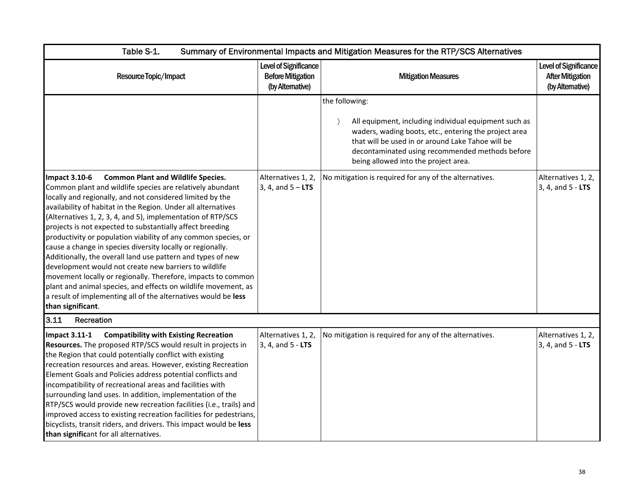| Table S-1.                                                                                                                                                                                                                                                                                                                                                                                                                                                                                                                                                                                                                                                                                                                                                                                                                                                                | Summary of Environmental Impacts and Mitigation Measures for the RTP/SCS Alternatives |                                                                                                                                                                                                                                                                                  |                                                                      |  |
|---------------------------------------------------------------------------------------------------------------------------------------------------------------------------------------------------------------------------------------------------------------------------------------------------------------------------------------------------------------------------------------------------------------------------------------------------------------------------------------------------------------------------------------------------------------------------------------------------------------------------------------------------------------------------------------------------------------------------------------------------------------------------------------------------------------------------------------------------------------------------|---------------------------------------------------------------------------------------|----------------------------------------------------------------------------------------------------------------------------------------------------------------------------------------------------------------------------------------------------------------------------------|----------------------------------------------------------------------|--|
| Resource Topic/Impact                                                                                                                                                                                                                                                                                                                                                                                                                                                                                                                                                                                                                                                                                                                                                                                                                                                     | Level of Significance<br><b>Before Mitigation</b><br>(by Alternative)                 | <b>Mitigation Measures</b>                                                                                                                                                                                                                                                       | Level of Significance<br><b>After Mitigation</b><br>(by Alternative) |  |
|                                                                                                                                                                                                                                                                                                                                                                                                                                                                                                                                                                                                                                                                                                                                                                                                                                                                           |                                                                                       | the following:<br>All equipment, including individual equipment such as<br>waders, wading boots, etc., entering the project area<br>that will be used in or around Lake Tahoe will be<br>decontaminated using recommended methods before<br>being allowed into the project area. |                                                                      |  |
| <b>Impact 3.10-6</b><br><b>Common Plant and Wildlife Species.</b><br>Common plant and wildlife species are relatively abundant<br>locally and regionally, and not considered limited by the<br>availability of habitat in the Region. Under all alternatives<br>(Alternatives 1, 2, 3, 4, and 5), implementation of RTP/SCS<br>projects is not expected to substantially affect breeding<br>productivity or population viability of any common species, or<br>cause a change in species diversity locally or regionally.<br>Additionally, the overall land use pattern and types of new<br>development would not create new barriers to wildlife<br>movement locally or regionally. Therefore, impacts to common<br>plant and animal species, and effects on wildlife movement, as<br>a result of implementing all of the alternatives would be less<br>than significant. | Alternatives 1, 2,<br>3, 4, and $5 - LTS$                                             | No mitigation is required for any of the alternatives.                                                                                                                                                                                                                           | Alternatives 1, 2,<br>3, 4, and 5 - LTS                              |  |
| 3.11<br>Recreation                                                                                                                                                                                                                                                                                                                                                                                                                                                                                                                                                                                                                                                                                                                                                                                                                                                        |                                                                                       |                                                                                                                                                                                                                                                                                  |                                                                      |  |
| <b>Impact 3.11-1</b><br><b>Compatibility with Existing Recreation</b><br>Resources. The proposed RTP/SCS would result in projects in<br>the Region that could potentially conflict with existing<br>recreation resources and areas. However, existing Recreation<br>Element Goals and Policies address potential conflicts and<br>incompatibility of recreational areas and facilities with<br>surrounding land uses. In addition, implementation of the<br>RTP/SCS would provide new recreation facilities (i.e., trails) and<br>improved access to existing recreation facilities for pedestrians,<br>bicyclists, transit riders, and drivers. This impact would be less<br>than significant for all alternatives.                                                                                                                                                      | Alternatives 1, 2,<br>3, 4, and 5 - LTS                                               | No mitigation is required for any of the alternatives.                                                                                                                                                                                                                           | Alternatives 1, 2,<br>3, 4, and 5 - LTS                              |  |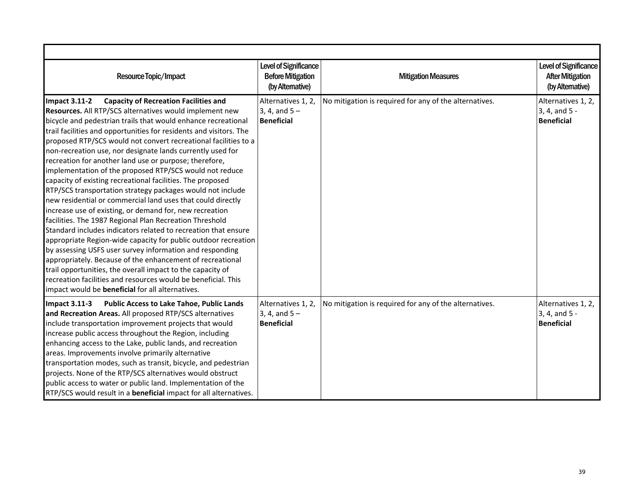| Resource Topic/Impact                                                                                                                                                                                                                                                                                                                                                                                                                                                                                                                                                                                                                                                                                                                                                                                                                                                                                                                                                                                                                                                                                                                                                                                                                                                                                | Level of Significance<br><b>Before Mitigation</b><br>(by Altemative) | <b>Mitigation Measures</b>                             | Level of Significance<br><b>After Mitigation</b><br>(by Alternative) |
|------------------------------------------------------------------------------------------------------------------------------------------------------------------------------------------------------------------------------------------------------------------------------------------------------------------------------------------------------------------------------------------------------------------------------------------------------------------------------------------------------------------------------------------------------------------------------------------------------------------------------------------------------------------------------------------------------------------------------------------------------------------------------------------------------------------------------------------------------------------------------------------------------------------------------------------------------------------------------------------------------------------------------------------------------------------------------------------------------------------------------------------------------------------------------------------------------------------------------------------------------------------------------------------------------|----------------------------------------------------------------------|--------------------------------------------------------|----------------------------------------------------------------------|
| <b>Impact 3.11-2</b><br><b>Capacity of Recreation Facilities and</b><br>Resources. All RTP/SCS alternatives would implement new<br>bicycle and pedestrian trails that would enhance recreational<br>trail facilities and opportunities for residents and visitors. The<br>proposed RTP/SCS would not convert recreational facilities to a<br>non-recreation use, nor designate lands currently used for<br>recreation for another land use or purpose; therefore,<br>implementation of the proposed RTP/SCS would not reduce<br>capacity of existing recreational facilities. The proposed<br>RTP/SCS transportation strategy packages would not include<br>new residential or commercial land uses that could directly<br>increase use of existing, or demand for, new recreation<br>facilities. The 1987 Regional Plan Recreation Threshold<br>Standard includes indicators related to recreation that ensure<br>appropriate Region-wide capacity for public outdoor recreation<br>by assessing USFS user survey information and responding<br>appropriately. Because of the enhancement of recreational<br>trail opportunities, the overall impact to the capacity of<br>recreation facilities and resources would be beneficial. This<br>impact would be <b>beneficial</b> for all alternatives. | Alternatives 1, 2,<br>3, 4, and $5 -$<br><b>Beneficial</b>           | No mitigation is required for any of the alternatives. | Alternatives 1, 2,<br>3, 4, and 5 -<br><b>Beneficial</b>             |
| <b>Public Access to Lake Tahoe, Public Lands</b><br>Impact 3.11-3<br>and Recreation Areas. All proposed RTP/SCS alternatives<br>include transportation improvement projects that would<br>increase public access throughout the Region, including<br>enhancing access to the Lake, public lands, and recreation<br>areas. Improvements involve primarily alternative<br>transportation modes, such as transit, bicycle, and pedestrian<br>projects. None of the RTP/SCS alternatives would obstruct<br>public access to water or public land. Implementation of the<br>RTP/SCS would result in a beneficial impact for all alternatives.                                                                                                                                                                                                                                                                                                                                                                                                                                                                                                                                                                                                                                                             | Alternatives 1, 2,<br>3, 4, and $5 -$<br><b>Beneficial</b>           | No mitigation is required for any of the alternatives. | Alternatives 1, 2,<br>3, 4, and 5 -<br><b>Beneficial</b>             |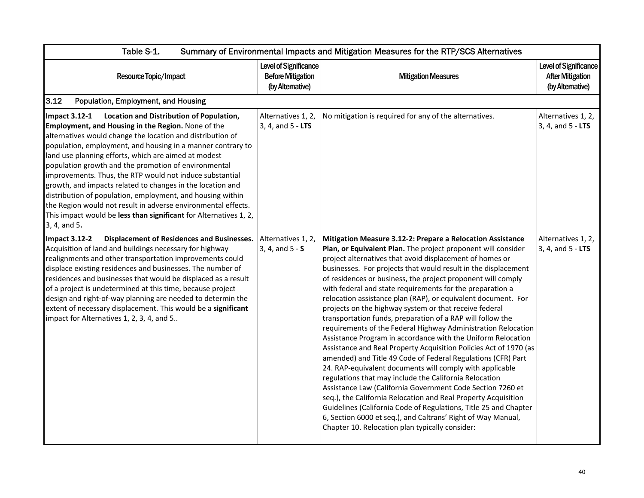| Table S-1.<br>Summary of Environmental Impacts and Mitigation Measures for the RTP/SCS Alternatives                                                                                                                                                                                                                                                                                                                                                                                                                                                                                                                                                                                                               |                                                                       |                                                                                                                                                                                                                                                                                                                                                                                                                                                                                                                                                                                                                                                                                                                                                                                                                                                                                                                                                                                                                                                                                                                                                                                                                                                                                                    |                                                                      |
|-------------------------------------------------------------------------------------------------------------------------------------------------------------------------------------------------------------------------------------------------------------------------------------------------------------------------------------------------------------------------------------------------------------------------------------------------------------------------------------------------------------------------------------------------------------------------------------------------------------------------------------------------------------------------------------------------------------------|-----------------------------------------------------------------------|----------------------------------------------------------------------------------------------------------------------------------------------------------------------------------------------------------------------------------------------------------------------------------------------------------------------------------------------------------------------------------------------------------------------------------------------------------------------------------------------------------------------------------------------------------------------------------------------------------------------------------------------------------------------------------------------------------------------------------------------------------------------------------------------------------------------------------------------------------------------------------------------------------------------------------------------------------------------------------------------------------------------------------------------------------------------------------------------------------------------------------------------------------------------------------------------------------------------------------------------------------------------------------------------------|----------------------------------------------------------------------|
| Resource Topic/Impact                                                                                                                                                                                                                                                                                                                                                                                                                                                                                                                                                                                                                                                                                             | Level of Significance<br><b>Before Mitigation</b><br>(by Alternative) | <b>Mitigation Measures</b>                                                                                                                                                                                                                                                                                                                                                                                                                                                                                                                                                                                                                                                                                                                                                                                                                                                                                                                                                                                                                                                                                                                                                                                                                                                                         | Level of Significance<br><b>After Mitigation</b><br>(by Alternative) |
| 3.12<br>Population, Employment, and Housing                                                                                                                                                                                                                                                                                                                                                                                                                                                                                                                                                                                                                                                                       |                                                                       |                                                                                                                                                                                                                                                                                                                                                                                                                                                                                                                                                                                                                                                                                                                                                                                                                                                                                                                                                                                                                                                                                                                                                                                                                                                                                                    |                                                                      |
| Location and Distribution of Population,<br><b>Impact 3.12-1</b><br>Employment, and Housing in the Region. None of the<br>alternatives would change the location and distribution of<br>population, employment, and housing in a manner contrary to<br>land use planning efforts, which are aimed at modest<br>population growth and the promotion of environmental<br>improvements. Thus, the RTP would not induce substantial<br>growth, and impacts related to changes in the location and<br>distribution of population, employment, and housing within<br>the Region would not result in adverse environmental effects.<br>This impact would be less than significant for Alternatives 1, 2,<br>3, 4, and 5. | Alternatives 1, 2,<br>3, 4, and 5 - LTS                               | No mitigation is required for any of the alternatives.                                                                                                                                                                                                                                                                                                                                                                                                                                                                                                                                                                                                                                                                                                                                                                                                                                                                                                                                                                                                                                                                                                                                                                                                                                             | Alternatives 1, 2,<br>$3, 4,$ and $5 - LTS$                          |
| <b>Displacement of Residences and Businesses.</b><br><b>Impact 3.12-2</b><br>Acquisition of land and buildings necessary for highway<br>realignments and other transportation improvements could<br>displace existing residences and businesses. The number of<br>residences and businesses that would be displaced as a result<br>of a project is undetermined at this time, because project<br>design and right-of-way planning are needed to determin the<br>extent of necessary displacement. This would be a significant<br>impact for Alternatives 1, 2, 3, 4, and 5                                                                                                                                        | Alternatives 1, 2,<br>$3, 4, and 5 - S$                               | Mitigation Measure 3.12-2: Prepare a Relocation Assistance<br>Plan, or Equivalent Plan. The project proponent will consider<br>project alternatives that avoid displacement of homes or<br>businesses. For projects that would result in the displacement<br>of residences or business, the project proponent will comply<br>with federal and state requirements for the preparation a<br>relocation assistance plan (RAP), or equivalent document. For<br>projects on the highway system or that receive federal<br>transportation funds, preparation of a RAP will follow the<br>requirements of the Federal Highway Administration Relocation<br>Assistance Program in accordance with the Uniform Relocation<br>Assistance and Real Property Acquisition Policies Act of 1970 (as<br>amended) and Title 49 Code of Federal Regulations (CFR) Part<br>24. RAP-equivalent documents will comply with applicable<br>regulations that may include the California Relocation<br>Assistance Law (California Government Code Section 7260 et<br>seq.), the California Relocation and Real Property Acquisition<br>Guidelines (California Code of Regulations, Title 25 and Chapter<br>6, Section 6000 et seq.), and Caltrans' Right of Way Manual,<br>Chapter 10. Relocation plan typically consider: | Alternatives 1, 2,<br>3, 4, and 5 - LTS                              |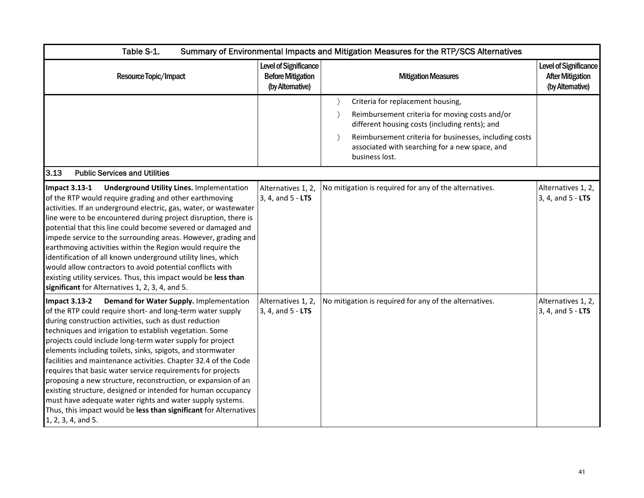| Table S-1.                                                                                                                                                                                                                                                                                                                                                                                                                                                                                                                                                                                                                                                                                                                                                                                               | Summary of Environmental Impacts and Mitigation Measures for the RTP/SCS Alternatives |                                                                                                                                                                                                                                                                     |                                                                             |  |
|----------------------------------------------------------------------------------------------------------------------------------------------------------------------------------------------------------------------------------------------------------------------------------------------------------------------------------------------------------------------------------------------------------------------------------------------------------------------------------------------------------------------------------------------------------------------------------------------------------------------------------------------------------------------------------------------------------------------------------------------------------------------------------------------------------|---------------------------------------------------------------------------------------|---------------------------------------------------------------------------------------------------------------------------------------------------------------------------------------------------------------------------------------------------------------------|-----------------------------------------------------------------------------|--|
| Resource Topic/Impact                                                                                                                                                                                                                                                                                                                                                                                                                                                                                                                                                                                                                                                                                                                                                                                    | Level of Significance<br><b>Before Mitigation</b><br>(by Altemative)                  | <b>Mitigation Measures</b>                                                                                                                                                                                                                                          | <b>Level of Significance</b><br><b>After Mitigation</b><br>(by Alternative) |  |
|                                                                                                                                                                                                                                                                                                                                                                                                                                                                                                                                                                                                                                                                                                                                                                                                          |                                                                                       | Criteria for replacement housing,<br>Reimbursement criteria for moving costs and/or<br>different housing costs (including rents); and<br>Reimbursement criteria for businesses, including costs<br>associated with searching for a new space, and<br>business lost. |                                                                             |  |
| 3.13<br><b>Public Services and Utilities</b><br><b>Underground Utility Lines. Implementation</b><br><b>Impact 3.13-1</b><br>of the RTP would require grading and other earthmoving<br>activities. If an underground electric, gas, water, or wastewater<br>line were to be encountered during project disruption, there is<br>potential that this line could become severed or damaged and<br>impede service to the surrounding areas. However, grading and<br>earthmoving activities within the Region would require the<br>identification of all known underground utility lines, which<br>would allow contractors to avoid potential conflicts with<br>existing utility services. Thus, this impact would be less than<br>significant for Alternatives 1, 2, 3, 4, and 5.                             | Alternatives 1, 2,<br>3, 4, and 5 - LTS                                               | No mitigation is required for any of the alternatives.                                                                                                                                                                                                              | Alternatives 1, 2,<br>3, 4, and 5 - LTS                                     |  |
| Demand for Water Supply. Implementation<br><b>Impact 3.13-2</b><br>of the RTP could require short- and long-term water supply<br>during construction activities, such as dust reduction<br>techniques and irrigation to establish vegetation. Some<br>projects could include long-term water supply for project<br>elements including toilets, sinks, spigots, and stormwater<br>facilities and maintenance activities. Chapter 32.4 of the Code<br>requires that basic water service requirements for projects<br>proposing a new structure, reconstruction, or expansion of an<br>existing structure, designed or intended for human occupancy<br>must have adequate water rights and water supply systems.<br>Thus, this impact would be less than significant for Alternatives<br>1, 2, 3, 4, and 5. | Alternatives 1, 2,<br>3, 4, and 5 - LTS                                               | No mitigation is required for any of the alternatives.                                                                                                                                                                                                              | Alternatives 1, 2,<br>3, 4, and 5 - LTS                                     |  |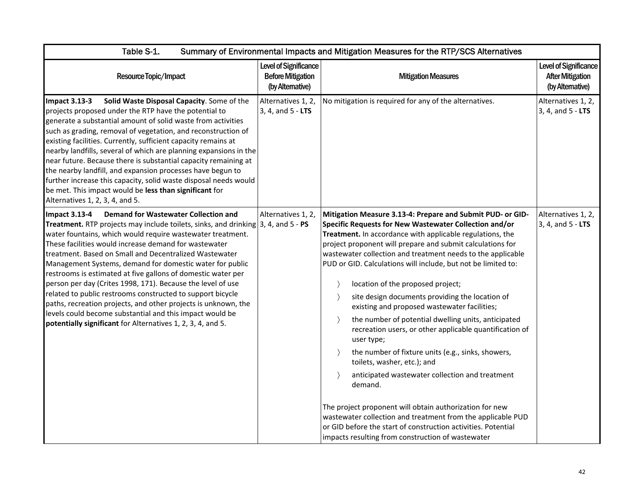| Table S-1.<br>Summary of Environmental Impacts and Mitigation Measures for the RTP/SCS Alternatives                                                                                                                                                                                                                                                                                                                                                                                                                                                                                                                                                                                                                                                                                                   |                                                                       |                                                                                                                                                                                                                                                                                                                                                                                                                                                                                                                                                                                                                                                                                                                                                                                                                                                                                                                                                                                                                                                                                                                                                 |                                                                      |  |
|-------------------------------------------------------------------------------------------------------------------------------------------------------------------------------------------------------------------------------------------------------------------------------------------------------------------------------------------------------------------------------------------------------------------------------------------------------------------------------------------------------------------------------------------------------------------------------------------------------------------------------------------------------------------------------------------------------------------------------------------------------------------------------------------------------|-----------------------------------------------------------------------|-------------------------------------------------------------------------------------------------------------------------------------------------------------------------------------------------------------------------------------------------------------------------------------------------------------------------------------------------------------------------------------------------------------------------------------------------------------------------------------------------------------------------------------------------------------------------------------------------------------------------------------------------------------------------------------------------------------------------------------------------------------------------------------------------------------------------------------------------------------------------------------------------------------------------------------------------------------------------------------------------------------------------------------------------------------------------------------------------------------------------------------------------|----------------------------------------------------------------------|--|
| Resource Topic/Impact                                                                                                                                                                                                                                                                                                                                                                                                                                                                                                                                                                                                                                                                                                                                                                                 | Level of Significance<br><b>Before Mitigation</b><br>(by Alternative) | <b>Mitigation Measures</b>                                                                                                                                                                                                                                                                                                                                                                                                                                                                                                                                                                                                                                                                                                                                                                                                                                                                                                                                                                                                                                                                                                                      | Level of Significance<br><b>After Mitigation</b><br>(by Alternative) |  |
| <b>Impact 3.13-3</b><br>Solid Waste Disposal Capacity. Some of the<br>projects proposed under the RTP have the potential to<br>generate a substantial amount of solid waste from activities<br>such as grading, removal of vegetation, and reconstruction of<br>existing facilities. Currently, sufficient capacity remains at<br>nearby landfills, several of which are planning expansions in the<br>near future. Because there is substantial capacity remaining at<br>the nearby landfill, and expansion processes have begun to<br>further increase this capacity, solid waste disposal needs would<br>be met. This impact would be less than significant for<br>Alternatives 1, 2, 3, 4, and 5.                                                                                                 | Alternatives 1, 2,<br>3, 4, and 5 - LTS                               | No mitigation is required for any of the alternatives.                                                                                                                                                                                                                                                                                                                                                                                                                                                                                                                                                                                                                                                                                                                                                                                                                                                                                                                                                                                                                                                                                          | Alternatives 1, 2,<br>3, 4, and 5 - LTS                              |  |
| <b>Demand for Wastewater Collection and</b><br>Impact 3.13-4<br><b>Treatment.</b> RTP projects may include toilets, sinks, and drinking $ 3, 4$ , and $5 - PS$<br>water fountains, which would require wastewater treatment.<br>These facilities would increase demand for wastewater<br>treatment. Based on Small and Decentralized Wastewater<br>Management Systems, demand for domestic water for public<br>restrooms is estimated at five gallons of domestic water per<br>person per day (Crites 1998, 171). Because the level of use<br>related to public restrooms constructed to support bicycle<br>paths, recreation projects, and other projects is unknown, the<br>levels could become substantial and this impact would be<br>potentially significant for Alternatives 1, 2, 3, 4, and 5. | Alternatives 1, 2,                                                    | Mitigation Measure 3.13-4: Prepare and Submit PUD- or GID-<br>Specific Requests for New Wastewater Collection and/or<br>Treatment. In accordance with applicable regulations, the<br>project proponent will prepare and submit calculations for<br>wastewater collection and treatment needs to the applicable<br>PUD or GID. Calculations will include, but not be limited to:<br>location of the proposed project;<br>$\rightarrow$<br>site design documents providing the location of<br>$\rightarrow$<br>existing and proposed wastewater facilities;<br>the number of potential dwelling units, anticipated<br>$\rightarrow$<br>recreation users, or other applicable quantification of<br>user type;<br>the number of fixture units (e.g., sinks, showers,<br>$\rightarrow$<br>toilets, washer, etc.); and<br>$\rightarrow$<br>anticipated wastewater collection and treatment<br>demand.<br>The project proponent will obtain authorization for new<br>wastewater collection and treatment from the applicable PUD<br>or GID before the start of construction activities. Potential<br>impacts resulting from construction of wastewater | Alternatives 1, 2,<br>3, 4, and 5 - LTS                              |  |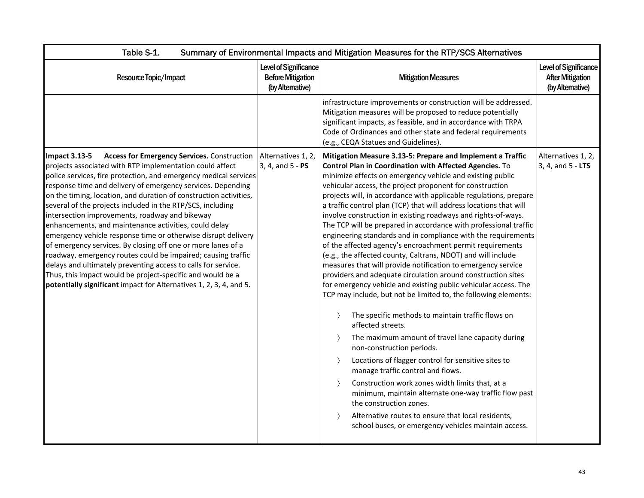| Table S-1.                                                                                                                                                                                                                                                                                                                                                                                                                                                                                                                                                                                                                                                                                                                                                                                                                                                                                                                                  | Summary of Environmental Impacts and Mitigation Measures for the RTP/SCS Alternatives |                                                                                                                                                                                                                                                                                                                                                                                                                                                                                                                                                                                                                                                                                                                                                                                                                                                                                                                                                                                                                                                                                                                                                                                                                                                                                                                                                                                                                                                                                                                                  |                                                                             |  |  |
|---------------------------------------------------------------------------------------------------------------------------------------------------------------------------------------------------------------------------------------------------------------------------------------------------------------------------------------------------------------------------------------------------------------------------------------------------------------------------------------------------------------------------------------------------------------------------------------------------------------------------------------------------------------------------------------------------------------------------------------------------------------------------------------------------------------------------------------------------------------------------------------------------------------------------------------------|---------------------------------------------------------------------------------------|----------------------------------------------------------------------------------------------------------------------------------------------------------------------------------------------------------------------------------------------------------------------------------------------------------------------------------------------------------------------------------------------------------------------------------------------------------------------------------------------------------------------------------------------------------------------------------------------------------------------------------------------------------------------------------------------------------------------------------------------------------------------------------------------------------------------------------------------------------------------------------------------------------------------------------------------------------------------------------------------------------------------------------------------------------------------------------------------------------------------------------------------------------------------------------------------------------------------------------------------------------------------------------------------------------------------------------------------------------------------------------------------------------------------------------------------------------------------------------------------------------------------------------|-----------------------------------------------------------------------------|--|--|
| Resource Topic/Impact                                                                                                                                                                                                                                                                                                                                                                                                                                                                                                                                                                                                                                                                                                                                                                                                                                                                                                                       | Level of Significance<br><b>Before Mitigation</b><br>(by Alternative)                 | <b>Mitigation Measures</b>                                                                                                                                                                                                                                                                                                                                                                                                                                                                                                                                                                                                                                                                                                                                                                                                                                                                                                                                                                                                                                                                                                                                                                                                                                                                                                                                                                                                                                                                                                       | <b>Level of Significance</b><br><b>After Mitigation</b><br>(by Alternative) |  |  |
|                                                                                                                                                                                                                                                                                                                                                                                                                                                                                                                                                                                                                                                                                                                                                                                                                                                                                                                                             |                                                                                       | infrastructure improvements or construction will be addressed.<br>Mitigation measures will be proposed to reduce potentially<br>significant impacts, as feasible, and in accordance with TRPA<br>Code of Ordinances and other state and federal requirements<br>(e.g., CEQA Statues and Guidelines).                                                                                                                                                                                                                                                                                                                                                                                                                                                                                                                                                                                                                                                                                                                                                                                                                                                                                                                                                                                                                                                                                                                                                                                                                             |                                                                             |  |  |
| Access for Emergency Services. Construction   Alternatives 1, 2,<br><b>Impact 3.13-5</b><br>projects associated with RTP implementation could affect<br>police services, fire protection, and emergency medical services<br>response time and delivery of emergency services. Depending<br>on the timing, location, and duration of construction activities,<br>several of the projects included in the RTP/SCS, including<br>intersection improvements, roadway and bikeway<br>enhancements, and maintenance activities, could delay<br>emergency vehicle response time or otherwise disrupt delivery<br>of emergency services. By closing off one or more lanes of a<br>roadway, emergency routes could be impaired; causing traffic<br>delays and ultimately preventing access to calls for service.<br>Thus, this impact would be project-specific and would be a<br>potentially significant impact for Alternatives 1, 2, 3, 4, and 5. | 3, 4, and 5 - PS                                                                      | Mitigation Measure 3.13-5: Prepare and Implement a Traffic<br>Control Plan in Coordination with Affected Agencies. To<br>minimize effects on emergency vehicle and existing public<br>vehicular access, the project proponent for construction<br>projects will, in accordance with applicable regulations, prepare<br>a traffic control plan (TCP) that will address locations that will<br>involve construction in existing roadways and rights-of-ways.<br>The TCP will be prepared in accordance with professional traffic<br>engineering standards and in compliance with the requirements<br>of the affected agency's encroachment permit requirements<br>(e.g., the affected county, Caltrans, NDOT) and will include<br>measures that will provide notification to emergency service<br>providers and adequate circulation around construction sites<br>for emergency vehicle and existing public vehicular access. The<br>TCP may include, but not be limited to, the following elements:<br>The specific methods to maintain traffic flows on<br>affected streets.<br>The maximum amount of travel lane capacity during<br>non-construction periods.<br>Locations of flagger control for sensitive sites to<br>$\rightarrow$<br>manage traffic control and flows.<br>Construction work zones width limits that, at a<br>minimum, maintain alternate one-way traffic flow past<br>the construction zones.<br>Alternative routes to ensure that local residents,<br>school buses, or emergency vehicles maintain access. | Alternatives 1, 2,<br>3, 4, and 5 - LTS                                     |  |  |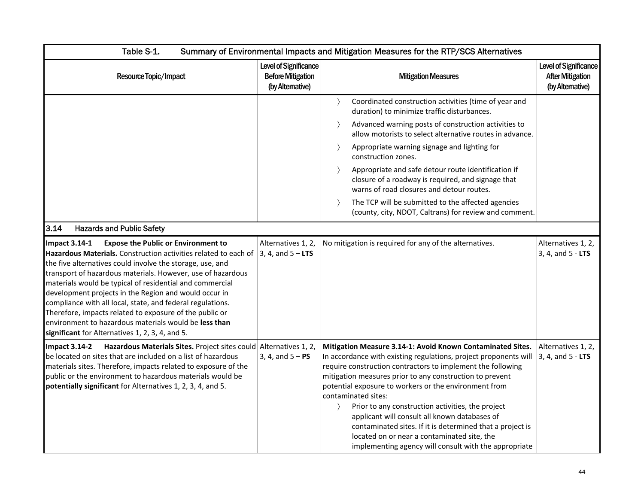| Table S-1.                                                                                                                                                                                                                                                                                                                                                                                                                                                                                                                                                                                                                                     |                                                                       | Summary of Environmental Impacts and Mitigation Measures for the RTP/SCS Alternatives                                                                                                                                                                                                                                                                                                                                                                                                                                                                                                                                                                |                                                                            |
|------------------------------------------------------------------------------------------------------------------------------------------------------------------------------------------------------------------------------------------------------------------------------------------------------------------------------------------------------------------------------------------------------------------------------------------------------------------------------------------------------------------------------------------------------------------------------------------------------------------------------------------------|-----------------------------------------------------------------------|------------------------------------------------------------------------------------------------------------------------------------------------------------------------------------------------------------------------------------------------------------------------------------------------------------------------------------------------------------------------------------------------------------------------------------------------------------------------------------------------------------------------------------------------------------------------------------------------------------------------------------------------------|----------------------------------------------------------------------------|
| Resource Topic/Impact                                                                                                                                                                                                                                                                                                                                                                                                                                                                                                                                                                                                                          | Level of Significance<br><b>Before Mitigation</b><br>(by Alternative) | <b>Mitigation Measures</b>                                                                                                                                                                                                                                                                                                                                                                                                                                                                                                                                                                                                                           | <b>Level of Significance</b><br><b>After Mitigation</b><br>(by Altemative) |
|                                                                                                                                                                                                                                                                                                                                                                                                                                                                                                                                                                                                                                                |                                                                       | Coordinated construction activities (time of year and<br>duration) to minimize traffic disturbances.                                                                                                                                                                                                                                                                                                                                                                                                                                                                                                                                                 |                                                                            |
|                                                                                                                                                                                                                                                                                                                                                                                                                                                                                                                                                                                                                                                |                                                                       | Advanced warning posts of construction activities to<br>$\rightarrow$<br>allow motorists to select alternative routes in advance.                                                                                                                                                                                                                                                                                                                                                                                                                                                                                                                    |                                                                            |
|                                                                                                                                                                                                                                                                                                                                                                                                                                                                                                                                                                                                                                                |                                                                       | Appropriate warning signage and lighting for<br>construction zones.                                                                                                                                                                                                                                                                                                                                                                                                                                                                                                                                                                                  |                                                                            |
|                                                                                                                                                                                                                                                                                                                                                                                                                                                                                                                                                                                                                                                |                                                                       | Appropriate and safe detour route identification if<br>closure of a roadway is required, and signage that<br>warns of road closures and detour routes.                                                                                                                                                                                                                                                                                                                                                                                                                                                                                               |                                                                            |
|                                                                                                                                                                                                                                                                                                                                                                                                                                                                                                                                                                                                                                                |                                                                       | The TCP will be submitted to the affected agencies<br>(county, city, NDOT, Caltrans) for review and comment.                                                                                                                                                                                                                                                                                                                                                                                                                                                                                                                                         |                                                                            |
| 3.14<br><b>Hazards and Public Safety</b>                                                                                                                                                                                                                                                                                                                                                                                                                                                                                                                                                                                                       |                                                                       |                                                                                                                                                                                                                                                                                                                                                                                                                                                                                                                                                                                                                                                      |                                                                            |
| <b>Expose the Public or Environment to</b><br>Impact 3.14-1<br>Hazardous Materials. Construction activities related to each of $\vert$ 3, 4, and 5 - LTS<br>the five alternatives could involve the storage, use, and<br>transport of hazardous materials. However, use of hazardous<br>materials would be typical of residential and commercial<br>development projects in the Region and would occur in<br>compliance with all local, state, and federal regulations.<br>Therefore, impacts related to exposure of the public or<br>environment to hazardous materials would be less than<br>significant for Alternatives 1, 2, 3, 4, and 5. | Alternatives 1, 2,                                                    | No mitigation is required for any of the alternatives.                                                                                                                                                                                                                                                                                                                                                                                                                                                                                                                                                                                               | Alternatives 1, 2,<br>3, 4, and 5 - LTS                                    |
| Hazardous Materials Sites. Project sites could Alternatives 1, 2,<br>Impact $3.14-2$<br>be located on sites that are included on a list of hazardous<br>materials sites. Therefore, impacts related to exposure of the<br>public or the environment to hazardous materials would be<br>potentially significant for Alternatives 1, 2, 3, 4, and 5.                                                                                                                                                                                                                                                                                             | 3, 4, and $5 - PS$                                                    | Mitigation Measure 3.14-1: Avoid Known Contaminated Sites.<br>In accordance with existing regulations, project proponents will<br>require construction contractors to implement the following<br>mitigation measures prior to any construction to prevent<br>potential exposure to workers or the environment from<br>contaminated sites:<br>Prior to any construction activities, the project<br>$\left\langle \right\rangle$<br>applicant will consult all known databases of<br>contaminated sites. If it is determined that a project is<br>located on or near a contaminated site, the<br>implementing agency will consult with the appropriate | Alternatives 1, 2,<br>3, 4, and 5 - LTS                                    |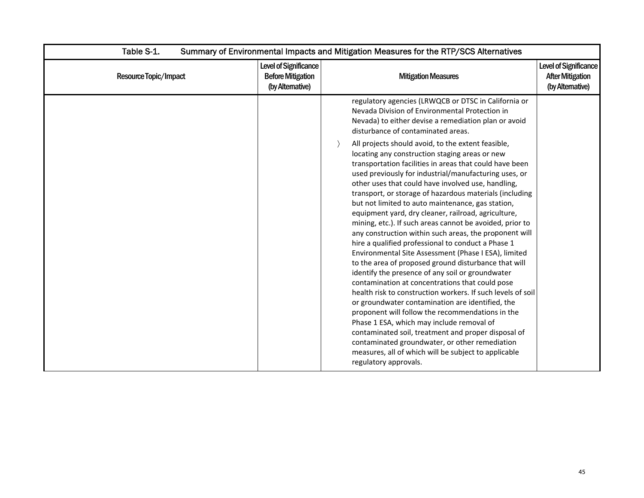| Table S-1.            | Summary of Environmental Impacts and Mitigation Measures for the RTP/SCS Alternatives |                                                                                                                                                                                                                                                                                                                                                                                                                                                                                                                                                                                                                                                                                                                                                                                                                                                                                                                                                                                                                                                                                                                                                                                                                                                                        |                                                                            |  |
|-----------------------|---------------------------------------------------------------------------------------|------------------------------------------------------------------------------------------------------------------------------------------------------------------------------------------------------------------------------------------------------------------------------------------------------------------------------------------------------------------------------------------------------------------------------------------------------------------------------------------------------------------------------------------------------------------------------------------------------------------------------------------------------------------------------------------------------------------------------------------------------------------------------------------------------------------------------------------------------------------------------------------------------------------------------------------------------------------------------------------------------------------------------------------------------------------------------------------------------------------------------------------------------------------------------------------------------------------------------------------------------------------------|----------------------------------------------------------------------------|--|
| Resource Topic/Impact | Level of Significance<br><b>Before Mitigation</b><br>(by Altemative)                  | <b>Mitigation Measures</b>                                                                                                                                                                                                                                                                                                                                                                                                                                                                                                                                                                                                                                                                                                                                                                                                                                                                                                                                                                                                                                                                                                                                                                                                                                             | <b>Level of Significance</b><br><b>After Mitigation</b><br>(by Altemative) |  |
|                       |                                                                                       | regulatory agencies (LRWQCB or DTSC in California or<br>Nevada Division of Environmental Protection in<br>Nevada) to either devise a remediation plan or avoid<br>disturbance of contaminated areas.                                                                                                                                                                                                                                                                                                                                                                                                                                                                                                                                                                                                                                                                                                                                                                                                                                                                                                                                                                                                                                                                   |                                                                            |  |
|                       |                                                                                       | All projects should avoid, to the extent feasible,<br>locating any construction staging areas or new<br>transportation facilities in areas that could have been<br>used previously for industrial/manufacturing uses, or<br>other uses that could have involved use, handling,<br>transport, or storage of hazardous materials (including<br>but not limited to auto maintenance, gas station,<br>equipment yard, dry cleaner, railroad, agriculture,<br>mining, etc.). If such areas cannot be avoided, prior to<br>any construction within such areas, the proponent will<br>hire a qualified professional to conduct a Phase 1<br>Environmental Site Assessment (Phase I ESA), limited<br>to the area of proposed ground disturbance that will<br>identify the presence of any soil or groundwater<br>contamination at concentrations that could pose<br>health risk to construction workers. If such levels of soil<br>or groundwater contamination are identified, the<br>proponent will follow the recommendations in the<br>Phase 1 ESA, which may include removal of<br>contaminated soil, treatment and proper disposal of<br>contaminated groundwater, or other remediation<br>measures, all of which will be subject to applicable<br>regulatory approvals. |                                                                            |  |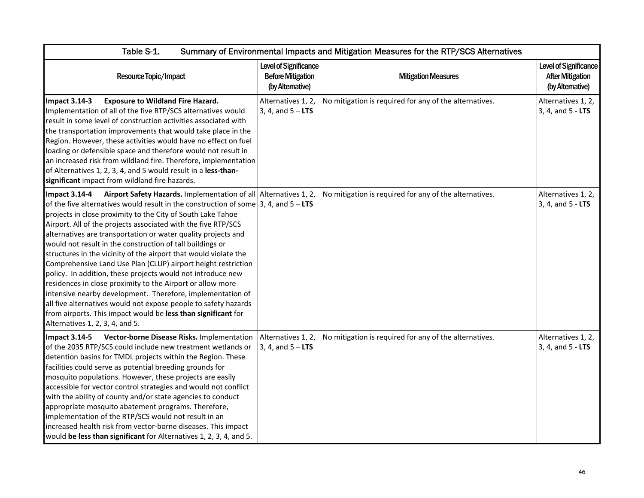| Table S-1.<br>Summary of Environmental Impacts and Mitigation Measures for the RTP/SCS Alternatives                                                                                                                                                                                                                                                                                                                                                                                                                                                                                                                                                                                                                                                                                                                                                                                                                                                        |                                                                              |                                                        |                                                                      |
|------------------------------------------------------------------------------------------------------------------------------------------------------------------------------------------------------------------------------------------------------------------------------------------------------------------------------------------------------------------------------------------------------------------------------------------------------------------------------------------------------------------------------------------------------------------------------------------------------------------------------------------------------------------------------------------------------------------------------------------------------------------------------------------------------------------------------------------------------------------------------------------------------------------------------------------------------------|------------------------------------------------------------------------------|--------------------------------------------------------|----------------------------------------------------------------------|
| Resource Topic/Impact                                                                                                                                                                                                                                                                                                                                                                                                                                                                                                                                                                                                                                                                                                                                                                                                                                                                                                                                      | <b>Level of Significance</b><br><b>Before Mitigation</b><br>(by Alternative) | <b>Mitigation Measures</b>                             | Level of Significance<br><b>After Mitigation</b><br>(by Alternative) |
| <b>Impact 3.14-3</b><br><b>Exposure to Wildland Fire Hazard.</b><br>Implementation of all of the five RTP/SCS alternatives would<br>result in some level of construction activities associated with<br>the transportation improvements that would take place in the<br>Region. However, these activities would have no effect on fuel<br>loading or defensible space and therefore would not result in<br>an increased risk from wildland fire. Therefore, implementation<br>of Alternatives 1, 2, 3, 4, and 5 would result in a less-than-<br>significant impact from wildland fire hazards.                                                                                                                                                                                                                                                                                                                                                              | Alternatives 1, 2,<br>3, 4, and $5 - LTS$                                    | No mitigation is required for any of the alternatives. | Alternatives 1, 2,<br>3, 4, and 5 - LTS                              |
| Airport Safety Hazards. Implementation of all Alternatives 1, 2,<br><b>Impact 3.14-4</b><br>of the five alternatives would result in the construction of some $ 3, 4$ , and $5 - LTS$<br>projects in close proximity to the City of South Lake Tahoe<br>Airport. All of the projects associated with the five RTP/SCS<br>alternatives are transportation or water quality projects and<br>would not result in the construction of tall buildings or<br>structures in the vicinity of the airport that would violate the<br>Comprehensive Land Use Plan (CLUP) airport height restriction<br>policy. In addition, these projects would not introduce new<br>residences in close proximity to the Airport or allow more<br>intensive nearby development. Therefore, implementation of<br>all five alternatives would not expose people to safety hazards<br>from airports. This impact would be less than significant for<br>Alternatives 1, 2, 3, 4, and 5. |                                                                              | No mitigation is required for any of the alternatives. | Alternatives 1, 2,<br>3, 4, and 5 - LTS                              |
| Impact 3.14-5 Vector-borne Disease Risks. Implementation<br>of the 2035 RTP/SCS could include new treatment wetlands or<br>detention basins for TMDL projects within the Region. These<br>facilities could serve as potential breeding grounds for<br>mosquito populations. However, these projects are easily<br>accessible for vector control strategies and would not conflict<br>with the ability of county and/or state agencies to conduct<br>appropriate mosquito abatement programs. Therefore,<br>implementation of the RTP/SCS would not result in an<br>increased health risk from vector-borne diseases. This impact<br>would be less than significant for Alternatives 1, 2, 3, 4, and 5.                                                                                                                                                                                                                                                     | Alternatives 1, 2,<br>3, 4, and $5 - LTS$                                    | No mitigation is required for any of the alternatives. | Alternatives 1, 2,<br>3, 4, and 5 - LTS                              |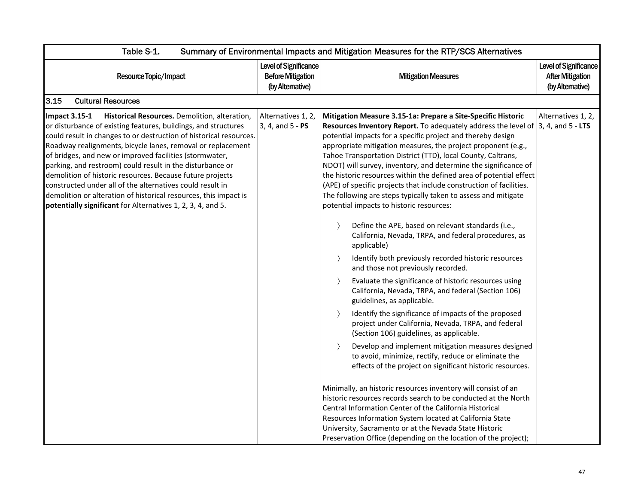| Table S-1.                                                                                                                                                                                                                                                                                                                                                                                                                                                                                                                                                                                                                                                        | Summary of Environmental Impacts and Mitigation Measures for the RTP/SCS Alternatives |                                                                                                                                                                                                                                                                                                                                                                                                                                                                                                                                                                                                                                                                                                                                                                                                                                                                                                                                                                                                                                                                                                                                                                                                                                                                                                                                                                                                                                                                                                                                                                                                                                                                                                                                                                                                                                               |                                                                      |  |
|-------------------------------------------------------------------------------------------------------------------------------------------------------------------------------------------------------------------------------------------------------------------------------------------------------------------------------------------------------------------------------------------------------------------------------------------------------------------------------------------------------------------------------------------------------------------------------------------------------------------------------------------------------------------|---------------------------------------------------------------------------------------|-----------------------------------------------------------------------------------------------------------------------------------------------------------------------------------------------------------------------------------------------------------------------------------------------------------------------------------------------------------------------------------------------------------------------------------------------------------------------------------------------------------------------------------------------------------------------------------------------------------------------------------------------------------------------------------------------------------------------------------------------------------------------------------------------------------------------------------------------------------------------------------------------------------------------------------------------------------------------------------------------------------------------------------------------------------------------------------------------------------------------------------------------------------------------------------------------------------------------------------------------------------------------------------------------------------------------------------------------------------------------------------------------------------------------------------------------------------------------------------------------------------------------------------------------------------------------------------------------------------------------------------------------------------------------------------------------------------------------------------------------------------------------------------------------------------------------------------------------|----------------------------------------------------------------------|--|
| Resource Topic/Impact                                                                                                                                                                                                                                                                                                                                                                                                                                                                                                                                                                                                                                             | Level of Significance<br><b>Before Mitigation</b><br>(by Alternative)                 | <b>Mitigation Measures</b>                                                                                                                                                                                                                                                                                                                                                                                                                                                                                                                                                                                                                                                                                                                                                                                                                                                                                                                                                                                                                                                                                                                                                                                                                                                                                                                                                                                                                                                                                                                                                                                                                                                                                                                                                                                                                    | Level of Significance<br><b>After Mitigation</b><br>(by Alternative) |  |
| 3.15<br><b>Cultural Resources</b>                                                                                                                                                                                                                                                                                                                                                                                                                                                                                                                                                                                                                                 |                                                                                       |                                                                                                                                                                                                                                                                                                                                                                                                                                                                                                                                                                                                                                                                                                                                                                                                                                                                                                                                                                                                                                                                                                                                                                                                                                                                                                                                                                                                                                                                                                                                                                                                                                                                                                                                                                                                                                               |                                                                      |  |
| <b>Impact 3.15-1</b><br>Historical Resources. Demolition, alteration,<br>or disturbance of existing features, buildings, and structures<br>could result in changes to or destruction of historical resources.<br>Roadway realignments, bicycle lanes, removal or replacement<br>of bridges, and new or improved facilities (stormwater,<br>parking, and restroom) could result in the disturbance or<br>demolition of historic resources. Because future projects<br>constructed under all of the alternatives could result in<br>demolition or alteration of historical resources, this impact is<br>potentially significant for Alternatives 1, 2, 3, 4, and 5. | Alternatives 1, 2,<br>3, 4, and 5 - PS                                                | Mitigation Measure 3.15-1a: Prepare a Site-Specific Historic<br>Resources Inventory Report. To adequately address the level of $ 3, 4$ , and $5 - LTS$<br>potential impacts for a specific project and thereby design<br>appropriate mitigation measures, the project proponent (e.g.,<br>Tahoe Transportation District (TTD), local County, Caltrans,<br>NDOT) will survey, inventory, and determine the significance of<br>the historic resources within the defined area of potential effect<br>(APE) of specific projects that include construction of facilities.<br>The following are steps typically taken to assess and mitigate<br>potential impacts to historic resources:<br>Define the APE, based on relevant standards (i.e.,<br>$\rightarrow$<br>California, Nevada, TRPA, and federal procedures, as<br>applicable)<br>Identify both previously recorded historic resources<br>$\rightarrow$<br>and those not previously recorded.<br>Evaluate the significance of historic resources using<br>$\rightarrow$<br>California, Nevada, TRPA, and federal (Section 106)<br>guidelines, as applicable.<br>Identify the significance of impacts of the proposed<br>project under California, Nevada, TRPA, and federal<br>(Section 106) guidelines, as applicable.<br>Develop and implement mitigation measures designed<br>to avoid, minimize, rectify, reduce or eliminate the<br>effects of the project on significant historic resources.<br>Minimally, an historic resources inventory will consist of an<br>historic resources records search to be conducted at the North<br>Central Information Center of the California Historical<br>Resources Information System located at California State<br>University, Sacramento or at the Nevada State Historic<br>Preservation Office (depending on the location of the project); | Alternatives 1, 2,                                                   |  |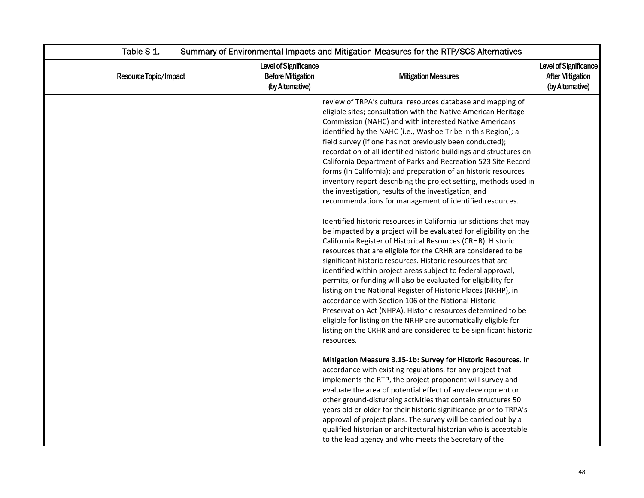| Table S-1.<br>Summary of Environmental Impacts and Mitigation Measures for the RTP/SCS Alternatives |                                                                      |                                                                                                                                                                                                                                                                                                                                                                                                                                                                                                                                                                                                                                                                                                                                                                                                                                                                                                                                                                                                                                                                                                                                                                                                                                                                                                                                                                                                                                                                                                                                                                                                                                                                                                                                                                                                                                                                                                                                                                                                                        |                                                                      |
|-----------------------------------------------------------------------------------------------------|----------------------------------------------------------------------|------------------------------------------------------------------------------------------------------------------------------------------------------------------------------------------------------------------------------------------------------------------------------------------------------------------------------------------------------------------------------------------------------------------------------------------------------------------------------------------------------------------------------------------------------------------------------------------------------------------------------------------------------------------------------------------------------------------------------------------------------------------------------------------------------------------------------------------------------------------------------------------------------------------------------------------------------------------------------------------------------------------------------------------------------------------------------------------------------------------------------------------------------------------------------------------------------------------------------------------------------------------------------------------------------------------------------------------------------------------------------------------------------------------------------------------------------------------------------------------------------------------------------------------------------------------------------------------------------------------------------------------------------------------------------------------------------------------------------------------------------------------------------------------------------------------------------------------------------------------------------------------------------------------------------------------------------------------------------------------------------------------------|----------------------------------------------------------------------|
| Resource Topic/Impact                                                                               | Level of Significance<br><b>Before Mitigation</b><br>(by Altemative) | <b>Mitigation Measures</b>                                                                                                                                                                                                                                                                                                                                                                                                                                                                                                                                                                                                                                                                                                                                                                                                                                                                                                                                                                                                                                                                                                                                                                                                                                                                                                                                                                                                                                                                                                                                                                                                                                                                                                                                                                                                                                                                                                                                                                                             | Level of Significance<br><b>After Mitigation</b><br>(by Alternative) |
|                                                                                                     |                                                                      | review of TRPA's cultural resources database and mapping of<br>eligible sites; consultation with the Native American Heritage<br>Commission (NAHC) and with interested Native Americans<br>identified by the NAHC (i.e., Washoe Tribe in this Region); a<br>field survey (if one has not previously been conducted);<br>recordation of all identified historic buildings and structures on<br>California Department of Parks and Recreation 523 Site Record<br>forms (in California); and preparation of an historic resources<br>inventory report describing the project setting, methods used in<br>the investigation, results of the investigation, and<br>recommendations for management of identified resources.<br>Identified historic resources in California jurisdictions that may<br>be impacted by a project will be evaluated for eligibility on the<br>California Register of Historical Resources (CRHR). Historic<br>resources that are eligible for the CRHR are considered to be<br>significant historic resources. Historic resources that are<br>identified within project areas subject to federal approval,<br>permits, or funding will also be evaluated for eligibility for<br>listing on the National Register of Historic Places (NRHP), in<br>accordance with Section 106 of the National Historic<br>Preservation Act (NHPA). Historic resources determined to be<br>eligible for listing on the NRHP are automatically eligible for<br>listing on the CRHR and are considered to be significant historic<br>resources.<br>Mitigation Measure 3.15-1b: Survey for Historic Resources. In<br>accordance with existing regulations, for any project that<br>implements the RTP, the project proponent will survey and<br>evaluate the area of potential effect of any development or<br>other ground-disturbing activities that contain structures 50<br>years old or older for their historic significance prior to TRPA's<br>approval of project plans. The survey will be carried out by a |                                                                      |
|                                                                                                     |                                                                      | qualified historian or architectural historian who is acceptable<br>to the lead agency and who meets the Secretary of the                                                                                                                                                                                                                                                                                                                                                                                                                                                                                                                                                                                                                                                                                                                                                                                                                                                                                                                                                                                                                                                                                                                                                                                                                                                                                                                                                                                                                                                                                                                                                                                                                                                                                                                                                                                                                                                                                              |                                                                      |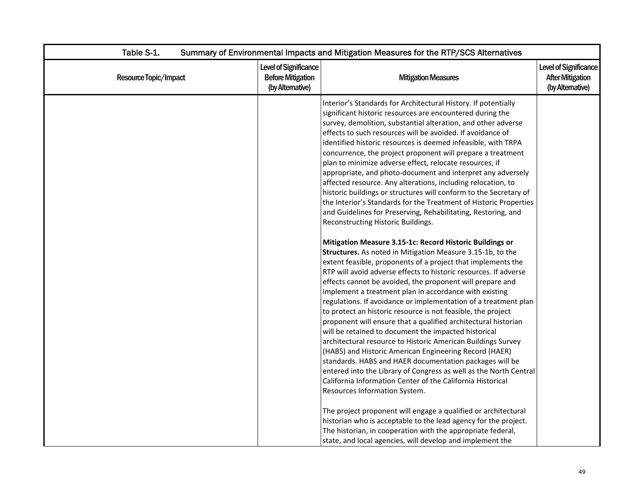| Table S-1.<br>Summary of Environmental Impacts and Mitigation Measures for the RTP/SCS Alternatives |                                                                       |                                                                                                                                                                                                                                                                                                                                                                                                                                                                                                                                                                                                                                                                                                                                                                                                                                                                                                                                                                                                                                                                                                                                                                                                                                                                                                                                                                                                                                                                                                                                                                                                                                                                                                                                                                                                                                                                                                                                                                                                                                                                                                                   |                                                                            |
|-----------------------------------------------------------------------------------------------------|-----------------------------------------------------------------------|-------------------------------------------------------------------------------------------------------------------------------------------------------------------------------------------------------------------------------------------------------------------------------------------------------------------------------------------------------------------------------------------------------------------------------------------------------------------------------------------------------------------------------------------------------------------------------------------------------------------------------------------------------------------------------------------------------------------------------------------------------------------------------------------------------------------------------------------------------------------------------------------------------------------------------------------------------------------------------------------------------------------------------------------------------------------------------------------------------------------------------------------------------------------------------------------------------------------------------------------------------------------------------------------------------------------------------------------------------------------------------------------------------------------------------------------------------------------------------------------------------------------------------------------------------------------------------------------------------------------------------------------------------------------------------------------------------------------------------------------------------------------------------------------------------------------------------------------------------------------------------------------------------------------------------------------------------------------------------------------------------------------------------------------------------------------------------------------------------------------|----------------------------------------------------------------------------|
| Resource Topic/Impact                                                                               | Level of Significance<br><b>Before Mitigation</b><br>(by Alternative) | <b>Mitigation Measures</b>                                                                                                                                                                                                                                                                                                                                                                                                                                                                                                                                                                                                                                                                                                                                                                                                                                                                                                                                                                                                                                                                                                                                                                                                                                                                                                                                                                                                                                                                                                                                                                                                                                                                                                                                                                                                                                                                                                                                                                                                                                                                                        | <b>Level of Significance</b><br><b>After Mitigation</b><br>(by Altemative) |
|                                                                                                     |                                                                       | Interior's Standards for Architectural History. If potentially<br>significant historic resources are encountered during the<br>survey, demolition, substantial alteration, and other adverse<br>effects to such resources will be avoided. If avoidance of<br>identified historic resources is deemed infeasible, with TRPA<br>concurrence, the project proponent will prepare a treatment<br>plan to minimize adverse effect, relocate resources, if<br>appropriate, and photo-document and interpret any adversely<br>affected resource. Any alterations, including relocation, to<br>historic buildings or structures will conform to the Secretary of<br>the Interior's Standards for the Treatment of Historic Properties<br>and Guidelines for Preserving, Rehabilitating, Restoring, and<br>Reconstructing Historic Buildings.<br>Mitigation Measure 3.15-1c: Record Historic Buildings or<br>Structures. As noted in Mitigation Measure 3.15-1b, to the<br>extent feasible, proponents of a project that implements the<br>RTP will avoid adverse effects to historic resources. If adverse<br>effects cannot be avoided, the proponent will prepare and<br>implement a treatment plan in accordance with existing<br>regulations. If avoidance or implementation of a treatment plan<br>to protect an historic resource is not feasible, the project<br>proponent will ensure that a qualified architectural historian<br>will be retained to document the impacted historical<br>architectural resource to Historic American Buildings Survey<br>(HABS) and Historic American Engineering Record (HAER)<br>standards. HABS and HAER documentation packages will be<br>entered into the Library of Congress as well as the North Central<br>California Information Center of the California Historical<br>Resources Information System.<br>The project proponent will engage a qualified or architectural<br>historian who is acceptable to the lead agency for the project.<br>The historian, in cooperation with the appropriate federal,<br>state, and local agencies, will develop and implement the |                                                                            |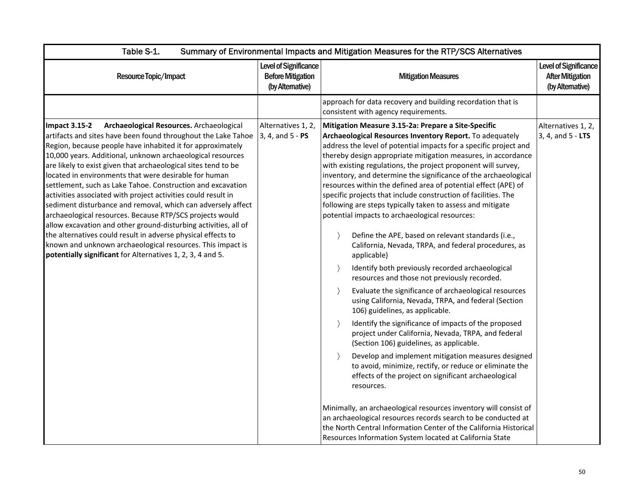| Table S-1.<br>Summary of Environmental Impacts and Mitigation Measures for the RTP/SCS Alternatives                                                                                                                                                                                                                                                                                                                                                                                                                                                                                                                                                                                                                                                                                                                                                                                                                 |                                                                       |                                                                                                                                                                                                                                                                                                                                                                                                                                                                                                                                                                                                                                                                                                                                                                                                                                                                                                                                                                                                                                                                                                                                                                                                                                                                                                                                                                                                                                                                                                                                                                                                                                                                                            |                                                                             |  |
|---------------------------------------------------------------------------------------------------------------------------------------------------------------------------------------------------------------------------------------------------------------------------------------------------------------------------------------------------------------------------------------------------------------------------------------------------------------------------------------------------------------------------------------------------------------------------------------------------------------------------------------------------------------------------------------------------------------------------------------------------------------------------------------------------------------------------------------------------------------------------------------------------------------------|-----------------------------------------------------------------------|--------------------------------------------------------------------------------------------------------------------------------------------------------------------------------------------------------------------------------------------------------------------------------------------------------------------------------------------------------------------------------------------------------------------------------------------------------------------------------------------------------------------------------------------------------------------------------------------------------------------------------------------------------------------------------------------------------------------------------------------------------------------------------------------------------------------------------------------------------------------------------------------------------------------------------------------------------------------------------------------------------------------------------------------------------------------------------------------------------------------------------------------------------------------------------------------------------------------------------------------------------------------------------------------------------------------------------------------------------------------------------------------------------------------------------------------------------------------------------------------------------------------------------------------------------------------------------------------------------------------------------------------------------------------------------------------|-----------------------------------------------------------------------------|--|
| Resource Topic/Impact                                                                                                                                                                                                                                                                                                                                                                                                                                                                                                                                                                                                                                                                                                                                                                                                                                                                                               | Level of Significance<br><b>Before Mitigation</b><br>(by Alternative) | <b>Mitigation Measures</b>                                                                                                                                                                                                                                                                                                                                                                                                                                                                                                                                                                                                                                                                                                                                                                                                                                                                                                                                                                                                                                                                                                                                                                                                                                                                                                                                                                                                                                                                                                                                                                                                                                                                 | <b>Level of Significance</b><br><b>After Mitigation</b><br>(by Alternative) |  |
|                                                                                                                                                                                                                                                                                                                                                                                                                                                                                                                                                                                                                                                                                                                                                                                                                                                                                                                     |                                                                       | approach for data recovery and building recordation that is<br>consistent with agency requirements.                                                                                                                                                                                                                                                                                                                                                                                                                                                                                                                                                                                                                                                                                                                                                                                                                                                                                                                                                                                                                                                                                                                                                                                                                                                                                                                                                                                                                                                                                                                                                                                        |                                                                             |  |
| <b>Impact 3.15-2</b><br>Archaeological Resources. Archaeological<br>artifacts and sites have been found throughout the Lake Tahoe<br>Region, because people have inhabited it for approximately<br>10,000 years. Additional, unknown archaeological resources<br>are likely to exist given that archaeological sites tend to be<br>located in environments that were desirable for human<br>settlement, such as Lake Tahoe. Construction and excavation<br>activities associated with project activities could result in<br>sediment disturbance and removal, which can adversely affect<br>archaeological resources. Because RTP/SCS projects would<br>allow excavation and other ground-disturbing activities, all of<br>the alternatives could result in adverse physical effects to<br>known and unknown archaeological resources. This impact is<br>potentially significant for Alternatives 1, 2, 3, 4 and 5. | Alternatives 1, 2,<br>$3, 4, and 5 - PS$                              | Mitigation Measure 3.15-2a: Prepare a Site-Specific<br>Archaeological Resources Inventory Report. To adequately<br>address the level of potential impacts for a specific project and<br>thereby design appropriate mitigation measures, in accordance<br>with existing regulations, the project proponent will survey,<br>inventory, and determine the significance of the archaeological<br>resources within the defined area of potential effect (APE) of<br>specific projects that include construction of facilities. The<br>following are steps typically taken to assess and mitigate<br>potential impacts to archaeological resources:<br>Define the APE, based on relevant standards (i.e.,<br>California, Nevada, TRPA, and federal procedures, as<br>applicable)<br>Identify both previously recorded archaeological<br>$\left\langle \right\rangle$<br>resources and those not previously recorded.<br>Evaluate the significance of archaeological resources<br>using California, Nevada, TRPA, and federal (Section<br>106) guidelines, as applicable.<br>Identify the significance of impacts of the proposed<br>project under California, Nevada, TRPA, and federal<br>(Section 106) guidelines, as applicable.<br>Develop and implement mitigation measures designed<br>to avoid, minimize, rectify, or reduce or eliminate the<br>effects of the project on significant archaeological<br>resources.<br>Minimally, an archaeological resources inventory will consist of<br>an archaeological resources records search to be conducted at<br>the North Central Information Center of the California Historical<br>Resources Information System located at California State | Alternatives 1, 2,<br>3, 4, and 5 - LTS                                     |  |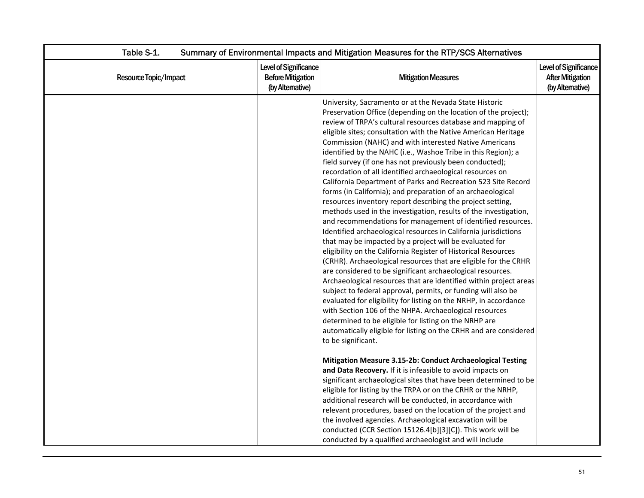| Level of Significance<br><b>Before Mitigation</b><br><b>Mitigation Measures</b><br>(by Alternative)<br>University, Sacramento or at the Nevada State Historic<br>Preservation Office (depending on the location of the project);                                                                                                                                                                                                                                                                                                                                                                                                                                                                                                                                                                                                                                                                                                                                                                                                                                                                                                                                                                                                                                                                                                                                                                                                                                            | <b>Level of Significance</b><br><b>After Mitigation</b><br>(by Altemative)                                                                                                           |
|-----------------------------------------------------------------------------------------------------------------------------------------------------------------------------------------------------------------------------------------------------------------------------------------------------------------------------------------------------------------------------------------------------------------------------------------------------------------------------------------------------------------------------------------------------------------------------------------------------------------------------------------------------------------------------------------------------------------------------------------------------------------------------------------------------------------------------------------------------------------------------------------------------------------------------------------------------------------------------------------------------------------------------------------------------------------------------------------------------------------------------------------------------------------------------------------------------------------------------------------------------------------------------------------------------------------------------------------------------------------------------------------------------------------------------------------------------------------------------|--------------------------------------------------------------------------------------------------------------------------------------------------------------------------------------|
|                                                                                                                                                                                                                                                                                                                                                                                                                                                                                                                                                                                                                                                                                                                                                                                                                                                                                                                                                                                                                                                                                                                                                                                                                                                                                                                                                                                                                                                                             |                                                                                                                                                                                      |
| review of TRPA's cultural resources database and mapping of<br>eligible sites; consultation with the Native American Heritage<br>Commission (NAHC) and with interested Native Americans<br>identified by the NAHC (i.e., Washoe Tribe in this Region); a<br>field survey (if one has not previously been conducted);<br>recordation of all identified archaeological resources on<br>California Department of Parks and Recreation 523 Site Record<br>forms (in California); and preparation of an archaeological<br>resources inventory report describing the project setting,<br>methods used in the investigation, results of the investigation,<br>and recommendations for management of identified resources.<br>Identified archaeological resources in California jurisdictions<br>that may be impacted by a project will be evaluated for<br>eligibility on the California Register of Historical Resources<br>(CRHR). Archaeological resources that are eligible for the CRHR<br>are considered to be significant archaeological resources.<br>Archaeological resources that are identified within project areas<br>subject to federal approval, permits, or funding will also be<br>evaluated for eligibility for listing on the NRHP, in accordance<br>with Section 106 of the NHPA. Archaeological resources<br>determined to be eligible for listing on the NRHP are<br>automatically eligible for listing on the CRHR and are considered<br>to be significant. |                                                                                                                                                                                      |
| and Data Recovery. If it is infeasible to avoid impacts on<br>significant archaeological sites that have been determined to be<br>eligible for listing by the TRPA or on the CRHR or the NRHP,<br>additional research will be conducted, in accordance with<br>relevant procedures, based on the location of the project and<br>the involved agencies. Archaeological excavation will be                                                                                                                                                                                                                                                                                                                                                                                                                                                                                                                                                                                                                                                                                                                                                                                                                                                                                                                                                                                                                                                                                    |                                                                                                                                                                                      |
|                                                                                                                                                                                                                                                                                                                                                                                                                                                                                                                                                                                                                                                                                                                                                                                                                                                                                                                                                                                                                                                                                                                                                                                                                                                                                                                                                                                                                                                                             | Mitigation Measure 3.15-2b: Conduct Archaeological Testing<br>conducted (CCR Section 15126.4[b][3][C]). This work will be<br>conducted by a qualified archaeologist and will include |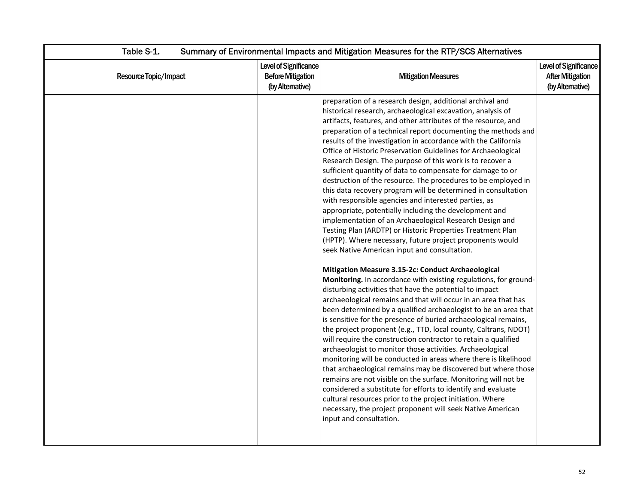| Table S-1.<br>Summary of Environmental Impacts and Mitigation Measures for the RTP/SCS Alternatives |                                                                      |                                                                                                                                                                                                                                                                                                                                                                                                                                                                                                                                                                                                                                                                                                                                                                                                                                                                                                                                                                                                                                                                                                                                                                                                                                                                                                                                                                                                                                                                                                                                                                                                                                                                                                                                                                                                                                                                                                                                                                                                                                               |                                                                     |
|-----------------------------------------------------------------------------------------------------|----------------------------------------------------------------------|-----------------------------------------------------------------------------------------------------------------------------------------------------------------------------------------------------------------------------------------------------------------------------------------------------------------------------------------------------------------------------------------------------------------------------------------------------------------------------------------------------------------------------------------------------------------------------------------------------------------------------------------------------------------------------------------------------------------------------------------------------------------------------------------------------------------------------------------------------------------------------------------------------------------------------------------------------------------------------------------------------------------------------------------------------------------------------------------------------------------------------------------------------------------------------------------------------------------------------------------------------------------------------------------------------------------------------------------------------------------------------------------------------------------------------------------------------------------------------------------------------------------------------------------------------------------------------------------------------------------------------------------------------------------------------------------------------------------------------------------------------------------------------------------------------------------------------------------------------------------------------------------------------------------------------------------------------------------------------------------------------------------------------------------------|---------------------------------------------------------------------|
| Resource Topic/Impact                                                                               | Level of Significance<br><b>Before Mitigation</b><br>(by Altemative) | <b>Mitigation Measures</b>                                                                                                                                                                                                                                                                                                                                                                                                                                                                                                                                                                                                                                                                                                                                                                                                                                                                                                                                                                                                                                                                                                                                                                                                                                                                                                                                                                                                                                                                                                                                                                                                                                                                                                                                                                                                                                                                                                                                                                                                                    | Level of Significance<br><b>After Mitigation</b><br>(by Altemative) |
|                                                                                                     |                                                                      | preparation of a research design, additional archival and<br>historical research, archaeological excavation, analysis of<br>artifacts, features, and other attributes of the resource, and<br>preparation of a technical report documenting the methods and<br>results of the investigation in accordance with the California<br>Office of Historic Preservation Guidelines for Archaeological<br>Research Design. The purpose of this work is to recover a<br>sufficient quantity of data to compensate for damage to or<br>destruction of the resource. The procedures to be employed in<br>this data recovery program will be determined in consultation<br>with responsible agencies and interested parties, as<br>appropriate, potentially including the development and<br>implementation of an Archaeological Research Design and<br>Testing Plan (ARDTP) or Historic Properties Treatment Plan<br>(HPTP). Where necessary, future project proponents would<br>seek Native American input and consultation.<br>Mitigation Measure 3.15-2c: Conduct Archaeological<br>Monitoring. In accordance with existing regulations, for ground-<br>disturbing activities that have the potential to impact<br>archaeological remains and that will occur in an area that has<br>been determined by a qualified archaeologist to be an area that<br>is sensitive for the presence of buried archaeological remains,<br>the project proponent (e.g., TTD, local county, Caltrans, NDOT)<br>will require the construction contractor to retain a qualified<br>archaeologist to monitor those activities. Archaeological<br>monitoring will be conducted in areas where there is likelihood<br>that archaeological remains may be discovered but where those<br>remains are not visible on the surface. Monitoring will not be<br>considered a substitute for efforts to identify and evaluate<br>cultural resources prior to the project initiation. Where<br>necessary, the project proponent will seek Native American<br>input and consultation. |                                                                     |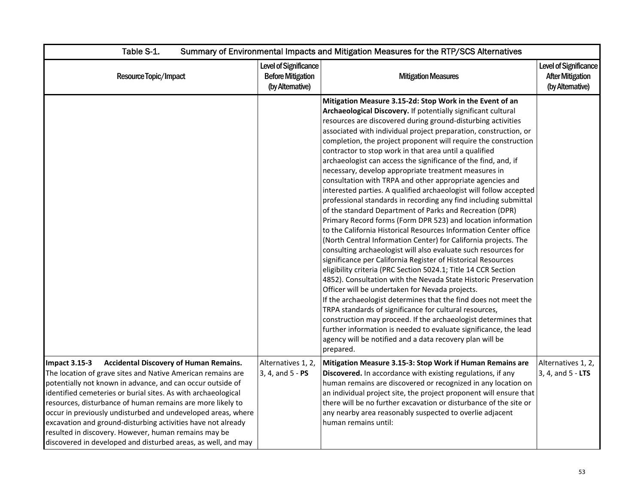| Table S-1.<br>Summary of Environmental Impacts and Mitigation Measures for the RTP/SCS Alternatives                                                                                                                                                                                                                                                                                                                                                                                                                                                                                        |                                                                       |                                                                                                                                                                                                                                                                                                                                                                                                                                                                                                                                                                                                                                                                                                                                                                                                                                                                                                                                                                                                                                                                                                                                                                                                                                                                                                                                                                                                                                                                                                                                                                                                                                                                      |                                                                     |
|--------------------------------------------------------------------------------------------------------------------------------------------------------------------------------------------------------------------------------------------------------------------------------------------------------------------------------------------------------------------------------------------------------------------------------------------------------------------------------------------------------------------------------------------------------------------------------------------|-----------------------------------------------------------------------|----------------------------------------------------------------------------------------------------------------------------------------------------------------------------------------------------------------------------------------------------------------------------------------------------------------------------------------------------------------------------------------------------------------------------------------------------------------------------------------------------------------------------------------------------------------------------------------------------------------------------------------------------------------------------------------------------------------------------------------------------------------------------------------------------------------------------------------------------------------------------------------------------------------------------------------------------------------------------------------------------------------------------------------------------------------------------------------------------------------------------------------------------------------------------------------------------------------------------------------------------------------------------------------------------------------------------------------------------------------------------------------------------------------------------------------------------------------------------------------------------------------------------------------------------------------------------------------------------------------------------------------------------------------------|---------------------------------------------------------------------|
| Resource Topic/Impact                                                                                                                                                                                                                                                                                                                                                                                                                                                                                                                                                                      | Level of Significance<br><b>Before Mitigation</b><br>(by Alternative) | <b>Mitigation Measures</b>                                                                                                                                                                                                                                                                                                                                                                                                                                                                                                                                                                                                                                                                                                                                                                                                                                                                                                                                                                                                                                                                                                                                                                                                                                                                                                                                                                                                                                                                                                                                                                                                                                           | Level of Significance<br><b>After Mitigation</b><br>(by Altemative) |
|                                                                                                                                                                                                                                                                                                                                                                                                                                                                                                                                                                                            |                                                                       | Mitigation Measure 3.15-2d: Stop Work in the Event of an<br>Archaeological Discovery. If potentially significant cultural<br>resources are discovered during ground-disturbing activities<br>associated with individual project preparation, construction, or<br>completion, the project proponent will require the construction<br>contractor to stop work in that area until a qualified<br>archaeologist can access the significance of the find, and, if<br>necessary, develop appropriate treatment measures in<br>consultation with TRPA and other appropriate agencies and<br>interested parties. A qualified archaeologist will follow accepted<br>professional standards in recording any find including submittal<br>of the standard Department of Parks and Recreation (DPR)<br>Primary Record forms (Form DPR 523) and location information<br>to the California Historical Resources Information Center office<br>(North Central Information Center) for California projects. The<br>consulting archaeologist will also evaluate such resources for<br>significance per California Register of Historical Resources<br>eligibility criteria (PRC Section 5024.1; Title 14 CCR Section<br>4852). Consultation with the Nevada State Historic Preservation<br>Officer will be undertaken for Nevada projects.<br>If the archaeologist determines that the find does not meet the<br>TRPA standards of significance for cultural resources,<br>construction may proceed. If the archaeologist determines that<br>further information is needed to evaluate significance, the lead<br>agency will be notified and a data recovery plan will be<br>prepared. |                                                                     |
| <b>Impact 3.15-3</b><br><b>Accidental Discovery of Human Remains.</b><br>The location of grave sites and Native American remains are<br>potentially not known in advance, and can occur outside of<br>identified cemeteries or burial sites. As with archaeological<br>resources, disturbance of human remains are more likely to<br>occur in previously undisturbed and undeveloped areas, where<br>excavation and ground-disturbing activities have not already<br>resulted in discovery. However, human remains may be<br>discovered in developed and disturbed areas, as well, and may | Alternatives 1, 2,<br>3, 4, and 5 - PS                                | Mitigation Measure 3.15-3: Stop Work if Human Remains are<br>Discovered. In accordance with existing regulations, if any<br>human remains are discovered or recognized in any location on<br>an individual project site, the project proponent will ensure that<br>there will be no further excavation or disturbance of the site or<br>any nearby area reasonably suspected to overlie adjacent<br>human remains until:                                                                                                                                                                                                                                                                                                                                                                                                                                                                                                                                                                                                                                                                                                                                                                                                                                                                                                                                                                                                                                                                                                                                                                                                                                             | Alternatives 1, 2,<br>3, 4, and 5 - LTS                             |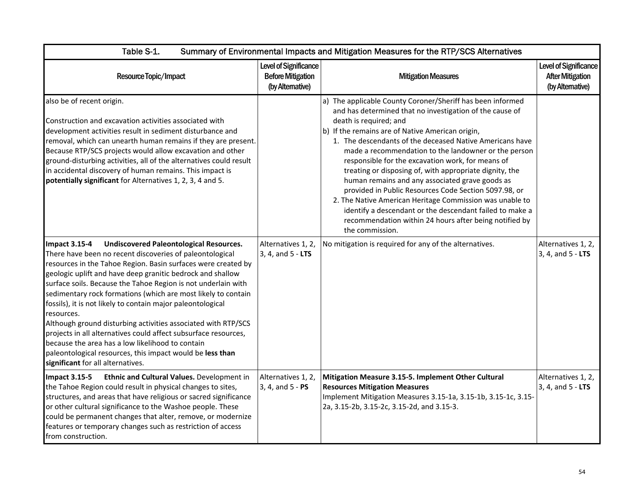| Table S-1.<br>Summary of Environmental Impacts and Mitigation Measures for the RTP/SCS Alternatives                                                                                                                                                                                                                                                                                                                                                                                                                                                                                                                                                                                                                                                                        |                                                                       |                                                                                                                                                                                                                                                                                                                                                                                                                                                                                                                                                                                                                                                                                                                                                           |                                                                             |
|----------------------------------------------------------------------------------------------------------------------------------------------------------------------------------------------------------------------------------------------------------------------------------------------------------------------------------------------------------------------------------------------------------------------------------------------------------------------------------------------------------------------------------------------------------------------------------------------------------------------------------------------------------------------------------------------------------------------------------------------------------------------------|-----------------------------------------------------------------------|-----------------------------------------------------------------------------------------------------------------------------------------------------------------------------------------------------------------------------------------------------------------------------------------------------------------------------------------------------------------------------------------------------------------------------------------------------------------------------------------------------------------------------------------------------------------------------------------------------------------------------------------------------------------------------------------------------------------------------------------------------------|-----------------------------------------------------------------------------|
| Resource Topic/Impact                                                                                                                                                                                                                                                                                                                                                                                                                                                                                                                                                                                                                                                                                                                                                      | Level of Significance<br><b>Before Mitigation</b><br>(by Alternative) | <b>Mitigation Measures</b>                                                                                                                                                                                                                                                                                                                                                                                                                                                                                                                                                                                                                                                                                                                                | <b>Level of Significance</b><br><b>After Mitigation</b><br>(by Alternative) |
| also be of recent origin.<br>Construction and excavation activities associated with<br>development activities result in sediment disturbance and<br>removal, which can unearth human remains if they are present.<br>Because RTP/SCS projects would allow excavation and other<br>ground-disturbing activities, all of the alternatives could result<br>in accidental discovery of human remains. This impact is<br>potentially significant for Alternatives 1, 2, 3, 4 and 5.                                                                                                                                                                                                                                                                                             |                                                                       | a) The applicable County Coroner/Sheriff has been informed<br>and has determined that no investigation of the cause of<br>death is required; and<br>b) If the remains are of Native American origin,<br>1. The descendants of the deceased Native Americans have<br>made a recommendation to the landowner or the person<br>responsible for the excavation work, for means of<br>treating or disposing of, with appropriate dignity, the<br>human remains and any associated grave goods as<br>provided in Public Resources Code Section 5097.98, or<br>2. The Native American Heritage Commission was unable to<br>identify a descendant or the descendant failed to make a<br>recommendation within 24 hours after being notified by<br>the commission. |                                                                             |
| <b>Undiscovered Paleontological Resources.</b><br><b>Impact 3.15-4</b><br>There have been no recent discoveries of paleontological<br>resources in the Tahoe Region. Basin surfaces were created by<br>geologic uplift and have deep granitic bedrock and shallow<br>surface soils. Because the Tahoe Region is not underlain with<br>sedimentary rock formations (which are most likely to contain<br>fossils), it is not likely to contain major paleontological<br>resources.<br>Although ground disturbing activities associated with RTP/SCS<br>projects in all alternatives could affect subsurface resources,<br>because the area has a low likelihood to contain<br>paleontological resources, this impact would be less than<br>significant for all alternatives. | Alternatives 1, 2,<br>$3, 4,$ and $5 - LTS$                           | No mitigation is required for any of the alternatives.                                                                                                                                                                                                                                                                                                                                                                                                                                                                                                                                                                                                                                                                                                    | Alternatives 1, 2,<br>3, 4, and 5 - LTS                                     |
| <b>Impact 3.15-5</b><br>Ethnic and Cultural Values. Development in<br>the Tahoe Region could result in physical changes to sites,<br>structures, and areas that have religious or sacred significance<br>or other cultural significance to the Washoe people. These<br>could be permanent changes that alter, remove, or modernize<br>features or temporary changes such as restriction of access<br>from construction.                                                                                                                                                                                                                                                                                                                                                    | Alternatives 1, 2,<br>3, 4, and 5 - PS                                | Mitigation Measure 3.15-5. Implement Other Cultural<br><b>Resources Mitigation Measures</b><br>Implement Mitigation Measures 3.15-1a, 3.15-1b, 3.15-1c, 3.15-<br>2a, 3.15-2b, 3.15-2c, 3.15-2d, and 3.15-3.                                                                                                                                                                                                                                                                                                                                                                                                                                                                                                                                               | Alternatives 1, 2,<br>3, 4, and 5 - LTS                                     |